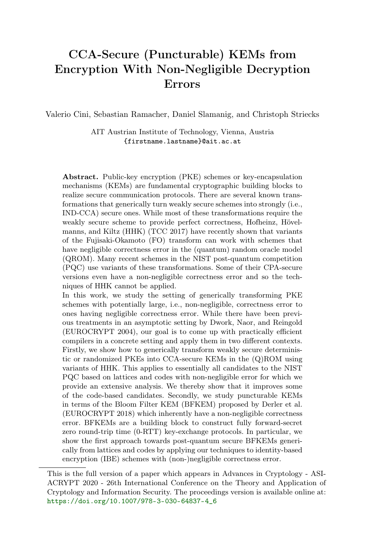# CCA-Secure (Puncturable) KEMs from Encryption With Non-Negligible Decryption Errors

Valerio Cini, Sebastian Ramacher, Daniel Slamanig, and Christoph Striecks

AIT Austrian Institute of Technology, Vienna, Austria {firstname.lastname}@ait.ac.at

Abstract. Public-key encryption (PKE) schemes or key-encapsulation mechanisms (KEMs) are fundamental cryptographic building blocks to realize secure communication protocols. There are several known transformations that generically turn weakly secure schemes into strongly (i.e., IND-CCA) secure ones. While most of these transformations require the weakly secure scheme to provide perfect correctness, Hofheinz, Hövelmanns, and Kiltz (HHK) (TCC 2017) have recently shown that variants of the Fujisaki-Okamoto (FO) transform can work with schemes that have negligible correctness error in the (quantum) random oracle model (QROM). Many recent schemes in the NIST post-quantum competition (PQC) use variants of these transformations. Some of their CPA-secure versions even have a non-negligible correctness error and so the techniques of HHK cannot be applied.

In this work, we study the setting of generically transforming PKE schemes with potentially large, i.e., non-negligible, correctness error to ones having negligible correctness error. While there have been previous treatments in an asymptotic setting by Dwork, Naor, and Reingold (EUROCRYPT 2004), our goal is to come up with practically efficient compilers in a concrete setting and apply them in two different contexts. Firstly, we show how to generically transform weakly secure deterministic or randomized PKEs into CCA-secure KEMs in the (Q)ROM using variants of HHK. This applies to essentially all candidates to the NIST PQC based on lattices and codes with non-negligible error for which we provide an extensive analysis. We thereby show that it improves some of the code-based candidates. Secondly, we study puncturable KEMs in terms of the Bloom Filter KEM (BFKEM) proposed by Derler et al. (EUROCRYPT 2018) which inherently have a non-negligible correctness error. BFKEMs are a building block to construct fully forward-secret zero round-trip time (0-RTT) key-exchange protocols. In particular, we show the first approach towards post-quantum secure BFKEMs generically from lattices and codes by applying our techniques to identity-based encryption (IBE) schemes with (non-)negligible correctness error.

This is the full version of a paper which appears in Advances in Cryptology - ASI-ACRYPT 2020 - 26th International Conference on the Theory and Application of Cryptology and Information Security. The proceedings version is available online at: [https://doi.org/10.1007/978-3-030-64837-4\\_6](https://doi.org/10.1007/978-3-030-64837-4_6)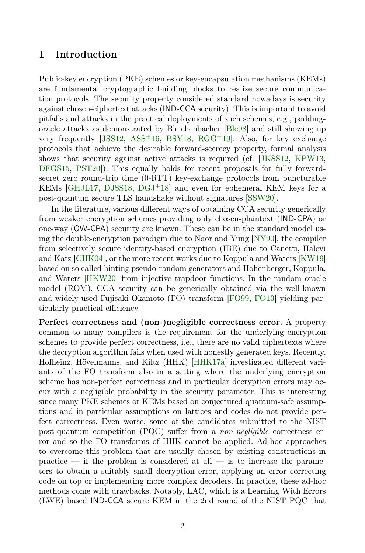### 1 Introduction

Public-key encryption (PKE) schemes or key-encapsulation mechanisms (KEMs) are fundamental cryptographic building blocks to realize secure communication protocols. The security property considered standard nowadays is security against chosen-ciphertext attacks (IND-CCA security). This is important to avoid pitfalls and attacks in the practical deployments of such schemes, e.g., paddingoracle attacks as demonstrated by Bleichenbacher [\[Ble98\]](#page-34-0) and still showing up very frequently  $[JSS12, ASS^+16, BSY18, RGG^+19]$  $[JSS12, ASS^+16, BSY18, RGG^+19]$  $[JSS12, ASS^+16, BSY18, RGG^+19]$  $[JSS12, ASS^+16, BSY18, RGG^+19]$  $[JSS12, ASS^+16, BSY18, RGG^+19]$  $[JSS12, ASS^+16, BSY18, RGG^+19]$  $[JSS12, ASS^+16, BSY18, RGG^+19]$  $[JSS12, ASS^+16, BSY18, RGG^+19]$ . Also, for key exchange protocols that achieve the desirable forward-secrecy property, formal analysis shows that security against active attacks is required (cf. [\[JKSS12,](#page-37-1) [KPW13,](#page-37-2) [DFGS15,](#page-35-1) [PST20\]](#page-38-1)). This equally holds for recent proposals for fully forwardsecret zero round-trip time (0-RTT) key-exchange protocols from puncturable KEMs [\[GHJL17,](#page-36-0) [DJSS18,](#page-35-2) [DGJ](#page-35-3)<sup>+</sup>18] and even for ephemeral KEM keys for a post-quantum secure TLS handshake without signatures [\[SSW20\]](#page-38-2).

In the literature, various different ways of obtaining CCA security generically from weaker encryption schemes providing only chosen-plaintext (IND-CPA) or one-way (OW-CPA) security are known. These can be in the standard model using the double-encryption paradigm due to Naor and Yung [\[NY90\]](#page-38-3), the compiler from selectively secure identity-based encryption (IBE) due to Canetti, Halevi and Katz [\[CHK04\]](#page-35-4), or the more recent works due to Koppula and Waters [\[KW19\]](#page-38-4) based on so called hinting pseudo-random generators and Hohenberger, Koppula, and Waters [\[HKW20\]](#page-37-3) from injective trapdoor functions. In the random oracle model (ROM), CCA security can be generically obtained via the well-known and widely-used Fujisaki-Okamoto (FO) transform [\[FO99,](#page-36-1) [FO13\]](#page-36-2) yielding particularly practical efficiency.

Perfect correctness and (non-)negligible correctness error. A property common to many compilers is the requirement for the underlying encryption schemes to provide perfect correctness, i.e., there are no valid ciphertexts where the decryption algorithm fails when used with honestly generated keys. Recently, Hofheinz, Hövelmanns, and Kiltz (HHK) [\[HHK17a\]](#page-37-4) investigated different variants of the FO transform also in a setting where the underlying encryption scheme has non-perfect correctness and in particular decryption errors may occur with a negligible probability in the security parameter. This is interesting since many PKE schemes or KEMs based on conjectured quantum-safe assumptions and in particular assumptions on lattices and codes do not provide perfect correctness. Even worse, some of the candidates submitted to the NIST post-quantum competition (PQC) suffer from a non-negligible correctness error and so the FO transforms of HHK cannot be applied. Ad-hoc approaches to overcome this problem that are usually chosen by existing constructions in practice — if the problem is considered at all — is to increase the parameters to obtain a suitably small decryption error, applying an error correcting code on top or implementing more complex decoders. In practice, these ad-hoc methods come with drawbacks. Notably, LAC, which is a Learning With Errors (LWE) based IND-CCA secure KEM in the 2nd round of the NIST PQC that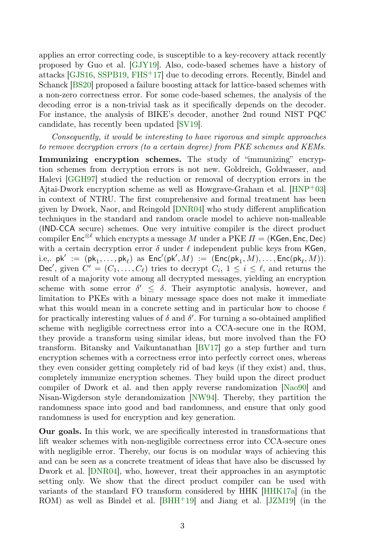applies an error correcting code, is susceptible to a key-recovery attack recently proposed by Guo et al. [\[GJY19\]](#page-36-3). Also, code-based schemes have a history of attacks [\[GJS16,](#page-36-4) [SSPB19,](#page-38-5) [FHS](#page-36-5)+17] due to decoding errors. Recently, Bindel and Schanck [\[BS20\]](#page-35-5) proposed a failure boosting attack for lattice-based schemes with a non-zero correctness error. For some code-based schemes, the analysis of the decoding error is a non-trivial task as it specifically depends on the decoder. For instance, the analysis of BIKE's decoder, another 2nd round NIST PQC candidate, has recently been updated [\[SV19\]](#page-38-6).

Consequently, it would be interesting to have rigorous and simple approaches to remove decryption errors (to a certain degree) from PKE schemes and KEMs.

Immunizing encryption schemes. The study of "immunizing" encryption schemes from decryption errors is not new. Goldreich, Goldwasser, and Halevi [\[GGH97\]](#page-36-6) studied the reduction or removal of decryption errors in the Ajtai-Dwork encryption scheme as well as Howgrave-Graham et al.  $[HNP<sup>+</sup>03]$  $[HNP<sup>+</sup>03]$ in context of NTRU. The first comprehensive and formal treatment has been given by Dwork, Naor, and Reingold [\[DNR04\]](#page-35-6) who study different amplification techniques in the standard and random oracle model to achieve non-malleable (IND-CCA secure) schemes. One very intuitive compiler is the direct product compiler  $\mathsf{Enc}^{\otimes \ell}$  which encrypts a message M under a PKE  $\Pi = (\mathsf{KGen}, \mathsf{Enc}, \mathsf{Dec})$ with a certain decryption error  $\delta$  under  $\ell$  independent public keys from KGen, i.e,.  $\mathsf{pk}' := (\mathsf{pk}_1, \ldots, \mathsf{pk}_\ell)$  as  $\mathsf{Enc}'(\mathsf{pk}', M) := (\mathsf{Enc}(\mathsf{pk}_1, M), \ldots, \mathsf{Enc}(\mathsf{pk}_\ell, M)).$ Dec', given  $C' = (C_1, \ldots, C_\ell)$  tries to decrypt  $C_i, 1 \leq i \leq \ell$ , and returns the result of a majority vote among all decrypted messages, yielding an encryption scheme with some error  $\delta' \leq \delta$ . Their asymptotic analysis, however, and limitation to PKEs with a binary message space does not make it immediate what this would mean in a concrete setting and in particular how to choose  $\ell$ for practically interesting values of  $\delta$  and  $\delta'$ . For turning a so-obtained amplified scheme with negligible correctness error into a CCA-secure one in the ROM, they provide a transform using similar ideas, but more involved than the FO transform. Bitansky and Vaikuntanathan [\[BV17\]](#page-35-7) go a step further and turn encryption schemes with a correctness error into perfectly correct ones, whereas they even consider getting completely rid of bad keys (if they exist) and, thus, completely immunize encryption schemes. They build upon the direct product compiler of Dwork et al. and then apply reverse randomization [\[Nao90\]](#page-38-7) and Nisan-Wigderson style derandomization [\[NW94\]](#page-38-8). Thereby, they partition the randomness space into good and bad randomness, and ensure that only good randomness is used for encryption and key generation.

Our goals. In this work, we are specifically interested in transformations that lift weaker schemes with non-negligible correctness error into CCA-secure ones with negligible error. Thereby, our focus is on modular ways of achieving this and can be seen as a concrete treatment of ideas that have also be discussed by Dwork et al. [\[DNR04\]](#page-35-6), who, however, treat their approaches in an asymptotic setting only. We show that the direct product compiler can be used with variants of the standard FO transform considered by HHK [\[HHK17a\]](#page-37-4) (in the ROM) as well as Bindel et al. [\[BHH](#page-34-2)<sup>+</sup>19] and Jiang et al. [\[JZM19\]](#page-37-6) (in the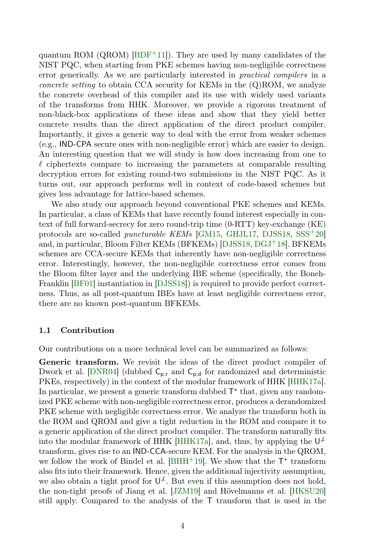quantum ROM (QROM)  $[BDF+11]$  $[BDF+11]$ ). They are used by many candidates of the NIST PQC, when starting from PKE schemes having non-negligible correctness error generically. As we are particularly interested in practical compilers in a *concrete setting* to obtain CCA security for KEMs in the  $(Q)ROM$ , we analyze the concrete overhead of this compiler and its use with widely used variants of the transforms from HHK. Moreover, we provide a rigorous treatment of non-black-box applications of these ideas and show that they yield better concrete results than the direct application of the direct product compiler. Importantly, it gives a generic way to deal with the error from weaker schemes (e.g., IND-CPA secure ones with non-negligible error) which are easier to design. An interesting question that we will study is how does increasing from one to  $\ell$  ciphertexts compare to increasing the parameters at comparable resulting decryption errors for existing round-two submissions in the NIST PQC. As it turns out, our approach performs well in context of code-based schemes but gives less advantage for lattice-based schemes.

We also study our approach beyond conventional PKE schemes and KEMs. In particular, a class of KEMs that have recently found interest especially in context of full forward-secrecy for zero round-trip time (0-RTT) key-exchange (KE) protocols are so-called *puncturable KEMs* [\[GM15,](#page-36-7) [GHJL17,](#page-36-0) [DJSS18,](#page-35-2) [SSS](#page-38-9)<sup>+</sup>20] and, in particular, Bloom Filter KEMs (BFKEMs) [\[DJSS18,](#page-35-2) [DGJ](#page-35-3)<sup>+</sup>18]. BFKEMs schemes are CCA-secure KEMs that inherently have non-negligible correctness error. Interestingly, however, the non-negligible correctness error comes from the Bloom filter layer and the underlying IBE scheme (specifically, the Boneh-Franklin [\[BF01\]](#page-34-4) instantiation in [\[DJSS18\]](#page-35-2)) is required to provide perfect correctness. Thus, as all post-quantum IBEs have at least negligible correctness error, there are no known post-quantum BFKEMs.

### 1.1 Contribution

Our contributions on a more technical level can be summarized as follows:

Generic transform. We revisit the ideas of the direct product compiler of Dwork et al. [\[DNR04\]](#page-35-6) (dubbed  $C_{p,r}$  and  $C_{p,d}$  for randomized and deterministic PKEs, respectively) in the context of the modular framework of HHK [\[HHK17a\]](#page-37-4). In particular, we present a generic transform dubbed  $T^*$  that, given any randomized PKE scheme with non-negligible correctness error, produces a derandomized PKE scheme with negligible correctness error. We analyze the transform both in the ROM and QROM and give a tight reduction in the ROM and compare it to a generic application of the direct product compiler. The transform naturally fits into the modular framework of HHK [\[HHK17a\]](#page-37-4), and, thus, by applying the  $\mathsf{U}^{\mathcal{F}}$ transform, gives rise to an IND-CCA-secure KEM. For the analysis in the QROM, we follow the work of Bindel et al. [\[BHH](#page-34-2)<sup>+</sup>19]. We show that the  $T^*$  transform also fits into their framework. Hence, given the additional injectivity assumption, we also obtain a tight proof for  $\mathsf{U}^{\mathcal{L}}$ . But even if this assumption does not hold, the non-tight proofs of Jiang et al. [\[JZM19\]](#page-37-6) and Hövelmanns et al. [\[HKSU20\]](#page-37-7) still apply. Compared to the analysis of the T transform that is used in the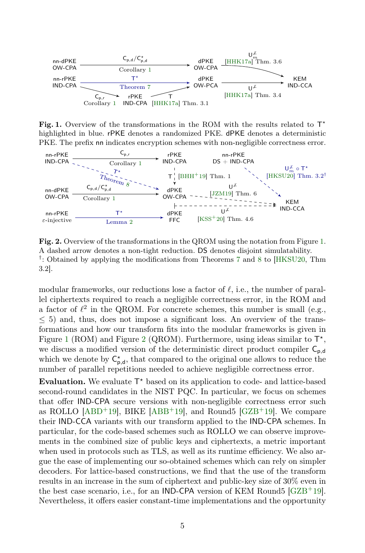

<span id="page-4-0"></span>Fig. 1. Overview of the transformations in the ROM with the results related to  $T^*$ highlighted in blue. rPKE denotes a randomized PKE. dPKE denotes a deterministic PKE. The prefix nn indicates encryption schemes with non-negligible correctness error.



<span id="page-4-1"></span>Fig. 2. Overview of the transformations in the QROM using the notation from Figure [1.](#page-4-0) A dashed arrow denotes a non-tight reduction. DS denotes disjoint simulatability. <sup>†</sup>: Obtained by applying the modifications from Theorems [7](#page-17-0) and [8](#page-18-1) to [\[HKSU20,](#page-37-7) Thm 3.2].

modular frameworks, our reductions lose a factor of  $\ell$ , i.e., the number of parallel ciphertexts required to reach a negligible correctness error, in the ROM and a factor of  $\ell^2$  in the QROM. For concrete schemes, this number is small (e.g.,  $\leq$  5) and, thus, does not impose a significant loss. An overview of the transformations and how our transform fits into the modular frameworks is given in Figure [1](#page-4-0) (ROM) and Figure [2](#page-4-1) (QROM). Furthermore, using ideas similar to  $T^*$ , we discuss a modified version of the deterministic direct product compiler  $C_{p,d}$ which we denote by  $C_{p,d}^*$ , that compared to the original one allows to reduce the number of parallel repetitions needed to achieve negligible correctness error.

Evaluation. We evaluate  $T^*$  based on its application to code- and lattice-based second-round candidates in the NIST PQC. In particular, we focus on schemes that offer IND-CPA secure versions with non-negligible correctness error such as ROLLO  $[ABD+19]$  $[ABD+19]$ , BIKE  $[ABB+19]$  $[ABB+19]$ , and Round5  $[GZB+19]$  $[GZB+19]$ . We compare their IND-CCA variants with our transform applied to the IND-CPA schemes. In particular, for the code-based schemes such as ROLLO we can observe improvements in the combined size of public keys and ciphertexts, a metric important when used in protocols such as TLS, as well as its runtime efficiency. We also argue the ease of implementing our so-obtained schemes which can rely on simpler decoders. For lattice-based constructions, we find that the use of the transform results in an increase in the sum of ciphertext and public-key size of 30% even in the best case scenario, i.e., for an **IND-CPA** version of KEM Round5  $[GZB^+19]$  $[GZB^+19]$ . Nevertheless, it offers easier constant-time implementations and the opportunity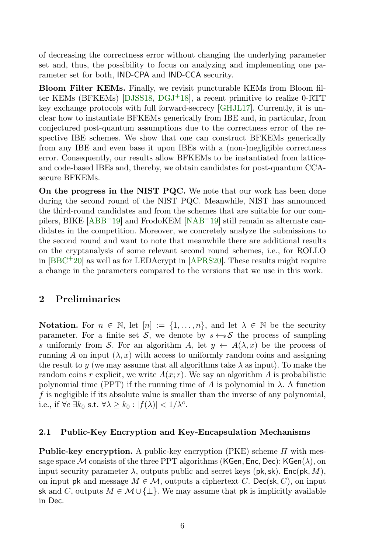of decreasing the correctness error without changing the underlying parameter set and, thus, the possibility to focus on analyzing and implementing one parameter set for both, IND-CPA and IND-CCA security.

Bloom Filter KEMs. Finally, we revisit puncturable KEMs from Bloom filter KEMs (BFKEMs) [\[DJSS18,](#page-35-2) [DGJ](#page-35-3)+18], a recent primitive to realize 0-RTT key exchange protocols with full forward-secrecy [\[GHJL17\]](#page-36-0). Currently, it is unclear how to instantiate BFKEMs generically from IBE and, in particular, from conjectured post-quantum assumptions due to the correctness error of the respective IBE schemes. We show that one can construct BFKEMs generically from any IBE and even base it upon IBEs with a (non-)negligible correctness error. Consequently, our results allow BFKEMs to be instantiated from latticeand code-based IBEs and, thereby, we obtain candidates for post-quantum CCAsecure BFKEMs.

On the progress in the NIST PQC. We note that our work has been done during the second round of the NIST PQC. Meanwhile, NIST has announced the third-round candidates and from the schemes that are suitable for our compilers, BIKE  $[ABB^+19]$  $[ABB^+19]$  and FrodoKEM  $[NAB^+19]$  $[NAB^+19]$  still remain as alternate candidates in the competition. Moreover, we concretely analyze the submissions to the second round and want to note that meanwhile there are additional results on the cryptanalysis of some relevant second round schemes, i.e., for ROLLO in  $[BBC+20]$  $[BBC+20]$  as well as for LEDAcrypt in  $[APRS20]$ . These results might require a change in the parameters compared to the versions that we use in this work.

# 2 Preliminaries

**Notation.** For  $n \in \mathbb{N}$ , let  $[n] := \{1, \ldots, n\}$ , and let  $\lambda \in \mathbb{N}$  be the security parameter. For a finite set S, we denote by  $s \leftarrow sS$  the process of sampling s uniformly from S. For an algorithm A, let  $y \leftarrow A(\lambda, x)$  be the process of running A on input  $(\lambda, x)$  with access to uniformly random coins and assigning the result to y (we may assume that all algorithms take  $\lambda$  as input). To make the random coins r explicit, we write  $A(x; r)$ . We say an algorithm A is probabilistic polynomial time (PPT) if the running time of A is polynomial in  $\lambda$ . A function f is negligible if its absolute value is smaller than the inverse of any polynomial, i.e., if  $\forall c \exists k_0 \text{ s.t. } \forall \lambda \geq k_0 : |f(\lambda)| < 1/\lambda^c$ .

### 2.1 Public-Key Encryption and Key-Encapsulation Mechanisms

**Public-key encryption.** A public-key encryption (PKE) scheme  $\Pi$  with message space M consists of the three PPT algorithms (KGen, Enc, Dec): KGen( $\lambda$ ), on input security parameter  $\lambda$ , outputs public and secret keys (pk, sk). Enc(pk, M), on input pk and message  $M \in \mathcal{M}$ , outputs a ciphertext C. Dec(sk, C), on input sk and C, outputs  $M \in \mathcal{M} \cup \{\perp\}$ . We may assume that pk is implicitly available in Dec.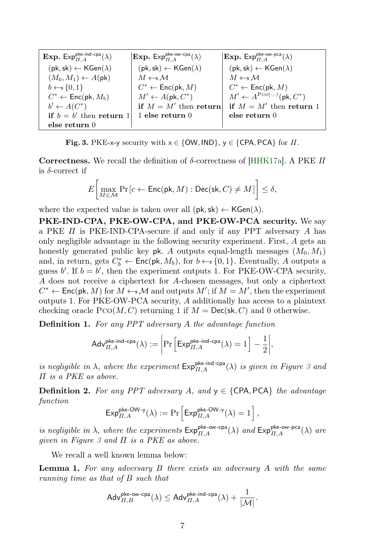| <b>Exp.</b> Exp <sup>pke-ind-cpa</sup> $(\lambda)$             | $\mathbb{E}$ <b>xp.</b> $\mathsf{Exp}_{\Pi}^{\mathsf{pke-ow-cpa}}(\lambda)$ | <b>Exp.</b> Exp <sup>pke-ow-pca</sup> $(\lambda)$              |
|----------------------------------------------------------------|-----------------------------------------------------------------------------|----------------------------------------------------------------|
| $(\mathsf{pk}, \mathsf{sk}) \leftarrow \mathsf{KGen}(\lambda)$ | $(\mathsf{pk}, \mathsf{sk}) \leftarrow \mathsf{KGen}(\lambda)$              | $(\mathsf{pk}, \mathsf{sk}) \leftarrow \mathsf{KGen}(\lambda)$ |
| $(M_0, M_1) \leftarrow A(\mathsf{pk})$                         | $M \leftarrow s M$                                                          | $M \leftarrow s M$                                             |
| $b \leftarrow s \{0, 1\}$                                      | $C^* \leftarrow \mathsf{Enc}(\mathsf{pk}, M)$                               | $C^* \leftarrow \mathsf{Enc}(\mathsf{pk}, M)$                  |
| $C^* \leftarrow \mathsf{Enc}(\mathsf{pk}, M_b)$                | $M' \leftarrow A(\mathsf{pk}, C^*)$                                         | $M' \leftarrow A^{\text{Pco}(\cdot,\cdot)}(\text{pk}, C^*)$    |
| $b' \leftarrow A(C^*)$                                         | if $M = M'$ then return                                                     | if $M = M'$ then return 1                                      |
| if $b = b'$ then return 1                                      | $1$ else return $0$                                                         | else return 0                                                  |
| else return 0                                                  |                                                                             |                                                                |

<span id="page-6-0"></span>Fig. 3. PKE-x-y security with  $x \in \{OW, IND\}$ ,  $y \in \{CPA, PCA\}$  for  $\Pi$ .

Correctness. We recall the definition of δ-correctness of [\[HHK17a\]](#page-37-4). A PKE  $\Pi$ is  $\delta$ -correct if

$$
E\bigg[\max_{M\in\mathcal{M}}\Pr\big[c\leftarrow\mathsf{Enc}(\mathsf{pk},M):\mathsf{Dec}(\mathsf{sk},C)\neq M\big]\bigg]\leq\delta,
$$

where the expected value is taken over all  $(\mathsf{pk}, \mathsf{sk}) \leftarrow \mathsf{KGen}(\lambda)$ .

PKE-IND-CPA, PKE-OW-CPA, and PKE-OW-PCA security. We say a PKE  $\Pi$  is PKE-IND-CPA-secure if and only if any PPT adversary  $A$  has only negligible advantage in the following security experiment. First, A gets an honestly generated public key pk. A outputs equal-length messages  $(M_0, M_1)$ and, in return, gets  $C_b^* \leftarrow \mathsf{Enc}(\mathsf{pk}, M_b)$ , for  $b \leftarrow s \{0, 1\}$ . Eventually, A outputs a guess  $b'$ . If  $b = b'$ , then the experiment outputs 1. For PKE-OW-CPA security, A does not receive a ciphertext for A-chosen messages, but only a ciphertext  $C^* \leftarrow \mathsf{Enc}(\mathsf{pk}, M)$  for  $M \leftarrow \mathcal{M}$  and outputs  $M'$ ; if  $M = M'$ , then the experiment outputs 1. For PKE-OW-PCA security, A additionally has access to a plaintext checking oracle  $PCO(M, C)$  returning 1 if  $M = \mathsf{Dec}(\mathsf{sk}, C)$  and 0 otherwise.

Definition 1. For any PPT adversary A the advantage function

$$
\mathsf{Adv}_{II,A}^{\mathsf{pke-ind-cpa}}(\lambda) := \left| \Pr \left[ \mathsf{Exp}_{II,A}^{\mathsf{pke-ind-cpa}}(\lambda) = 1 \right] - \frac{1}{2} \right|,
$$

is negligible in  $\lambda$ , where the experiment  $\mathsf{Exp}_{\Pi,A}^{\mathsf{pke-ind-cpa}}(\lambda)$  is given in Figure [3](#page-6-0) and Π is a PKE as above.

**Definition 2.** For any PPT adversary A, and  $y \in \{CPA, PCA\}$  the advantage function

$$
\mathsf{Exp}_{\Pi,A}^{\mathsf{pke\text{-}OW\text{-}y}}(\lambda) := \Pr\left[\mathsf{Exp}_{\Pi,A}^{\mathsf{pke\text{-}OW\text{-}y}}(\lambda) = 1\right],
$$

is negligible in  $\lambda$ , where the experiments  $Exp_{\Pi,A}^{\text{pke-ow-cpa}}(\lambda)$  and  $Exp_{\Pi,A}^{\text{pke-ow-pca}}(\lambda)$  are given in Figure [3](#page-6-0) and  $\Pi$  is a PKE as above.

We recall a well known lemma below:

**Lemma 1.** For any adversary  $B$  there exists an adversary  $A$  with the same running time as that of B such that

<span id="page-6-1"></span>
$$
\mathsf{Adv}_{\varPi,B}^{\mathsf{pke\text{-}ow\text{-}cpa}}(\lambda) \leq \mathsf{Adv}_{\varPi,A}^{\mathsf{pke\text{-}ind\text{-}cpa}}(\lambda) + \frac{1}{|\mathcal{M}|}.
$$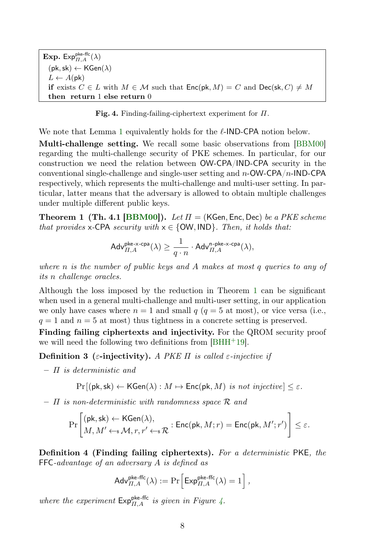**Exp.** Exp<sup>pke-ffc</sup> $(\lambda)$  $(\mathsf{pk},\mathsf{sk}) \leftarrow \mathsf{KGen}(\lambda)$  $L \leftarrow A(\mathsf{pk})$ if exists  $C \in L$  with  $M \in \mathcal{M}$  such that  $Enc(\mathsf{pk}, M) = C$  and  $Dec(\mathsf{sk}, C) \neq M$ then return 1 else return 0

<span id="page-7-1"></span>Fig. 4. Finding-failing-ciphertext experiment for  $\Pi$ .

We note that Lemma [1](#page-6-1) equivalently holds for the  $\ell$ -IND-CPA notion below.

Multi-challenge setting. We recall some basic observations from [\[BBM00\]](#page-34-7) regarding the multi-challenge security of PKE schemes. In particular, for our construction we need the relation between OW-CPA/IND-CPA security in the conventional single-challenge and single-user setting and  $n$ -OW-CPA/n-IND-CPA respectively, which represents the multi-challenge and multi-user setting. In particular, latter means that the adversary is allowed to obtain multiple challenges under multiple different public keys.

**Theorem 1 (Th. 4.1 [\[BBM00\]](#page-34-7)).** Let  $\Pi$  = (KGen, Enc, Dec) be a PKE scheme that provides x-CPA security with  $x \in \{OW, IND\}$ . Then, it holds that:

<span id="page-7-0"></span>
$$
\mathsf{Adv}_{\varPi,A}^{\mathsf{pke-x-cpa}}(\lambda) \geq \frac{1}{q \cdot n} \cdot \mathsf{Adv}_{\varPi,A}^{\mathsf{n-pke-x-cpa}}(\lambda),
$$

where  $n$  is the number of public keys and  $A$  makes at most  $q$  queries to any of its n challenge oracles.

Although the loss imposed by the reduction in Theorem [1](#page-7-0) can be significant when used in a general multi-challenge and multi-user setting, in our application we only have cases where  $n = 1$  and small  $q$  ( $q = 5$  at most), or vice versa (i.e.,  $q = 1$  and  $n = 5$  at most) thus tightness in a concrete setting is preserved.

Finding failing ciphertexts and injectivity. For the QROM security proof we will need the following two definitions from [\[BHH](#page-34-2)+19].

Definition 3 (ε-injectivity). A PKE  $\Pi$  is called ε-injective if

 $\Pi$  is deterministic and

$$
\Pr[(\mathsf{pk},\mathsf{sk}) \leftarrow \mathsf{KGen}(\lambda) : M \mapsto \mathsf{Enc}(\mathsf{pk}, M) \text{ is not injective}] \leq \varepsilon.
$$

 $\Pi$  is non-deterministic with randomness space  $\mathcal{R}$  and

$$
\Pr\left[\begin{matrix}(\mathsf{pk},\mathsf{sk})\leftarrow\mathsf{KGen}(\lambda),\\ M,M'\leftarrow_\mathsf{s}\mathcal{M},r,r'\leftarrow_\mathsf{s}\mathcal{R}\end{matrix}\right:\mathsf{Enc}(\mathsf{pk},M;r)=\mathsf{Enc}(\mathsf{pk},M';r')\right]\leq\varepsilon.
$$

Definition 4 (Finding failing ciphertexts). For a deterministic PKE, the FFC-advantage of an adversary A is defined as

$$
\mathsf{Adv}_{\Pi,A}^{\mathsf{pke\text{-}ffc}}(\lambda) := \Pr\Big[\mathsf{Exp}_{\Pi,A}^{\mathsf{pke\text{-}ffc}}(\lambda) = 1\Big] \,,
$$

where the experiment  $\mathsf{Exp}_{\Pi,A}^{\mathsf{pke-ffc}}$  is given in Figure [4.](#page-7-1)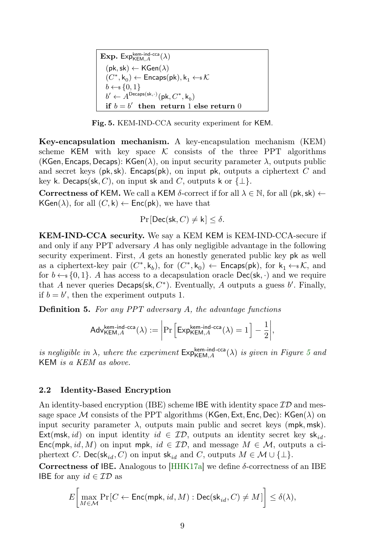**Exp.** Exp $_{\mathsf{KEM},A}^{\mathsf{kem-ind-cca}}(\lambda)$  $(\mathsf{pk},\mathsf{sk}) \leftarrow \mathsf{KGen}(\lambda)$  $(C^*, \mathsf{k}_0) \leftarrow \mathsf{Encaps}(\mathsf{pk}), \mathsf{k}_1 \leftarrow \!\! \mathsf{s}\, \mathcal{K}$  $b \leftarrow s \{0, 1\}$  $b' \leftarrow A^{\text{Decaps}(\text{sk}, \cdot)}(\text{pk}, C^*, \text{k}_b)$ if  $b = b'$  then return 1 else return 0

<span id="page-8-0"></span>Fig. 5. KEM-IND-CCA security experiment for KEM.

Key-encapsulation mechanism. A key-encapsulation mechanism (KEM) scheme KEM with key space  $\mathcal K$  consists of the three PPT algorithms (KGen, Encaps, Decaps): KGen( $\lambda$ ), on input security parameter  $\lambda$ , outputs public and secret keys ( $pk, sk$ ). Encaps( $pk$ ), on input  $pk$ , outputs a ciphertext C and key k. Decaps(sk, C), on input sk and C, outputs k or  $\{\perp\}.$ 

Correctness of KEM. We call a KEM  $\delta$ -correct if for all  $\lambda \in \mathbb{N}$ , for all (pk, sk)  $\leftarrow$  $KGen(\lambda)$ , for all  $(C, k) \leftarrow Enc(pk)$ , we have that

$$
\Pr[\mathsf{Dec}(\mathsf{sk}, C) \neq \mathsf{k}] \leq \delta.
$$

KEM-IND-CCA security. We say a KEM KEM is KEM-IND-CCA-secure if and only if any PPT adversary A has only negligible advantage in the following security experiment. First, A gets an honestly generated public key pk as well as a ciphertext-key pair  $(C^*, k_b)$ , for  $(C^*, k_0) \leftarrow$  Encaps(pk), for  $k_1 \leftarrow k$ , and for  $b \leftarrow \{0, 1\}$ . A has access to a decapsulation oracle  $Dec(\mathsf{sk}, \cdot)$  and we require that A never queries  $Decaps(st, C^*)$ . Eventually, A outputs a guess  $b'$ . Finally, if  $b = b'$ , then the experiment outputs 1.

Definition 5. For any PPT adversary A, the advantage functions

$$
\mathsf{Adv}_{\mathsf{KEM},A}^{\mathsf{kem-ind-cca}}(\lambda) := \left| \Pr \left[ \mathsf{Exp}_{\mathsf{KEM},A}^{\mathsf{kem-ind-cca}}(\lambda) = 1 \right] - \frac{1}{2} \right|,
$$

is negligible in  $\lambda$ , where the experiment  $\mathsf{Exp}_{\mathsf{KEM},A}^{\mathsf{kem-ind}\text{-}\mathsf{cca}}(\lambda)$  is given in Figure [5](#page-8-0) and KEM is a KEM as above.

### 2.2 Identity-Based Encryption

An identity-based encryption (IBE) scheme IBE with identity space  $\mathcal{ID}$  and message space M consists of the PPT algorithms (KGen, Ext, Enc, Dec): KGen( $\lambda$ ) on input security parameter  $\lambda$ , outputs main public and secret keys (mpk, msk). Ext(msk, id) on input identity id  $\in \mathcal{ID}$ , outputs an identity secret key sk<sub>id</sub>. Enc(mpk, id, M) on input mpk, id  $\in \mathcal{ID}$ , and message  $M \in \mathcal{M}$ , outputs a ciphertext C. Dec(s $\mathsf{k}_{id}$ , C) on input s $\mathsf{k}_{id}$  and C, outputs  $M \in \mathcal{M} \cup \{\perp\}.$ 

Correctness of IBE. Analogous to  $[HHK17a]$  we define  $\delta$ -correctness of an IBE IBE for any  $id \in \mathcal{ID}$  as

$$
E\bigg[\max_{M\in\mathcal{M}}\Pr\big[C\leftarrow \mathsf{Enc}(\mathsf{mpk},\mathit{id},M):\mathsf{Dec}(\mathsf{sk}_{\mathit{id}},C)\neq M\big]\bigg]\leq \delta(\lambda),
$$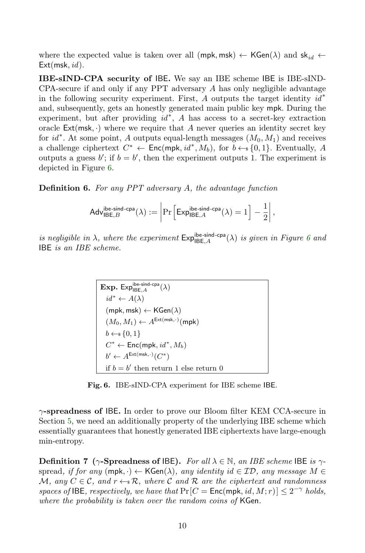where the expected value is taken over all (mpk, msk)  $\leftarrow$  KGen( $\lambda$ ) and sk<sub>id</sub>  $\leftarrow$  $Ext(msk, id)$ .

IBE-sIND-CPA security of IBE. We say an IBE scheme IBE is IBE-sIND-CPA-secure if and only if any PPT adversary A has only negligible advantage in the following security experiment. First, A outputs the target identity  $id^*$ and, subsequently, gets an honestly generated main public key mpk. During the experiment, but after providing  $id^*$ , A has access to a secret-key extraction oracle  $Ext(msk, \cdot)$  where we require that A never queries an identity secret key for  $id^*$ . At some point, A outputs equal-length messages  $(M_0, M_1)$  and receives a challenge ciphertext  $C^* \leftarrow \text{Enc}(\text{mpk}, id^*, M_b)$ , for  $b \leftarrow s \{0, 1\}$ . Eventually, A outputs a guess  $b'$ ; if  $b = b'$ , then the experiment outputs 1. The experiment is depicted in Figure [6.](#page-9-0)

Definition 6. For any PPT adversary A, the advantage function

$$
\mathsf{Adv}_{\mathsf{IBE},B}^{\mathsf{ibe}\text{-}\mathsf{sind}\text{-}\mathsf{cpa}}(\lambda) := \left| \Pr \left[ \mathsf{Exp}_{\mathsf{IBE},A}^{\mathsf{ibe}\text{-}\mathsf{sind}\text{-}\mathsf{cpa}}(\lambda) = 1 \right] - \frac{1}{2} \right|,
$$

is negligible in  $\lambda$ , where the experiment  $\mathsf{Exp}_{\mathsf{IBE},A}^{\mathsf{ibe}\text{-}\mathsf{spa}}(\lambda)$  is given in Figure [6](#page-9-0) and IBE is an IBE scheme.

$$
\begin{aligned} &\textbf{Exp. Exp}_{\mathsf{IBE},A}^{\text{ibe-sind-cpa}}(\lambda)\\ &\quad id^* \leftarrow A(\lambda)\\ &(\text{mpk, msk}) \leftarrow \text{KGen}(\lambda)\\ &(M_0, M_1) \leftarrow A^{\text{Ext}(msk, \cdot)}(\text{mpk})\\ &b \leftarrow \S \{0, 1\}\\ &C^* \leftarrow \text{Enc}(\text{mpk}, id^*, M_b)\\ &b' \leftarrow A^{\text{Ext}(msk, \cdot)}(C^*)\\ &\text{if } b = b' \text{ then return 1 else return 0} \end{aligned}
$$

<span id="page-9-0"></span>Fig. 6. IBE-sIND-CPA experiment for IBE scheme IBE.

 $\gamma$ -spreadness of IBE. In order to prove our Bloom filter KEM CCA-secure in Section [5,](#page-22-0) we need an additionally property of the underlying IBE scheme which essentially guarantees that honestly generated IBE ciphertexts have large-enough min-entropy.

**Definition 7** ( $\gamma$ -Spreadness of IBE). For all  $\lambda \in \mathbb{N}$ , an IBE scheme IBE is  $\gamma$ spread, if for any  $(\text{mpk}, \cdot) \leftarrow \text{KGen}(\lambda)$ , any identity id  $\in \mathcal{ID}$ , any message  $M \in$ M, any  $C \in \mathcal{C}$ , and  $r \leftarrow \mathbb{R}$ , where C and R are the ciphertext and randomness spaces of IBE, respectively, we have that  $Pr[C = Enc(mpk, id, M; r)] \leq 2^{-\gamma}$  holds, where the probability is taken over the random coins of KGen.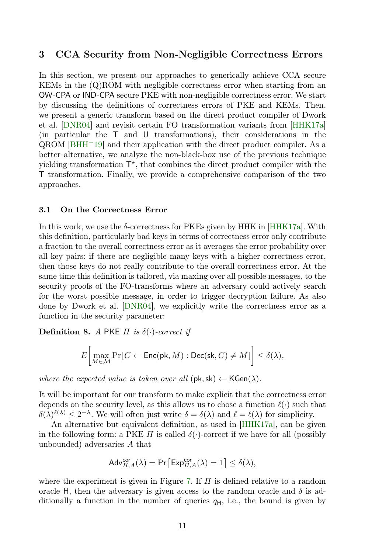### 3 CCA Security from Non-Negligible Correctness Errors

In this section, we present our approaches to generically achieve CCA secure KEMs in the (Q)ROM with negligible correctness error when starting from an OW-CPA or IND-CPA secure PKE with non-negligible correctness error. We start by discussing the definitions of correctness errors of PKE and KEMs. Then, we present a generic transform based on the direct product compiler of Dwork et al. [\[DNR04\]](#page-35-6) and revisit certain FO transformation variants from [\[HHK17a\]](#page-37-4) (in particular the T and U transformations), their considerations in the  $\alpha$ ROM [\[BHH](#page-34-2)<sup>+</sup>19] and their application with the direct product compiler. As a better alternative, we analyze the non-black-box use of the previous technique yielding transformation  $T^*$ , that combines the direct product compiler with the T transformation. Finally, we provide a comprehensive comparison of the two approaches.

### 3.1 On the Correctness Error

In this work, we use the  $\delta$ -correctness for PKEs given by HHK in [\[HHK17a\]](#page-37-4). With this definition, particularly bad keys in terms of correctness error only contribute a fraction to the overall correctness error as it averages the error probability over all key pairs: if there are negligible many keys with a higher correctness error, then those keys do not really contribute to the overall correctness error. At the same time this definition is tailored, via maxing over all possible messages, to the security proofs of the FO-transforms where an adversary could actively search for the worst possible message, in order to trigger decryption failure. As also done by Dwork et al. [\[DNR04\]](#page-35-6), we explicitly write the correctness error as a function in the security parameter:

**Definition 8.** A PKE  $\Pi$  is  $\delta(\cdot)$ -correct if

$$
E\bigg[\max_{M\in\mathcal{M}}\Pr\big[C\leftarrow \mathsf{Enc}(\mathsf{pk}, M):\mathsf{Dec}(\mathsf{sk}, C)\neq M\big]\bigg]\leq \delta(\lambda),
$$

where the expected value is taken over all  $(\mathsf{pk}, \mathsf{sk}) \leftarrow \mathsf{KGen}(\lambda)$ .

It will be important for our transform to make explicit that the correctness error depends on the security level, as this allows us to chose a function  $\ell(\cdot)$  such that  $\delta(\lambda)^{\ell(\lambda)} \leq 2^{-\lambda}$ . We will often just write  $\delta = \delta(\lambda)$  and  $\ell = \ell(\lambda)$  for simplicity.

An alternative but equivalent definition, as used in [\[HHK17a\]](#page-37-4), can be given in the following form: a PKE  $\Pi$  is called  $\delta(\cdot)$ -correct if we have for all (possibly unbounded) adversaries A that

$$
\mathsf{Adv}_{\varPi,A}^{\mathsf{cor}}(\lambda) = \Pr\left[\mathsf{Exp}_{\varPi,A}^{\mathsf{cor}}(\lambda) = 1\right] \le \delta(\lambda),
$$

where the experiment is given in Figure [7.](#page-11-0) If  $\Pi$  is defined relative to a random oracle H, then the adversary is given access to the random oracle and  $\delta$  is additionally a function in the number of queries  $q_H$ , i.e., the bound is given by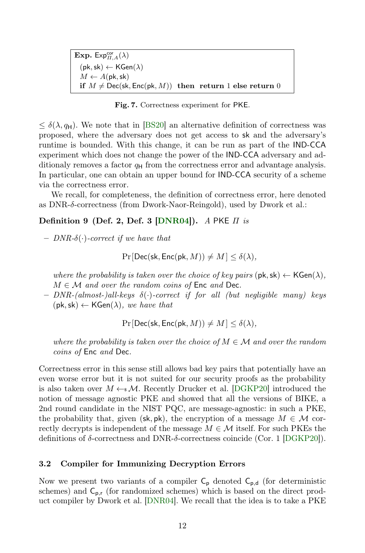Exp.  $\mathsf{Expexp}_{\Pi,A}^{\mathsf{cor}}(\lambda)$  $(\mathsf{pk},\mathsf{sk}) \leftarrow \mathsf{KGen}(\lambda)$  $M \leftarrow A(\mathsf{pk},\mathsf{sk})$ if  $M \neq$  Dec(sk, Enc(pk, M)) then return 1 else return 0

<span id="page-11-0"></span>Fig. 7. Correctness experiment for PKE.

 $\leq \delta(\lambda, q_H)$ . We note that in [\[BS20\]](#page-35-5) an alternative definition of correctness was proposed, where the adversary does not get access to sk and the adversary's runtime is bounded. With this change, it can be run as part of the IND-CCA experiment which does not change the power of the IND-CCA adversary and additionaly removes a factor  $q_H$  from the correctness error and advantage analysis. In particular, one can obtain an upper bound for IND-CCA security of a scheme via the correctness error.

We recall, for completeness, the definition of correctness error, here denoted as DNR-δ-correctness (from Dwork-Naor-Reingold), used by Dwork et al.:

### Definition 9 (Def. 2, Def. 3  $\text{DNR04}$ ). A PKE  $\pi$  is

– DNR-δ(·)-correct if we have that

$$
\Pr[\mathsf{Dec}(\mathsf{sk}, \mathsf{Enc}(\mathsf{pk}, M)) \neq M] \leq \delta(\lambda),
$$

where the probability is taken over the choice of key pairs  $(\mathsf{pk}, \mathsf{sk}) \leftarrow \mathsf{KGen}(\lambda)$ ,  $M \in \mathcal{M}$  and over the random coins of Enc and Dec.

 $-$  DNR-(almost-)all-keys  $\delta(\cdot)$ -correct if for all (but negligible many) keys  $(\mathsf{pk},\mathsf{sk}) \leftarrow \mathsf{KGen}(\lambda)$ , we have that

 $Pr[Dec(\mathsf{sk}, Enc(\mathsf{pk}, M)) \neq M] < \delta(\lambda),$ 

where the probability is taken over the choice of  $M \in \mathcal{M}$  and over the random coins of Enc and Dec.

Correctness error in this sense still allows bad key pairs that potentially have an even worse error but it is not suited for our security proofs as the probability is also taken over  $M \leftarrow \mathcal{M}$ . Recently Drucker et al. [\[DGKP20\]](#page-35-8) introduced the notion of message agnostic PKE and showed that all the versions of BIKE, a 2nd round candidate in the NIST PQC, are message-agnostic: in such a PKE, the probability that, given (sk, pk), the encryption of a message  $M \in \mathcal{M}$  correctly decrypts is independent of the message  $M \in \mathcal{M}$  itself. For such PKEs the definitions of  $\delta$ -correctness and DNR- $\delta$ -correctness coincide (Cor. 1 [\[DGKP20\]](#page-35-8)).

### <span id="page-11-1"></span>3.2 Compiler for Immunizing Decryption Errors

Now we present two variants of a compiler  $C_p$  denoted  $C_{p,d}$  (for deterministic schemes) and  $C_{p,r}$  (for randomized schemes) which is based on the direct product compiler by Dwork et al. [\[DNR04\]](#page-35-6). We recall that the idea is to take a PKE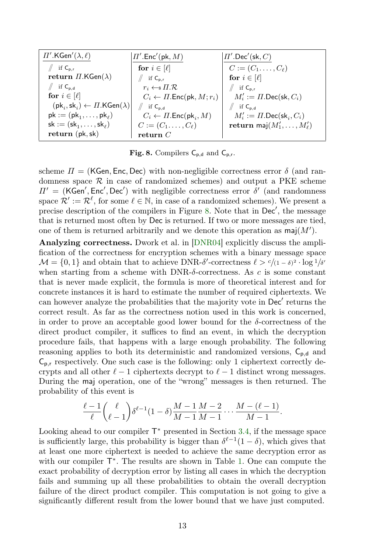| $\Pi'.$ KGen' $(\lambda, \ell)$                                        | $\Pi'.$ Enc'(pk, $M$ )                           | $ \varPi'.\mathsf{Dec}'(\mathsf{sk},C) $      |
|------------------------------------------------------------------------|--------------------------------------------------|-----------------------------------------------|
| if $C_{p,r}$                                                           | for $i \in [\ell]$                               | $C := (C_1, \ldots, C_\ell)$                  |
| return $\Pi$ .KGen $(\lambda)$                                         | if $C_{p,r}$                                     | for $i \in [\ell]$                            |
| if $C_{p,d}$                                                           | $r_i \leftarrow \text{s } \Pi \cdot \mathcal{R}$ | $\parallel$ if $C_{p,r}$                      |
| for $i \in [\ell]$                                                     | $C_i \leftarrow \Pi$ . Enc(pk, $M; r_i$ )        | $M'_i := \Pi$ . Dec(sk, $C_i$ )               |
| $(\mathsf{pk}_i, \mathsf{sk}_i) \leftarrow \Pi.\mathsf{KGen}(\lambda)$ | $\parallel$ if $C_{p,d}$                         | $\parallel$ if $C_{p,d}$                      |
| $pk := (pk_1, \ldots, pk_\ell)$                                        | $C_i \leftarrow \Pi$ . Enc(pk,, M)               | $M'_i := \Pi$ . Dec(sk <sub>i</sub> , $C_i$ ) |
| $sk := (sk_1, \ldots, sk_\ell)$                                        | $C := (C_1, \ldots, C_{\ell})$                   | return maj $(M'_1,\ldots,M'_\ell)$            |
| return (pk, sk)                                                        | return $C$                                       |                                               |

<span id="page-12-0"></span>Fig. 8. Compilers  $C_{p,d}$  and  $C_{p,r}$ .

scheme  $\Pi = (KGen, Enc, Dec)$  with non-negligible correctness error  $\delta$  (and randomness space  $\mathcal R$  in case of randomized schemes) and output a PKE scheme  $\Pi' = (KGen', Enc', Dec')$  with negligible correctness error  $\delta'$  (and randomness space  $\mathcal{R}':=\mathcal{R}^{\ell}$ , for some  $\ell \in \mathbb{N}$ , in case of a randomized schemes). We present a precise description of the compilers in Figure [8.](#page-12-0) Note that in  $Dec',$  the message that is returned most often by Dec is returned. If two or more messages are tied, one of them is returned arbitrarily and we denote this operation as  $\textsf{maj}(M')$ .

Analyzing correctness. Dwork et al. in [\[DNR04\]](#page-35-6) explicitly discuss the amplification of the correctness for encryption schemes with a binary message space  $\mathcal{M} = \{0, 1\}$  and obtain that to achieve DNR- $\delta'$ -correctness  $\ell > c/(1 - \delta)^2 \cdot \log 1/\delta'$ when starting from a scheme with  $\text{DNR-}\delta$ -correctness. As c is some constant that is never made explicit, the formula is more of theoretical interest and for concrete instances it is hard to estimate the number of required ciphertexts. We can however analyze the probabilities that the majority vote in Dec' returns the correct result. As far as the correctness notion used in this work is concerned, in order to prove an acceptable good lower bound for the  $\delta$ -correctness of the direct product compiler, it suffices to find an event, in which the decryption procedure fails, that happens with a large enough probability. The following reasoning applies to both its deterministic and randomized versions,  $C_{p,d}$  and  $C_{p,r}$  respectively. One such case is the following: only 1 ciphertext correctly decrypts and all other  $\ell - 1$  ciphertexts decrypt to  $\ell - 1$  distinct wrong messages. During the maj operation, one of the "wrong" messages is then returned. The probability of this event is

$$
\frac{\ell-1}{\ell}\binom{\ell}{\ell-1}\delta^{\ell-1}(1-\delta)\frac{M-1}{M-1}\frac{M-2}{M-1}\cdots\frac{M-(\ell-1)}{M-1}.
$$

Looking ahead to our compiler  $\mathsf{T}^*$  presented in Section [3.4,](#page-16-0) if the message space is sufficiently large, this probability is bigger than  $\delta^{\ell-1}(1-\delta)$ , which gives that at least one more ciphertext is needed to achieve the same decryption error as with our compiler  $T^*$ . The results are shown in Table [1.](#page-13-1) One can compute the exact probability of decryption error by listing all cases in which the decryption fails and summing up all these probabilities to obtain the overall decryption failure of the direct product compiler. This computation is not going to give a significantly different result from the lower bound that we have just computed.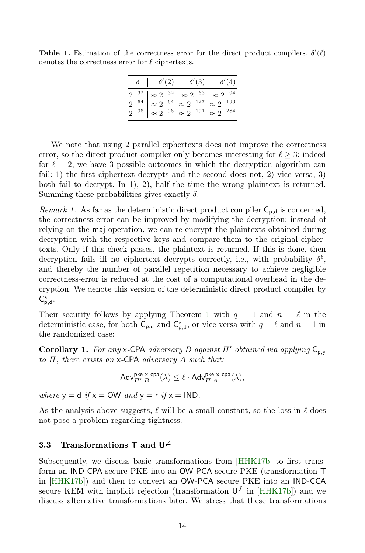<span id="page-13-1"></span>**Table 1.** Estimation of the correctness error for the direct product compilers.  $\delta'(\ell)$ denotes the correctness error for  $\ell$  ciphertexts.

| $\delta$   $\delta'(2)$ | $\delta'(3)$                                                                                                                                                                                                                         | $\delta'(4)$ |
|-------------------------|--------------------------------------------------------------------------------------------------------------------------------------------------------------------------------------------------------------------------------------|--------------|
|                         | $\begin{array}{c c} 2^{-32} & \approx 2^{-32} & \approx 2^{-63} & \approx 2^{-94} \\ 2^{-64} & \approx 2^{-64} & \approx 2^{-127} & \approx 2^{-190} \\ 2^{-96} & \approx 2^{-96} & \approx 2^{-191} & \approx 2^{-284} \end{array}$ |              |
|                         |                                                                                                                                                                                                                                      |              |
|                         |                                                                                                                                                                                                                                      |              |

We note that using 2 parallel ciphertexts does not improve the correctness error, so the direct product compiler only becomes interesting for  $\ell \geq 3$ : indeed for  $\ell = 2$ , we have 3 possible outcomes in which the decryption algorithm can fail: 1) the first ciphertext decrypts and the second does not, 2) vice versa, 3) both fail to decrypt. In 1), 2), half the time the wrong plaintext is returned. Summing these probabilities gives exactly  $\delta$ .

Remark 1. As far as the deterministic direct product compiler  $C_{p,d}$  is concerned, the correctness error can be improved by modifying the decryption: instead of relying on the maj operation, we can re-encrypt the plaintexts obtained during decryption with the respective keys and compare them to the original ciphertexts. Only if this check passes, the plaintext is returned. If this is done, then decryption fails iff no ciphertext decrypts correctly, i.e., with probability  $\delta^{\ell}$ , and thereby the number of parallel repetition necessary to achieve negligible correctness-error is reduced at the cost of a computational overhead in the decryption. We denote this version of the deterministic direct product compiler by  $C_{p,d}^*$ .

Their security follows by applying Theorem [1](#page-7-0) with  $q = 1$  and  $n = \ell$  in the deterministic case, for both  $C_{p,d}$  and  $C_{p,d}^*$ , or vice versa with  $q = \ell$  and  $n = 1$  in the randomized case:

Corollary 1. For any x-CPA adversary B against  $\Pi'$  obtained via applying  $C_{p,y}$ to  $\Pi$ , there exists an  $x$ -CPA adversary  $A$  such that:

<span id="page-13-0"></span>
$$
\mathsf{Adv}_{\varPi',B}^{\mathsf{pke-x-cpa}}(\lambda) \leq \ell \cdot \mathsf{Adv}_{\varPi,A}^{\mathsf{pke-x-cpa}}(\lambda),
$$

where  $y = d$  if  $x = OW$  and  $y = r$  if  $x = IND$ .

As the analysis above suggests,  $\ell$  will be a small constant, so the loss in  $\ell$  does not pose a problem regarding tightness.

### 3.3 Transformations T and  $U^{\mu}$

Subsequently, we discuss basic transformations from [\[HHK17b\]](#page-37-9) to first transform an IND-CPA secure PKE into an OW-PCA secure PKE (transformation T in [\[HHK17b\]](#page-37-9)) and then to convert an OW-PCA secure PKE into an IND-CCA secure KEM with implicit rejection (transformation  $\mathsf{U}^{\not\perp}$  in [\[HHK17b\]](#page-37-9)) and we discuss alternative transformations later. We stress that these transformations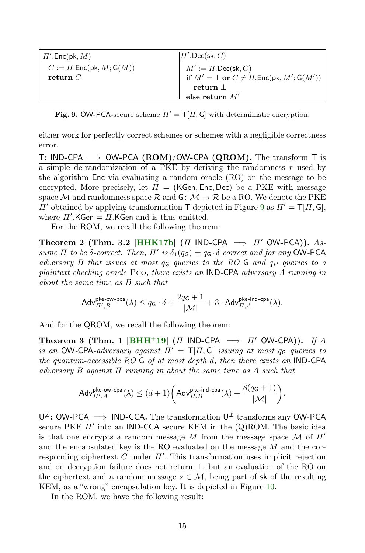| $\Pi'.{\sf Enc}({\sf pk},M)$        | $  \Pi'$ . Dec(sk, $C$ )                                                                                                 |
|-------------------------------------|--------------------------------------------------------------------------------------------------------------------------|
| $C := \Pi$ . Enc(pk, $M$ ; $G(M)$ ) | $M' := \Pi.\mathsf{Dec}(\mathsf{sk}, C)$<br>if $M' = \bot$ or $C \neq \Pi.\mathsf{Enc}(\mathsf{pk}, M'; \mathsf{G}(M'))$ |
| return $C$                          |                                                                                                                          |
|                                     | $return \perp$                                                                                                           |
|                                     | else return ${\cal M}'$                                                                                                  |

<span id="page-14-0"></span>Fig. 9. OW-PCA-secure scheme  $\Pi' = \mathsf{T}[H, \mathsf{G}]$  with deterministic encryption.

either work for perfectly correct schemes or schemes with a negligible correctness error.

T: IND-CPA  $\implies$  OW-PCA (ROM)/OW-CPA (QROM). The transform T is  $\overline{a}$  simple de-randomization of a PKE by deriving the randomness r used by the algorithm Enc via evaluating a random oracle (RO) on the message to be encrypted. More precisely, let  $\Pi = (KGen, Enc, Dec)$  be a PKE with message space M and randomness space R and G:  $M \to \mathcal{R}$  be a RO. We denote the PKE  $\Pi'$  obtained by applying transformation T depicted in Figure [9](#page-14-0) as  $\Pi' = \mathsf{T}[\Pi, \mathsf{G}],$ where  $\Pi'$ .KGen =  $\Pi$ .KGen and is thus omitted.

For the ROM, we recall the following theorem:

Theorem 2 (Thm. 3.2 [\[HHK17b\]](#page-37-9) (Π IND-CPA  $\implies \Pi'$  OW-PCA)). Assume  $\Pi$  to be δ-correct. Then,  $\Pi'$  is  $\delta_1(q_G) = q_G \cdot \delta$  correct and for any OW-PCA adversary B that issues at most  $q_G$  queries to the RO G and  $q_P$  queries to a plaintext checking oracle Pco, there exists an IND-CPA adversary A running in about the same time as B such that

$$
\mathsf{Adv}_{\varPi',B}^{\mathsf{pke\text{-}ow\text{-}pca}}(\lambda) \leq q_{\mathsf{G}} \cdot \delta + \frac{2q_{\mathsf{G}}+1}{|\mathcal{M}|} + 3 \cdot \mathsf{Adv}_{\varPi,A}^{\mathsf{pke\text{-}ind\text{-}cpa}}(\lambda).
$$

And for the QROM, we recall the following theorem:

Theorem 3 (Thm. 1 [\[BHH](#page-34-2)+19] (Π IND-CPA  $\implies \Pi'$  OW-CPA)). If A is an OW-CPA-adversary against  $\Pi' = \mathsf{T}[H, \mathsf{G}]$  issuing at most  $q_{\mathsf{G}}$  queries to the quantum-accessible RO G of at most depth d, then there exists an IND-CPA adversary B against  $\Pi$  running in about the same time as A such that

$$
\mathsf{Adv}_{\varPi',A}^{\mathsf{pke-ow-cpa}}(\lambda) \leq (d+1) \bigg( \mathsf{Adv}_{\varPi,B}^{\mathsf{pke-ind-cpa}}(\lambda) + \frac{8(q_{\mathsf{G}}+1)}{|\mathcal{M}|} \bigg).
$$

U<sup>⊬</sup>: OW-PCA ⇒ IND-CCA. The transformation U<sup>⊬</sup> transforms any OW-PCA secure PKE  $\Pi'$  into an IND-CCA secure KEM in the  $(Q)$ ROM. The basic idea is that one encrypts a random message M from the message space  $\mathcal M$  of  $\Pi'$ and the encapsulated key is the RO evaluated on the message M and the corresponding ciphertext C under  $\Pi'$ . This transformation uses implicit rejection and on decryption failure does not return ⊥, but an evaluation of the RO on the ciphertext and a random message  $s \in \mathcal{M}$ , being part of sk of the resulting KEM, as a "wrong" encapsulation key. It is depicted in Figure [10.](#page-15-0)

<span id="page-14-1"></span>In the ROM, we have the following result: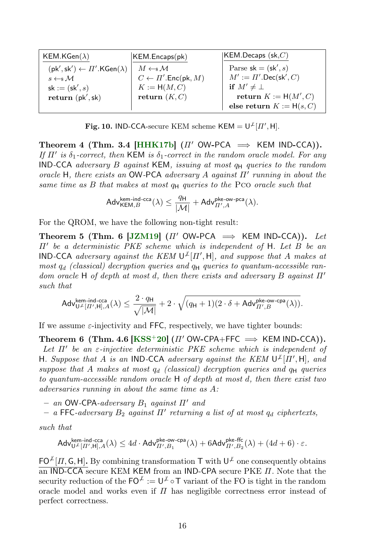| KEM.KGen $(\lambda)$                                                  | KEM.Encaps(pk)                               | $ $ KEM.Decaps $({\sf sk}, C)$             |
|-----------------------------------------------------------------------|----------------------------------------------|--------------------------------------------|
| $(\mathsf{pk}', \mathsf{sk}') \leftarrow \Pi'.\mathsf{KGen}(\lambda)$ | $M \leftarrow s \mathcal{M}$                 | Parse $sk = (sk', s)$                      |
| $s \leftarrow s \mathcal{M}$                                          | $C \leftarrow \varPi'.{\sf Enc}({\sf pk},M)$ | $M' := \Pi'.\mathsf{Dec}(\mathsf{sk}', C)$ |
| $sk := (sk', s)$                                                      | $K := H(M, C)$                               | if $M' \neq \perp$                         |
| return (pk', sk)                                                      | return $(K, C)$                              | return $K := H(M', C)$                     |
|                                                                       |                                              | else return $K := H(s, C)$                 |

<span id="page-15-0"></span>**Fig. 10.** IND-CCA-secure KEM scheme KEM =  $U^{\perp}[H', H]$ .

Theorem 4 (Thm. 3.4 [\[HHK17b\]](#page-37-9)  $(\Pi' \text{ OW-PCA} \implies \text{KEM IND-CCA})$ ). If  $\Pi'$  is  $\delta_1$ -correct, then KEM is  $\delta_1$ -correct in the random oracle model. For any IND-CCA adversary B against KEM, issuing at most  $q_H$  queries to the random oracle H, there exists an OW-PCA adversary A against  $\Pi'$  running in about the same time as  $B$  that makes at most  $q_H$  queries to the Pco oracle such that

<span id="page-15-1"></span>
$$
\mathsf{Adv}_{\mathsf{KEM},B}^{\mathsf{kem-ind}\text{-}\mathsf{cca}}(\lambda) \leq \frac{q_{\mathsf{H}}}{|\mathcal{M}|} + \mathsf{Adv}_{\varPi',A}^{\mathsf{pke\text{-}ow\text{-}pca}}(\lambda).
$$

For the QROM, we have the following non-tight result:

Theorem 5 (Thm. 6 [\[JZM19\]](#page-37-6) (Π' OW-PCA  $\implies$  KEM IND-CCA)). Let  $\Pi'$  be a deterministic PKE scheme which is independent of H. Let B be an **IND-CCA** adversary against the KEM  $\mathsf{U}^{\not\perp}[{\Pi}',\mathsf{H}]$ , and suppose that A makes at most  $q_d$  (classical) decryption queries and  $q_H$  queries to quantum-accessible random oracle H of depth at most d, then there exists and adversary B against  $\Pi'$ such that

$$
\mathsf{Adv}_{\mathsf{U}^{\mathcal{K}[H',\mathsf{H}],A}^{kem-ind\text{-}\mathrm{cca}}(\lambda) \leq \frac{2\cdot q_{\mathsf{H}}}{\sqrt{|\mathcal{M}|}} + 2\cdot\sqrt{(q_{\mathsf{H}}+1)(2\cdot\delta+\mathsf{Adv}_{H',B}^{\mathsf{pk}\text{-}\mathrm{ow}\text{-}\mathrm{cpa}}(\lambda))}.
$$

If we assume  $\varepsilon$ -injectivity and FFC, respectively, we have tighter bounds:

Theorem 6 (Thm. 4.6  $[KSS^+20]$  $[KSS^+20]$  ( $\Pi'$  OW-CPA+FFC  $\implies$  KEM IND-CCA)). Let  $\Pi'$  be an  $\varepsilon$ -injective deterministic PKE scheme which is independent of H. Suppose that A is an IND-CCA adversary against the KEM  $\mathsf{U}^{\not\perp}[\Pi',\mathsf{H}]$ , and suppose that A makes at most  $q_d$  (classical) decryption queries and  $q_H$  queries to quantum-accessible random oracle H of depth at most d, then there exist two adversaries running in about the same time as A:

– an OW-CPA-adversary  $B_1$  against  $\Pi'$  and

 $-$  a FFC-adversary  $B_2$  against  $\Pi'$  returning a list of at most  $q_d$  ciphertexts,

such that

$$
\mathsf{Adv}_{\mathsf{U}^{\mathcal{F}}[II',\mathsf{H}],A}^{\mathsf{hem}\text{-}\mathsf{ind}\text{-}\mathsf{cca}}(\lambda) \le 4d\cdot\mathsf{Adv}_{II',B_1}^{\mathsf{pke\text{-}\mathsf{cyc}}\text{-}\mathsf{cpa}}(\lambda) + 6\mathsf{Adv}_{II',B_2}^{\mathsf{pke\text{-}\mathsf{ffc}}}(\lambda) + (4d+6)\cdot\varepsilon.
$$

 $FO^{\mathcal{L}}[H, G, H]$ . By combining transformation T with  $U^{\mathcal{L}}$  one consequently obtains an IND-CCA secure KEM KEM from an IND-CPA secure PKE  $\Pi$ . Note that the security reduction of the  $\mathsf{FO}^{\mathcal{L}} := \mathsf{U}^{\mathcal{L}} \circ \mathsf{T}$  variant of the FO is tight in the random oracle model and works even if  $\Pi$  has negligible correctness error instead of perfect correctness.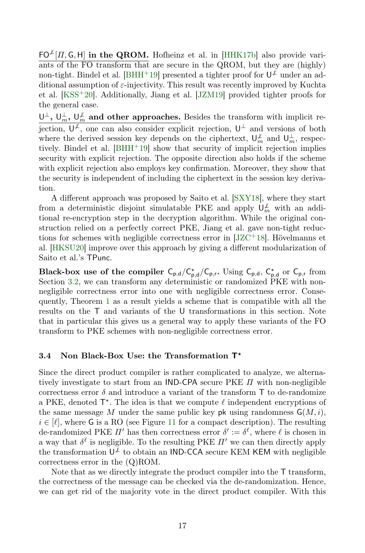$FO^{\perp}[\Pi, G, H]$  in the QROM. Hofheinz et al. in [\[HHK17b\]](#page-37-9) also provide variants of the FO transform that are secure in the QROM, but they are (highly) non-tight. Bindel et al. [\[BHH](#page-34-2)<sup>+</sup>19] presented a tighter proof for  $\mathsf{U}^{\neq}$  under an additional assumption of  $\varepsilon$ -injectivity. This result was recently improved by Kuchta et al. [\[KSS](#page-37-8)+20]. Additionally, Jiang et al. [\[JZM19\]](#page-37-6) provided tighter proofs for the general case.

 $\cup^{\perp}$ ,  $\cup^{\perp}_m$ ,  $\cup^{\perp}_m$  and other approaches. Besides the transform with implicit rejection,  $\mathsf{U}^{\perp}$ , one can also consider explicit rejection,  $\mathsf{U}^{\perp}$  and versions of both where the derived session key depends on the ciphertext,  $\mathsf{U}_m^{\perp}$  and  $\mathsf{U}_m^{\perp}$ , respectively. Bindel et al.  $[BHH^+19]$  $[BHH^+19]$  show that security of implicit rejection implies security with explicit rejection. The opposite direction also holds if the scheme with explicit rejection also employs key confirmation. Moreover, they show that the security is independent of including the ciphertext in the session key derivation.

A different approach was proposed by Saito et al. [\[SXY18\]](#page-39-0), where they start from a deterministic disjoint simulatable PKE and apply  $\mathsf{U}_m^{\neq}$  with an additional re-encryption step in the decryption algorithm. While the original construction relied on a perfectly correct PKE, Jiang et al. gave non-tight reductions for schemes with negligible correctness error in  $[JZC^{+1}8]$  $[JZC^{+1}8]$ . Hövelmanns et al. [\[HKSU20\]](#page-37-7) improve over this approach by giving a different modularization of Saito et al.'s TPunc.

Black-box use of the compiler  $C_{p,d}/C_{p,d}^*/C_{p,r}$ . Using  $C_{p,d}$ ,  $C_{p,d}^*$  or  $C_{p,r}$  from Section [3.2,](#page-11-1) we can transform any deterministic or randomized PKE with nonnegligible correctness error into one with negligible correctness error. Consequently, Theorem [1](#page-13-0) as a result yields a scheme that is compatible with all the results on the T and variants of the U transformations in this section. Note that in particular this gives us a general way to apply these variants of the FO transform to PKE schemes with non-negligible correctness error.

### <span id="page-16-0"></span>3.4 Non Black-Box Use: the Transformation  $T^*$

Since the direct product compiler is rather complicated to analyze, we alternatively investigate to start from an IND-CPA secure PKE  $\Pi$  with non-negligible correctness error  $\delta$  and introduce a variant of the transform T to de-randomize a PKE, denoted  $T^*$ . The idea is that we compute  $\ell$  independent encryptions of the same message M under the same public key pk using randomness  $G(M, i)$ ,  $i \in [\ell],$  where G is a RO (see Figure [11](#page-17-1) for a compact description). The resulting de-randomized PKE  $\Pi'$  has then correctness error  $\delta' := \delta^{\ell}$ , where  $\ell$  is chosen in a way that  $\delta^{\ell}$  is negligible. To the resulting PKE  $\Pi'$  we can then directly apply the transformation  $\mathsf{U}^{\not\perp}$  to obtain an IND-CCA secure KEM KEM with negligible correctness error in the (Q)ROM.

Note that as we directly integrate the product compiler into the T transform, the correctness of the message can be checked via the de-randomization. Hence, we can get rid of the majority vote in the direct product compiler. With this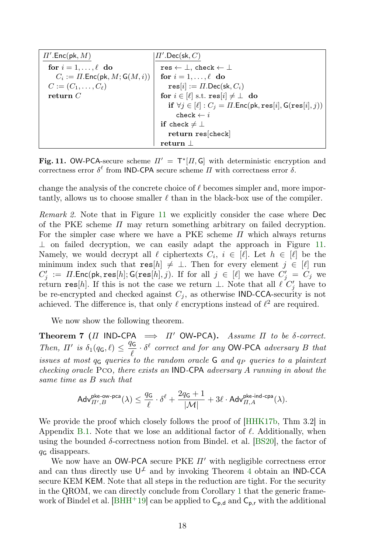| $\Pi'.{\sf Enc}({\sf pk},M)$                                      | $\Pi'.\mathsf{Dec}(\mathsf{sk}, C)$                                     |
|-------------------------------------------------------------------|-------------------------------------------------------------------------|
| for $i = 1, \ldots, \ell$ do                                      | res $\leftarrow \perp$ , check $\leftarrow \perp$                       |
| $C_i := \Pi$ . Enc(pk, $M$ ; $G(M, i)$ )   for $i = 1, , \ell$ do |                                                                         |
| $C := (C_1, \ldots, C_\ell)$                                      | $res[i] := \Pi$ . Dec(sk, $C_i$ )                                       |
| return $C$                                                        | for $i \in [\ell]$ s.t. res $[i] \neq \bot$ do                          |
|                                                                   | if $\forall j \in [\ell]: C_j = \Pi$ . Enc(pk, res[i], $G(res[i], j)$ ) |
|                                                                   | check $\leftarrow i$                                                    |
|                                                                   | if check $\neq \perp$                                                   |
|                                                                   | return res[check]                                                       |
|                                                                   | return                                                                  |

<span id="page-17-1"></span>Fig. 11. OW-PCA-secure scheme  $\Pi' = \mathsf{T}^{\star}[H,\mathsf{G}]$  with deterministic encryption and correctness error  $\delta^{\ell}$  from IND-CPA secure scheme  $\Pi$  with correctness error  $\delta$ .

change the analysis of the concrete choice of  $\ell$  becomes simpler and, more importantly, allows us to choose smaller  $\ell$  than in the black-box use of the compiler.

<span id="page-17-2"></span>Remark 2. Note that in Figure [11](#page-17-1) we explicitly consider the case where Dec of the PKE scheme  $\Pi$  may return something arbitrary on failed decryption. For the simpler case where we have a PKE scheme  $\Pi$  which always returns ⊥ on failed decryption, we can easily adapt the approach in Figure [11.](#page-17-1) Namely, we would decrypt all  $\ell$  ciphertexts  $C_i$ ,  $i \in [\ell]$ . Let  $h \in [\ell]$  be the minimum index such that res $[h] \neq \perp$ . Then for every element  $j \in [\ell]$  run  $C'_j := \Pi.\mathsf{Enc}(\mathsf{pk}, \mathsf{res}[h]; \mathsf{G}(\mathsf{res}[h], j)$ . If for all  $j \in [\ell]$  we have  $C'_j = C_j$  we return res[h]. If this is not the case we return  $\perp$ . Note that all  $\ell \tilde{C}'_j$  have to be re-encrypted and checked against  $C_i$ , as otherwise IND-CCA-security is not achieved. The difference is, that only  $\ell$  encryptions instead of  $\ell^2$  are required.

We now show the following theorem.

**Theorem 7** (Π IND-CPA  $\implies \Pi'$  OW-PCA). Assume  $\Pi$  to be δ-correct. Then,  $\Pi'$  is  $\delta_1(q_{\mathsf{G}}, \ell) \leq \frac{q_{\mathsf{G}}}{\ell}$  $\frac{dG}{\ell} \cdot \delta^{\ell}$  correct and for any OW-PCA adversary B that issues at most  $q_{\mathsf{G}}$  queries to the random oracle  $\mathsf{G}$  and  $q_P$  queries to a plaintext checking oracle Pco, there exists an IND-CPA adversary A running in about the same time as B such that

<span id="page-17-0"></span>
$$
\mathsf{Adv}_{\varPi',B}^{\mathsf{pke-ow-pca}}(\lambda) \leq \frac{q_\mathsf{G}}{\ell} \cdot \delta^\ell + \frac{2q_\mathsf{G}+1}{|\mathcal{M}|} + 3 \ell \cdot \mathsf{Adv}_{\varPi,A}^{\mathsf{pke-ind-cpa}}(\lambda).
$$

We provide the proof which closely follows the proof of  $[HHK17b, Thm 3.2]$  $[HHK17b, Thm 3.2]$  in Appendix [B.1.](#page-41-0) Note that we lose an additional factor of  $\ell$ . Additionally, when using the bounded  $\delta$ -correctness notion from Bindel. et al. [\[BS20\]](#page-35-5), the factor of  $q<sub>G</sub>$  disappears.

We now have an OW-PCA secure PKE  $\Pi'$  with negligible correctness error and can thus directly use  $\mathsf{U}^{\neq}$  and by invoking Theorem [4](#page-14-1) obtain an IND-CCA secure KEM KEM. Note that all steps in the reduction are tight. For the security in the QROM, we can directly conclude from Corollary [1](#page-13-0) that the generic frame-work of Bindel et al. [\[BHH](#page-34-2)<sup>+</sup>19] can be applied to  $C_{p,d}$  and  $C_{p,r}$  with the additional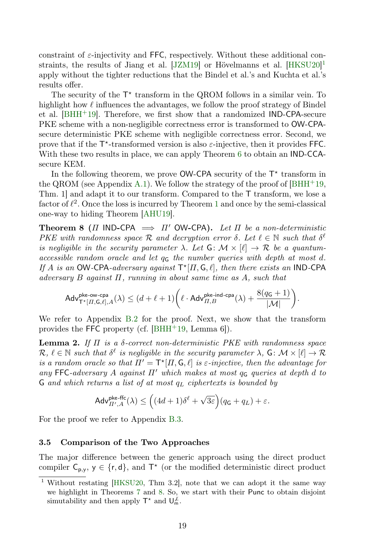constraint of  $\varepsilon$ -injectivity and FFC, respectively. Without these additional constraints, the results of Jiang et al. [\[JZM19\]](#page-37-6) or Hövelmanns et al. [\[HKSU20\]](#page-37-7) [1](#page-18-2) apply without the tighter reductions that the Bindel et al.'s and Kuchta et al.'s results offer.

The security of the  $T^*$  transform in the QROM follows in a similar vein. To highlight how  $\ell$  influences the advantages, we follow the proof strategy of Bindel et al.  $[BHH^+19]$  $[BHH^+19]$ . Therefore, we first show that a randomized IND-CPA-secure PKE scheme with a non-negligible correctness error is transformed to OW-CPAsecure deterministic PKE scheme with negligible correctness error. Second, we prove that if the  $T^*$ -transformed version is also  $\varepsilon$ -injective, then it provides FFC. With these two results in place, we can apply Theorem [6](#page-15-1) to obtain an IND-CCAsecure KEM.

In the following theorem, we prove  $OW-CPA$  security of the  $T^*$  transform in the QROM (see Appendix [A.1\)](#page-39-1). We follow the strategy of the proof of  $[BHH^+19,$  $[BHH^+19,$ Thm. 1] and adapt it to our transform. Compared to the T transform, we lose a factor of  $\ell^2$ . Once the loss is incurred by Theorem [1](#page-7-0) and once by the semi-classical one-way to hiding Theorem [\[AHU19\]](#page-33-2).

**Theorem 8** (Π IND-CPA  $\implies \Pi'$  OW-CPA). Let  $\Pi$  be a non-deterministic PKE with randomness space  $\mathcal R$  and decryption error  $\delta$ . Let  $\ell \in \mathbb N$  such that  $\delta^{\ell}$ is negligible in the security parameter  $\lambda$ . Let  $G: \mathcal{M} \times [\ell] \to \mathcal{R}$  be a quantumaccessible random oracle and let  $q_{\mathsf{G}}$  the number queries with depth at most d. If A is an OW-CPA-adversary against  $\mathsf{T}^{\star}[H,\mathsf{G},\ell]$ , then there exists an IND-CPA adversary B against  $\Pi$ , running in about same time as A, such that

<span id="page-18-1"></span>
$$
\mathsf{Adv}_{\mathsf{T}^{\star}[H, \mathsf{G}, \ell], A}^{\mathsf{pke\text{-}ow\text{-}cpa}}(\lambda) \leq (d+\ell+1)\bigg(\ell\cdot \mathsf{Adv}_{H, B}^{\mathsf{pke\text{-}ind\text{-}cpa}}(\lambda)+\frac{8(q_{\mathsf{G}}+1)}{|\mathcal{M}|}\bigg).
$$

We refer to Appendix [B.2](#page-43-0) for the proof. Next, we show that the transform provides the FFC property (cf.  $[BHH+19, Lemma 6]$  $[BHH+19, Lemma 6]$ ).

**Lemma 2.** If  $\Pi$  is a  $\delta$ -correct non-deterministic PKE with randomness space  $\mathcal{R}, \ell \in \mathbb{N}$  such that  $\delta^{\ell}$  is negligible in the security parameter  $\lambda$ ,  $G: \mathcal{M} \times [\ell] \to \mathcal{R}$ is a random oracle so that  $\Pi' = \mathsf{T}^*[\Pi, \mathsf{G}, \ell]$  is  $\varepsilon$ -injective, then the advantage for any FFC-adversary A against  $\Pi'$  which makes at most  $q_{\mathsf{G}}$  queries at depth d to  $G$  and which returns a list of at most  $q_L$  ciphertexts is bounded by

<span id="page-18-0"></span>
$$
\mathsf{Adv}_{\varPi',A}^{\mathsf{pke\text{-}ffc}}(\lambda) \leq \Big((4d+1)\delta^{\ell} + \sqrt{3\varepsilon}\Big)(q_{\mathsf{G}} + q_{L}) + \varepsilon.
$$

For the proof we refer to Appendix [B.3.](#page-44-0)

#### 3.5 Comparison of the Two Approaches

The major difference between the generic approach using the direct product compiler  $C_{p,y}$ ,  $y \in \{r, d\}$ , and  $T^*$  (or the modified deterministic direct product

<span id="page-18-2"></span><sup>&</sup>lt;sup>1</sup> Without restating [\[HKSU20,](#page-37-7) Thm 3.2], note that we can adopt it the same way we highlight in Theorems [7](#page-17-0) and [8.](#page-18-1) So, we start with their Punc to obtain disjoint simutability and then apply  $\mathsf{T}^*$  and  $\mathsf{U}_m^{\not\perp}$ .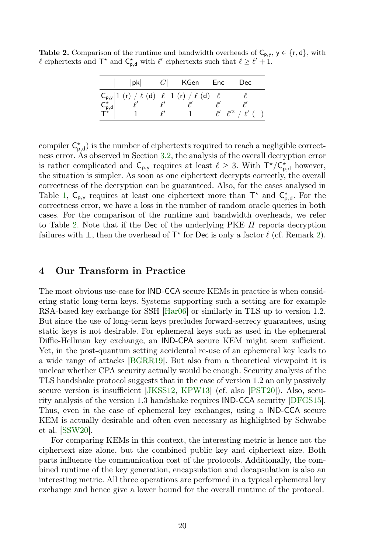<span id="page-19-0"></span>**Table 2.** Comparison of the runtime and bandwidth overheads of  $C_{p,y}$ ,  $y \in \{r, d\}$ , with  $\ell$  ciphertexts and  $\mathsf{T}^*$  and  $\mathsf{C}_{\mathsf{p},\mathsf{d}}^*$  with  $\ell'$  ciphertexts such that  $\ell \geq \ell' + 1$ .

| $ {\sf pk} $ | $ C $ KGen Enc                                                                                                                                                                                                                                                                                        | Dec                                     |
|--------------|-------------------------------------------------------------------------------------------------------------------------------------------------------------------------------------------------------------------------------------------------------------------------------------------------------|-----------------------------------------|
|              | $\begin{array}{c cc} C_{\mathsf{p},\mathsf{y}} & 1 & ( \mathsf{r}) \neq \ell \ \mathsf{C}_{\mathsf{p},\mathsf{d}}^{\star} & \ell' & \ell' & \ell' & \ell' \\ \mathsf{C}_{\mathsf{p},\mathsf{d}}^{\star} & \ell' & \ell' & \ell' & \ell' \\ \mathsf{T}^{\star} & 1 & \ell' & 1 & \ell' \\ \end{array}$ | $\ell'$ $\ell'^2$ / $\ell'$ ( $\perp$ ) |

compiler  $C_{p,d}^*$ ) is the number of ciphertexts required to reach a negligible correctness error. As observed in Section [3.2,](#page-11-1) the analysis of the overall decryption error is rather complicated and  $C_{p,y}$  requires at least  $\ell \geq 3$ . With  $T^*/C^*_{p,d}$  however, the situation is simpler. As soon as one ciphertext decrypts correctly, the overall correctness of the decryption can be guaranteed. Also, for the cases analysed in Table [1,](#page-13-1)  $C_{p,y}$  requires at least one ciphertext more than  $T^*$  and  $C_{p,d}^*$ . For the correctness error, we have a loss in the number of random oracle queries in both cases. For the comparison of the runtime and bandwidth overheads, we refer to Table [2.](#page-19-0) Note that if the Dec of the underlying PKE  $\Pi$  reports decryption failures with  $\perp$ , then the overhead of  $\mathsf{T}^{\star}$  for Dec is only a factor  $\ell$  (cf. Remark [2\)](#page-17-2).

### 4 Our Transform in Practice

The most obvious use-case for IND-CCA secure KEMs in practice is when considering static long-term keys. Systems supporting such a setting are for example RSA-based key exchange for SSH [\[Har06\]](#page-37-11) or similarly in TLS up to version 1.2. But since the use of long-term keys precludes forward-secrecy guarantees, using static keys is not desirable. For ephemeral keys such as used in the ephemeral Diffie-Hellman key exchange, an IND-CPA secure KEM might seem sufficient. Yet, in the post-quantum setting accidental re-use of an ephemeral key leads to a wide range of attacks [\[BGRR19\]](#page-34-8). But also from a theoretical viewpoint it is unclear whether CPA security actually would be enough. Security analysis of the TLS handshake protocol suggests that in the case of version 1.2 an only passively secure version is insufficient [\[JKSS12,](#page-37-1) [KPW13\]](#page-37-2) (cf. also [\[PST20\]](#page-38-1)). Also, security analysis of the version 1.3 handshake requires IND-CCA security [\[DFGS15\]](#page-35-1). Thus, even in the case of ephemeral key exchanges, using a IND-CCA secure KEM is actually desirable and often even necessary as highlighted by Schwabe et al. [\[SSW20\]](#page-38-2).

For comparing KEMs in this context, the interesting metric is hence not the ciphertext size alone, but the combined public key and ciphertext size. Both parts influence the communication cost of the protocols. Additionally, the combined runtime of the key generation, encapsulation and decapsulation is also an interesting metric. All three operations are performed in a typical ephemeral key exchange and hence give a lower bound for the overall runtime of the protocol.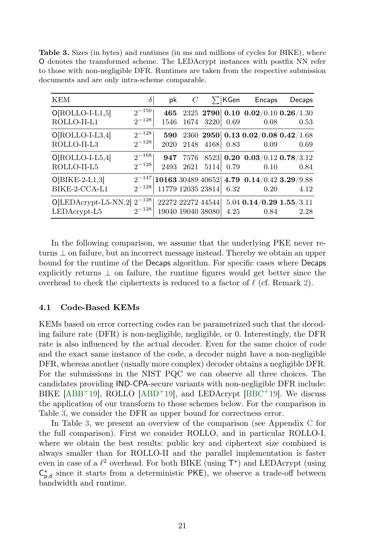<span id="page-20-0"></span>Table 3. Sizes (in bytes) and runtimes (in ms and millions of cycles for BIKE), where O denotes the transformed scheme. The LEDAcrypt instances with postfix NN refer to those with non-negligible DFR. Runtimes are taken from the respective submission documents and are only intra-scheme comparable.

| <b>KEM</b>                                          | $\delta$                 | pk          | $\,C$                                  |           | $\Sigma$  KGen | Encaps                                                          | Decaps |
|-----------------------------------------------------|--------------------------|-------------|----------------------------------------|-----------|----------------|-----------------------------------------------------------------|--------|
| $O[ROLLO-I-L1,5]$<br>ROLLO-II-L1                    | $2^{-150}$<br>$2^{-128}$ | 465<br>1546 |                                        | 1674 3220 | 0.69           | 2325 2790 0.10 0.02/0.10 0.26/1.30<br>0.08                      | 0.53   |
| $O[ROLLO-I-L3,4]$<br>ROLLO-II-L3                    | $2^{-128}$<br>$2^{-128}$ | 590<br>2020 | 2148                                   | 4168      | 0.83           | 2360 2950 0.13 0.02/0.08 0.42/1.68<br>0.09                      | 0.69   |
| $O[ROLLO-I-L5,4]$<br>ROLLO-II-L5                    | $2^{-168}$<br>$2^{-128}$ | 947<br>2493 | 7576<br>2621                           | 5114      | 0.79           | $8523$ 0.20 0.03/0.12 0.78/3.12<br>0.10                         | 0.84   |
| $O[BIKE-2-L1,3]$<br>BIKE-2-CCA-L1                   | $2^{-128}$               |             | 11779 12035 23814                      |           | 6.32           | $2^{-147}$  10163 30489 40652  4.79 0.14/0.42 3.29/9.88<br>0.20 | 4.12   |
| $O[LEDAcrypt-L5-NN,2]$ $2^{-128}$<br>$LEDAcrypt-L5$ | $2^{-128}$               |             | 22272 22272 44544<br>19040 19040 38080 |           | 4.25           | $5.04$ 0.14/0.29 1.55/3.11<br>0.84                              | 2.28   |

In the following comparison, we assume that the underlying PKE never returns ⊥ on failure, but an incorrect message instead. Thereby we obtain an upper bound for the runtime of the Decaps algorithm. For specific cases where Decaps explicitly returns  $\perp$  on failure, the runtime figures would get better since the overhead to check the ciphertexts is reduced to a factor of  $\ell$  (cf. Remark [2\)](#page-17-2).

#### 4.1 Code-Based KEMs

KEMs based on error correcting codes can be parametrized such that the decoding failure rate (DFR) is non-negligible, negligible, or 0. Interestingly, the DFR rate is also influenced by the actual decoder. Even for the same choice of code and the exact same instance of the code, a decoder might have a non-negligible DFR, whereas another (usually more complex) decoder obtains a negligible DFR. For the submissions in the NIST PQC we can observe all three choices. The candidates providing IND-CPA-secure variants with non-negligible DFR include: BIKE  $[ABB^+19]$  $[ABB^+19]$ , ROLLO  $[ABD^+19]$  $[ABD^+19]$ , and LEDAcrypt  $[BBC^+19]$  $[BBC^+19]$ . We discuss the application of our transform to those schemes below. For the comparison in Table [3,](#page-20-0) we consider the DFR as upper bound for correctness error.

In Table [3,](#page-20-0) we present an overview of the comparison (see Appendix [C](#page-47-0) for the full comparison). First we consider ROLLO, and in particular ROLLO-I, where we obtain the best results: public key and ciphertext size combined is always smaller than for ROLLO-II and the parallel implementation is faster even in case of a  $\ell^2$  overhead. For both BIKE (using  $T^*$ ) and LEDAcrypt (using  $C_{p,d}^*$  since it starts from a deterministic PKE), we observe a trade-off between bandwidth and runtime.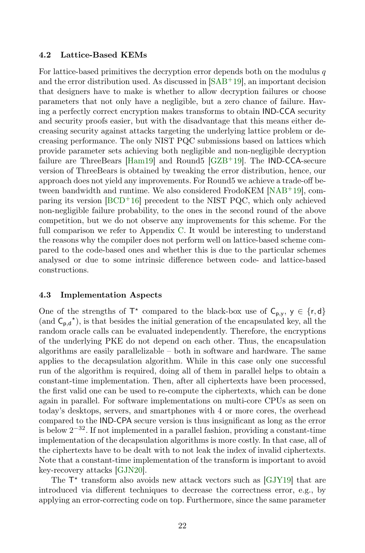#### 4.2 Lattice-Based KEMs

For lattice-based primitives the decryption error depends both on the modulus  $q$ and the error distribution used. As discussed in [\[SAB](#page-38-11)+19], an important decision that designers have to make is whether to allow decryption failures or choose parameters that not only have a negligible, but a zero chance of failure. Having a perfectly correct encryption makes transforms to obtain IND-CCA security and security proofs easier, but with the disadvantage that this means either decreasing security against attacks targeting the underlying lattice problem or decreasing performance. The only NIST PQC submissions based on lattices which provide parameter sets achieving both negligible and non-negligible decryption failure are ThreeBears [\[Ham19\]](#page-37-12) and Round5  $GZB+19$ ]. The IND-CCA-secure version of ThreeBears is obtained by tweaking the error distribution, hence, our approach does not yield any improvements. For Round5 we achieve a trade-off between bandwidth and runtime. We also considered FrodoKEM [\[NAB](#page-38-10)<sup>+</sup>19], comparing its version  $[BCD^+16]$  $[BCD^+16]$  precedent to the NIST PQC, which only achieved non-negligible failure probability, to the ones in the second round of the above competition, but we do not observe any improvements for this scheme. For the full comparison we refer to Appendix [C.](#page-47-0) It would be interesting to understand the reasons why the compiler does not perform well on lattice-based scheme compared to the code-based ones and whether this is due to the particular schemes analysed or due to some intrinsic difference between code- and lattice-based constructions.

#### 4.3 Implementation Aspects

One of the strengths of  $\mathsf{T}^*$  compared to the black-box use of  $\mathsf{C}_{p,y}$ ,  $y \in \{r,d\}$ (and  $C_{p,d}^{\star}$ ), is that besides the initial generation of the encapsulated key, all the random oracle calls can be evaluated independently. Therefore, the encryptions of the underlying PKE do not depend on each other. Thus, the encapsulation algorithms are easily parallelizable – both in software and hardware. The same applies to the decapsulation algorithm. While in this case only one successful run of the algorithm is required, doing all of them in parallel helps to obtain a constant-time implementation. Then, after all ciphertexts have been processed, the first valid one can be used to re-compute the ciphertexts, which can be done again in parallel. For software implementations on multi-core CPUs as seen on today's desktops, servers, and smartphones with 4 or more cores, the overhead compared to the IND-CPA secure version is thus insignificant as long as the error is below  $2^{-32}$ . If not implemented in a parallel fashion, providing a constant-time implementation of the decapsulation algorithms is more costly. In that case, all of the ciphertexts have to be dealt with to not leak the index of invalid ciphertexts. Note that a constant-time implementation of the transform is important to avoid key-recovery attacks [\[GJN20\]](#page-36-9).

The  $T^*$  transform also avoids new attack vectors such as [\[GJY19\]](#page-36-3) that are introduced via different techniques to decrease the correctness error, e.g., by applying an error-correcting code on top. Furthermore, since the same parameter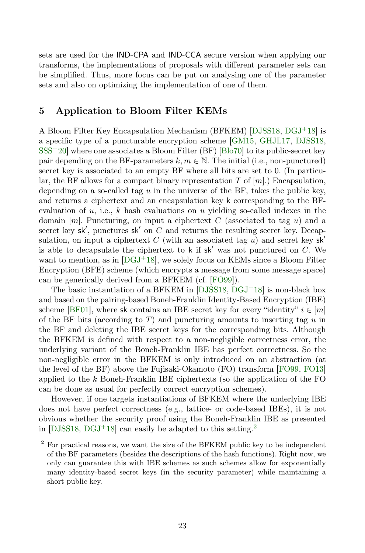sets are used for the IND-CPA and IND-CCA secure version when applying our transforms, the implementations of proposals with different parameter sets can be simplified. Thus, more focus can be put on analysing one of the parameter sets and also on optimizing the implementation of one of them.

### <span id="page-22-0"></span>5 Application to Bloom Filter KEMs

A Bloom Filter Key Encapsulation Mechanism (BFKEM) [\[DJSS18,](#page-35-2) [DGJ](#page-35-3)<sup>+</sup>18] is a specific type of a puncturable encryption scheme [\[GM15,](#page-36-7) [GHJL17,](#page-36-0) [DJSS18,](#page-35-2)  $SSS<sup>+</sup>20$  $SSS<sup>+</sup>20$ ] where one associates a Bloom Filter (BF) [\[Blo70\]](#page-35-9) to its public-secret key pair depending on the BF-parameters  $k, m \in \mathbb{N}$ . The initial (i.e., non-punctured) secret key is associated to an empty BF where all bits are set to 0. (In particular, the BF allows for a compact binary representation  $T$  of  $[m]$ .) Encapsulation, depending on a so-called tag  $u$  in the universe of the BF, takes the public key, and returns a ciphertext and an encapsulation key k corresponding to the BFevaluation of  $u$ , i.e.,  $k$  hash evaluations on  $u$  yielding so-called indexes in the domain  $[m]$ . Puncturing, on input a ciphertext C (associated to tag u) and a secret key  $sk'$ , punctures  $sk'$  on C and returns the resulting secret key. Decapsulation, on input a ciphertext C (with an associated tag u) and secret key  $sk'$ is able to decapsulate the ciphertext to k if  $sk'$  was not punctured on C. We want to mention, as in  $[DGJ+18]$  $[DGJ+18]$ , we solely focus on KEMs since a Bloom Filter Encryption (BFE) scheme (which encrypts a message from some message space) can be generically derived from a BFKEM (cf. [\[FO99\]](#page-36-1)).

The basic instantiation of a BFKEM in  $[DJSS18, DGJ^+18]$  $[DJSS18, DGJ^+18]$  $[DJSS18, DGJ^+18]$  $[DJSS18, DGJ^+18]$  is non-black box and based on the pairing-based Boneh-Franklin Identity-Based Encryption (IBE) scheme [\[BF01\]](#page-34-4), where sk contains an IBE secret key for every "identity"  $i \in [m]$ of the BF bits (according to  $T$ ) and puncturing amounts to inserting tag  $u$  in the BF and deleting the IBE secret keys for the corresponding bits. Although the BFKEM is defined with respect to a non-negligible correctness error, the underlying variant of the Boneh-Franklin IBE has perfect correctness. So the non-negligible error in the BFKEM is only introduced on an abstraction (at the level of the BF) above the Fujisaki-Okamoto (FO) transform [\[FO99,](#page-36-1) [FO13\]](#page-36-2) applied to the k Boneh-Franklin IBE ciphertexts (so the application of the FO can be done as usual for perfectly correct encryption schemes).

However, if one targets instantiations of BFKEM where the underlying IBE does not have perfect correctness (e.g., lattice- or code-based IBEs), it is not obvious whether the security proof using the Boneh-Franklin IBE as presented in  $[DJSS18, DGJ^+18]$  $[DJSS18, DGJ^+18]$  $[DJSS18, DGJ^+18]$  $[DJSS18, DGJ^+18]$  can easily be adapted to this setting.<sup>[2](#page-22-1)</sup>

<span id="page-22-1"></span><sup>&</sup>lt;sup>2</sup> For practical reasons, we want the size of the BFKEM public key to be independent of the BF parameters (besides the descriptions of the hash functions). Right now, we only can guarantee this with IBE schemes as such schemes allow for exponentially many identity-based secret keys (in the security parameter) while maintaining a short public key.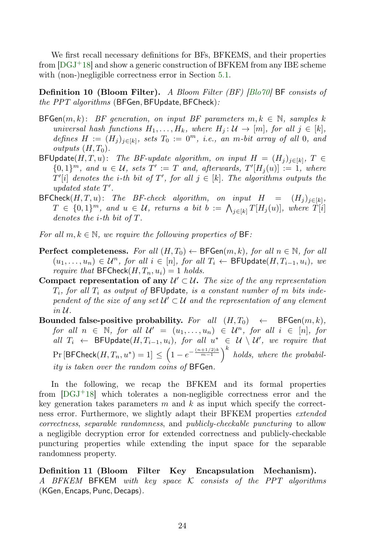We first recall necessary definitions for BFs, BFKEMS, and their properties from  $[{\rm DGJ}^+18]$  and show a generic construction of BFKEM from any IBE scheme with (non-)negligible correctness error in Section [5.1.](#page-25-0)

Definition 10 (Bloom Filter). A Bloom Filter (BF) [\[Blo70\]](#page-35-9) BF consists of the PPT algorithms (BFGen, BFUpdate, BFCheck):

- BFGen $(m, k)$ : BF generation, on input BF parameters  $m, k \in \mathbb{N}$ , samples k universal hash functions  $H_1, \ldots, H_k$ , where  $H_j : \mathcal{U} \to [m]$ , for all  $j \in [k]$ , defines  $H := (H_j)_{j \in [k]}$ , sets  $T_0 := 0^m$ , i.e., an m-bit array of all 0, and outputs  $(H, T_0)$ .
- $\mathsf{BFUpdate}(H, T, u):$  The BF-update algorithm, on input  $H = (H_j)_{j \in [k]}$ ,  $T \in$  ${0,1}<sup>m</sup>$ , and  $u \in U$ , sets  $T' := T$  and, afterwards,  $T'[H_j(u)] := 1$ , where  $T'[i]$  denotes the *i*-th bit of  $T'$ , for all  $j \in [k]$ . The algorithms outputs the updated state  $T'$ .
- $\mathsf{BFCheck}(H, T, u):$  The BF-check algorithm, on input  $H = (H_j)_{j \in [k]},$  $T \in \{0,1\}^m$ , and  $u \in \mathcal{U}$ , returns a bit  $b := \bigwedge_{j \in [k]} T[H_j(u)]$ , where  $T[i]$ denotes the i-th bit of T.
- For all  $m, k \in \mathbb{N}$ , we require the following properties of BF:
- **Perfect completeness.** For all  $(H, T_0) \leftarrow \text{BFGen}(m, k)$ , for all  $n \in \mathbb{N}$ , for all  $(u_1, \ldots, u_n) \in \mathcal{U}^n$ , for all  $i \in [n]$ , for all  $T_i \leftarrow \textsf{BFUpdate}(H, T_{i-1}, u_i)$ , we *require that* BFCheck $(H, T_n, u_i) = 1$  holds.
- Compact representation of any  $\mathcal{U}' \subset \mathcal{U}$ . The size of the any representation  $T_i$ , for all  $T_i$  as output of BFUpdate, is a constant number of m bits independent of the size of any set  $\mathcal{U}' \subset \mathcal{U}$  and the representation of any element in U.
- Bounded false-positive probability. For all  $(H, T_0) \leftarrow$  BFGen $(m, k)$ , for all  $n \in \mathbb{N}$ , for all  $\mathcal{U}' = (u_1, \ldots, u_n) \in \mathcal{U}^n$ , for all  $i \in [n]$ , for all  $T_i$  ← BFUpdate $(H, T_{i-1}, u_i)$ , for all  $u^*$  ∈  $\mathcal{U} \setminus \mathcal{U}'$ , we require that  $Pr[\text{BFCheck}(H, T_n, u^*)=1] \leq \left(1 - e^{-\frac{(n+1/2)k}{m-1}}\right)^k$  holds, where the probability is taken over the random coins of BFGen.

In the following, we recap the BFKEM and its formal properties from  $[DGJ^+18]$  $[DGJ^+18]$  which tolerates a non-negligible correctness error and the key generation takes parameters  $m$  and  $k$  as input which specify the correctness error. Furthermore, we slightly adapt their BFKEM properties *extended* correctness, separable randomness, and publicly-checkable puncturing to allow a negligible decryption error for extended correctness and publicly-checkable puncturing properties while extending the input space for the separable randomness property.

Definition 11 (Bloom Filter Key Encapsulation Mechanism). A BFKEM BFKEM with key space K consists of the PPT algorithms (KGen, Encaps, Punc, Decaps).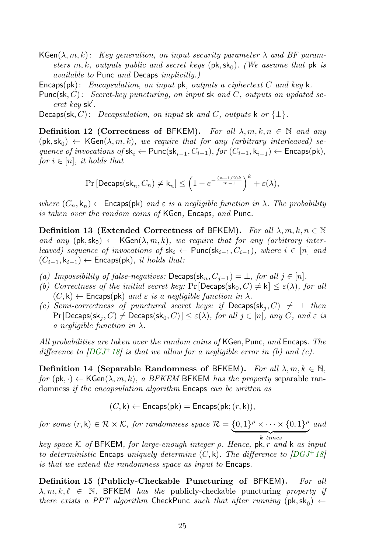- $\mathsf{KGen}(\lambda, m, k)$ : Key generation, on input security parameter  $\lambda$  and BF parameters m, k, outputs public and secret keys  $(\mathsf{pk}, \mathsf{sk}_0)$ . (We assume that  $\mathsf{pk}$  is available to Punc and Decaps implicitly.)
- Encaps(pk): Encapsulation, on input pk, outputs a ciphertext C and key k.
- Punc(sk, C): Secret-key puncturing, on input sk and C, outputs an updated se $cret$   $key$  sk'.
- Decaps(sk, C): Decapsulation, on input sk and C, outputs k or  $\{\perp\}.$

<span id="page-24-0"></span>Definition 12 (Correctness of BFKEM). For all  $\lambda, m, k, n \in \mathbb{N}$  and any  $(\mathsf{pk}, \mathsf{sk}_0) \leftarrow \mathsf{KGen}(\lambda, m, k)$ , we require that for any (arbitrary interleaved) sequence of invocations of  $\mathsf{sk}_i \leftarrow \mathsf{Punc}(\mathsf{sk}_{i-1}, C_{i-1}),$  for  $(C_{i-1}, k_{i-1}) \leftarrow \mathsf{Encaps}(\mathsf{pk}),$ for  $i \in [n]$ , it holds that

$$
\Pr\left[\mathsf{Decaps}(\mathsf{sk}_n, C_n) \neq \mathsf{k}_n\right] \le \left(1 - e^{-\frac{(n+1/2)k}{m-1}}\right)^k + \varepsilon(\lambda),
$$

where  $(C_n, k_n) \leftarrow$  Encaps(pk) and  $\varepsilon$  is a negligible function in  $\lambda$ . The probability is taken over the random coins of KGen, Encaps, and Punc.

<span id="page-24-1"></span>Definition 13 (Extended Correctness of BFKEM). For all  $\lambda, m, k, n \in \mathbb{N}$ and any  $(\mathsf{pk},\mathsf{sk}_0) \leftarrow \mathsf{KGen}(\lambda,m,k)$ , we require that for any (arbitrary interleaved) sequence of invocations of  $sk_i \leftarrow \text{Punc}(sk_{i-1}, C_{i-1})$ , where  $i \in [n]$  and  $(C_{i-1}, k_{i-1}) \leftarrow$  Encaps(pk), it holds that:

- (a) Impossibility of false-negatives:  $\mathsf{Decaps}(\mathsf{sk}_n, C_{i-1}) = \bot$ , for all  $j \in [n]$ .
- (b) Correctness of the initial secret key:  $Pr[Decaps(s k_0, C) \neq k] \leq \varepsilon(\lambda)$ , for all  $(C, \mathsf{k}) \leftarrow$  Encaps(pk) and  $\varepsilon$  is a negligible function in  $\lambda$ .
- (c) Semi-correctness of punctured secret keys: if  $Decaps(sk_i, C) \neq \perp$  then  $Pr[Decaps(\mathsf{sk}_i, C) \neq Decaps(\mathsf{sk}_0, C)] \leq \varepsilon(\lambda)$ , for all  $j \in [n]$ , any C, and  $\varepsilon$  is a negligible function in  $\lambda$ .

All probabilities are taken over the random coins of KGen, Punc, and Encaps. The difference to  $[DGJ^+18]$  $[DGJ^+18]$  is that we allow for a negligible error in (b) and (c).

<span id="page-24-2"></span>**Definition 14 (Separable Randomness of BFKEM).** For all  $\lambda, m, k \in \mathbb{N}$ , for  $(\mathsf{pk}, \cdot) \leftarrow \mathsf{KGen}(\lambda, m, k)$ , a BFKEM BFKEM has the property separable randomness if the encapsulation algorithm Encaps can be written as

$$
(C, \mathsf{k}) \leftarrow \mathsf{Encaps}(\mathsf{pk}) = \mathsf{Encaps}(\mathsf{pk}; (r, \mathsf{k})),
$$

for some  $(r, k) \in \mathcal{R} \times \mathcal{K}$ , for randomness space  $\mathcal{R} = \{0, 1\}^{\rho} \times \cdots \times \{0, 1\}^{\rho}$ k times and

key space  $K$  of BFKEM, for large-enough integer  $\rho$ . Hence,  $pk, r$  and  $k$  as input to deterministic Encaps uniquely determine  $(C, \mathsf{k})$ . The difference to  $[DGJ^+18]$  $[DGJ^+18]$ is that we extend the randomness space as input to Encaps.

<span id="page-24-3"></span>Definition 15 (Publicly-Checkable Puncturing of BFKEM). For all  $\lambda, m, k, \ell \in \mathbb{N}$ , BFKEM has the publicly-checkable puncturing property if there exists a PPT algorithm CheckPunc such that after running  $(\mathsf{pk}, \mathsf{sk}_0) \leftarrow$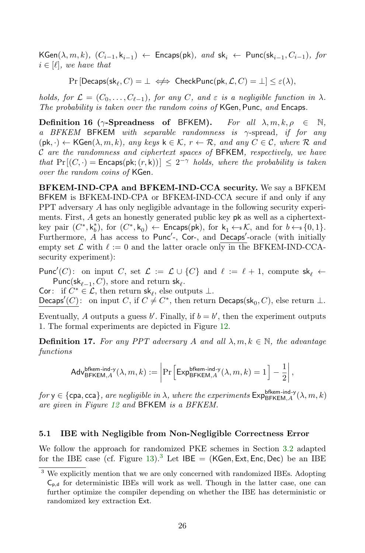$\mathsf{KGen}(\lambda,m,k),\ (C_{i-1},\mathsf{k}_{i-1}) \leftarrow \mathsf{Encaps}(\mathsf{pk}),\ and\ \mathsf{sk}_i \leftarrow \mathsf{Punc}(\mathsf{sk}_{i-1},C_{i-1}),\ for$  $i \in [\ell],$  we have that

 $\Pr[\mathsf{Decaps}(\mathsf{sk}_\ell, C) = \bot \iff \mathsf{CheckPunc}(\mathsf{pk}, \mathcal{L}, C) = \bot] \leq \varepsilon(\lambda),$ 

holds, for  $\mathcal{L} = (C_0, \ldots, C_{\ell-1})$ , for any C, and  $\varepsilon$  is a negligible function in  $\lambda$ . The probability is taken over the random coins of KGen, Punc, and Encaps.

Definition 16 ( $\gamma$ -Spreadness of BFKEM). For all  $\lambda, m, k, \rho \in \mathbb{N}$ . a BFKEM BFKEM with separable randomness is  $\gamma$ -spread, if for any  $(\mathsf{pk}, \cdot) \leftarrow \mathsf{KGen}(\lambda, m, k), \text{ any keys } \mathsf{k} \in \mathcal{K}, r \leftarrow \mathcal{R}, \text{ and any } C \in \mathcal{C}, \text{ where } \mathcal{R} \text{ and } \mathcal{R}$  $\cal C$  are the randomness and ciphertext spaces of BFKEM, respectively, we have that  $Pr[(C, \cdot) =$  Encaps(pk;  $(r, k))$ )  $\leq 2^{-\gamma}$  holds, where the probability is taken over the random coins of KGen.

BFKEM-IND-CPA and BFKEM-IND-CCA security. We say a BFKEM BFKEM is BFKEM-IND-CPA or BFKEM-IND-CCA secure if and only if any PPT adversary A has only negligible advantage in the following security experiments. First, A gets an honestly generated public key pk as well as a ciphertextkey pair  $(C^*, k_b^*)$ , for  $(C^*, k_0) \leftarrow$  Encaps(pk), for  $k_1 \leftarrow k$ , and for  $b \leftarrow k \{0, 1\}$ . Furthermore, A has access to Punc'-, Cor-, and Decaps'-oracle (with initially empty set  $\mathcal L$  with  $\ell := 0$  and the latter oracle only in the BFKEM-IND-CCAsecurity experiment):

Punc'(C): on input C, set  $\mathcal{L} := \mathcal{L} \cup \{C\}$  and  $\ell := \ell + 1$ , compute sk<sub> $\ell$ </sub> ← Punc(sk<sub> $\ell-1$ </sub>, C), store and return sk $_{\ell}$ .

Cor: if  $C^* \in \mathcal{L}$ , then return  $sk_\ell$ , else outputs  $\bot$ . Decaps'(C): on input C, if  $C \neq C^*$ , then return Decaps(sk<sub>0</sub>, C), else return  $\perp$ .

Eventually, A outputs a guess  $b'$ . Finally, if  $b = b'$ , then the experiment outputs 1. The formal experiments are depicted in Figure [12.](#page-26-0)

**Definition 17.** For any PPT adversary A and all  $\lambda, m, k \in \mathbb{N}$ , the advantage functions

$$
\mathsf{Adv}_{\mathsf{BFKEM},A}^{\mathsf{bfkem-ind}\text{-}\mathsf{y}}(\lambda,m,k) := \left|\Pr\Big[\mathsf{Exp}_{\mathsf{BFKEM},A}^{\mathsf{bfkem-ind}\text{-}\mathsf{y}}(\lambda,m,k) = 1\Big]-\frac{1}{2}\right|,
$$

 $for$   $y \in \{\textsf{cpa}, \textsf{cca}\},$  are negligible in  $\lambda$ , where the experiments  $\textsf{Exp}_{\textsf{BFKEM}, A}^{\textsf{bfem-ind-y}}(\lambda, m, k)$ are given in Figure [12](#page-26-0) and BFKEM is a BFKEM.

### <span id="page-25-0"></span>5.1 IBE with Negligible from Non-Negligible Correctness Error

We follow the approach for randomized PKE schemes in Section [3.2](#page-11-1) adapted for the IBE case (cf. Figure [13\)](#page-26-1).<sup>[3](#page-25-1)</sup> Let  $IBE = (KGen, Ext, Enc, Dec)$  be an IBE

<span id="page-25-1"></span><sup>&</sup>lt;sup>3</sup> We explicitly mention that we are only concerned with randomized IBEs. Adopting  $C_{p,d}$  for deterministic IBEs will work as well. Though in the latter case, one can further optimize the compiler depending on whether the IBE has deterministic or randomized key extraction Ext.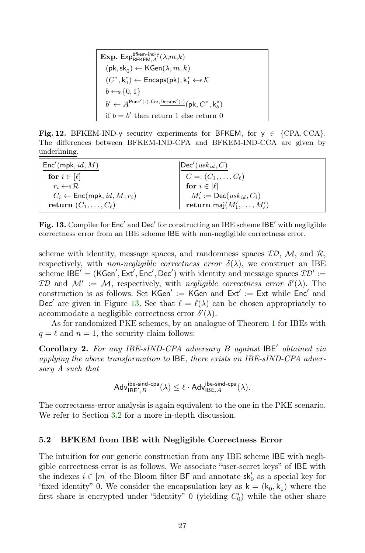**Exp.** Exp $_{\mathsf{BFKEM},A}^{\mathsf{bfkem-ind-y}}(\lambda,m,k)$  $(\mathsf{pk},\mathsf{sk}_0) \leftarrow \mathsf{KGen}(\lambda,m,k)$  $(C^*,\mathsf{k}_0^*) \leftarrow \mathsf{Encaps}(\mathsf{pk}), \mathsf{k}_1^* \leftarrow_\$ \mathcal{K}$  $b \leftarrow \{0, 1\}$  $b' \leftarrow A^{\mathsf{Punc}'(\cdot),\mathsf{Cor},\underline{\mathsf{Decaps}'(\cdot)}}(\mathsf{pk}, C^*, \mathsf{k}_b^*)$ if  $b = b'$  then return 1 else return 0

<span id="page-26-0"></span>Fig. 12. BFKEM-IND-y security experiments for BFKEM, for  $y \in \{CPA, CCA\}$ . The differences between BFKEM-IND-CPA and BFKEM-IND-CCA are given by underlining.

| $Enc'(\mathsf{mpk}, \mathit{id}, M)$                             | $ \mathsf{Dec}'(\mathit{usk}_{\mathit{id}}, C) $                                     |
|------------------------------------------------------------------|--------------------------------------------------------------------------------------|
| for $i \in [\ell]$                                               | $\begin{cases}\nC =: (C_1, \ldots, C_\ell) \\ for i \in [\ell]\n\end{cases}$         |
| $r_i \leftarrow \mathbb{R}$                                      |                                                                                      |
| $C_i \leftarrow \mathsf{Enc}(\mathsf{mpk}, \mathit{id}, M; r_i)$ | $M'_i := \mathsf{Dec}(\text{usk}_{id}, C_i)$<br>return maj $(M'_1, \ldots, M'_\ell)$ |
| return $(C_1,\ldots,C_\ell)$                                     |                                                                                      |

<span id="page-26-1"></span>Fig. 13. Compiler for Enc' and Dec' for constructing an IBE scheme IBE' with negligible correctness error from an IBE scheme IBE with non-negligible correctness error.

scheme with identity, message spaces, and randomness spaces  $\mathcal{ID}, \mathcal{M},$  and  $\mathcal{R},$ respectively, with non-negligible correctness error  $\delta(\lambda)$ , we construct an IBE scheme  $\mathsf{IBE}' = (\mathsf{KGen}', \mathsf{Ext}', \mathsf{Enc}', \mathsf{Dec}')$  with identity and message spaces  $\mathcal{ID}' :=$ *ID* and  $M' := M$ , respectively, with *negligible correctness error*  $\delta'(\lambda)$ . The construction is as follows. Set  $KGen' := KGen$  and  $Ext' := Ext$  while  $Enc'$  and Dec' are given in Figure [13.](#page-26-1) See that  $\ell = \ell(\lambda)$  can be chosen appropriately to accommodate a negligible correctness error  $\delta'(\lambda)$ .

As for randomized PKE schemes, by an analogue of Theorem [1](#page-7-0) for IBEs with  $q = \ell$  and  $n = 1$ , the security claim follows:

Corollary 2. For any IBE-sIND-CPA adversary  $B$  against  $\mathsf{IBE}'$  obtained via applying the above transformation to IBE, there exists an IBE-sIND-CPA adversary A such that

$$
\mathsf{Adv}_{\mathsf{IBE}',B}^{\mathsf{ibe}\text{-}\mathsf{sind}\text{-}\mathsf{cpa}}(\lambda) \leq \ell \cdot \mathsf{Adv}_{\mathsf{IBE},A}^{\mathsf{ibe}\text{-}\mathsf{sind}\text{-}\mathsf{cpa}}(\lambda).
$$

The correctness-error analysis is again equivalent to the one in the PKE scenario. We refer to Section [3.2](#page-11-1) for a more in-depth discussion.

#### 5.2 BFKEM from IBE with Negligible Correctness Error

The intuition for our generic construction from any IBE scheme IBE with negligible correctness error is as follows. We associate "user-secret keys" of IBE with the indexes  $i \in [m]$  of the Bloom filter BF and annotate  $sk'_0$  as a special key for "fixed identity" 0. We consider the encapsulation key as  $\mathsf{k} = (\mathsf{k}_0, \mathsf{k}_1)$  where the first share is encrypted under "identity"  $0$  (yielding  $C'_0$ ) while the other share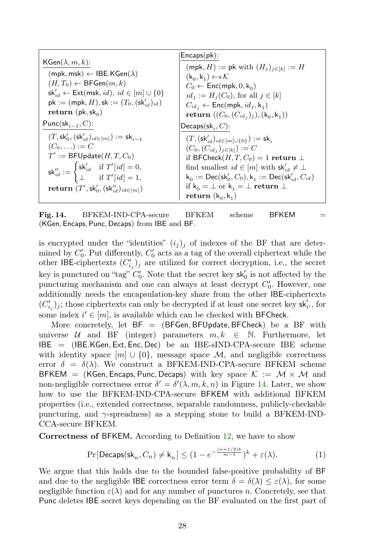|                                                                                                                               | Encaps(pk):                                                                                |
|-------------------------------------------------------------------------------------------------------------------------------|--------------------------------------------------------------------------------------------|
| $KGen(\lambda, m, k):$                                                                                                        | $(\textsf{mpk}, H) := \textsf{pk}$ with $(H_i)_{i \in [k]} := H$                           |
| $(mpk, msk) \leftarrow IBE.KGen(\lambda)$                                                                                     | $(k_0, k_1) \leftarrow \mathcal{K}$                                                        |
| $(H, T_0) \leftarrow \mathsf{BFGen}(m, k)$                                                                                    | $C_0 \leftarrow \mathsf{Enc}(\mathsf{mpk}, 0, \mathsf{k}_{0})$                             |
| $\mathsf{sk}'_{id} \leftarrow \mathsf{Ext}(\mathsf{msk}, id), \ id \in [m] \cup \{0\}$                                        | $id_j := H_j(C_0)$ , for all $j \in [k]$                                                   |
| $pk := (mpk, H), sk := (T_0, (sk'_{id})_{id})$                                                                                | $C_{id_j} \leftarrow \mathsf{Enc}(\mathsf{mpk}, id_j, k_1)$                                |
| return (pk, sk <sub>0</sub> )                                                                                                 | <b>return</b> $((C_0, (C_{id_i})_j), (k_0, k_1))$                                          |
| Punc(s $k_{i-1}, C$ ):                                                                                                        | Decaps(sk <sub>i</sub> , $C$ ):                                                            |
| $(T, \mathsf{sk}'_0, (\mathsf{sk}'_{id})_{id \in [m]}) := \mathsf{sk}_{i-1}$                                                  | $(T, (sk'_{id})_{id \in [m] \cup \{0\}}) := sk_i$                                          |
| $(C_0,\ldots):=C$                                                                                                             | $(C_0, (C_{id_i})_{i \in [k]}) := C$                                                       |
| $T' := \mathsf{BFUpdate}(H, T, C_0)$                                                                                          | if BFCheck $(H, T, C_0) = 1$ return $\perp$                                                |
| $\mathsf{sk}''_{id} := \begin{cases} \mathsf{sk}'_{id} & \text{if } T'[id] = 0, \\ \bot & \text{if } T'[id] = 1, \end{cases}$ | find smallest $id \in [m]$ with $sk'_{id} \neq \perp$                                      |
|                                                                                                                               | $k_0 := \textsf{Dec}(\textsf{sk}'_0, C_0), k_1 := \textsf{Dec}(\textsf{sk}'_{id}, C_{id})$ |
| return $(T', \mathsf{sk}'_0, (\mathsf{sk}''_{id})_{id \in [m]})$                                                              | if $k_0 = \perp$ or $k_1 = \perp$ return $\perp$                                           |
|                                                                                                                               | return $(k_0, k_1)$                                                                        |

<span id="page-27-0"></span>Fig. 14. BFKEM-IND-CPA-secure BFKEM scheme BFKEM  $=$ (KGen, Encaps, Punc, Decaps) from IBE and BF.

is encrypted under the "identities"  $(i_j)_j$  of indexes of the BF that are determined by  $C'_0$ . Put differently,  $C'_0$  acts as a tag of the overall ciphertext while the other IBE-ciphertexts  $(C'_{i_j})_j$  are utilized for correct decryption, i.e., the secret key is punctured on "tag"  $C'_0$ . Note that the secret key  $sk'_0$  is not affected by the puncturing mechanism and one can always at least decrypt  $C'_0$ . However, one additionally needs the encapsulation-key share from the other IBE-ciphertexts  $(C'_{i_j})_j;$  those ciphertexts can only be decrypted if at least one secret key  $\mathsf{sk}'_{i'},$  for some index  $i' \in [m]$ , is available which can be checked with BFCheck.

More concretely, let  $BF = (BFGen, BFUpdate, BFCheck)$  be a BF with universe  $U$  and BF (integer) parameters  $m, k \in \mathbb{N}$ . Furthermore, let IBE = (IBE.KGen, Ext, Enc, Dec) be an IBE-sIND-CPA-secure IBE scheme with identity space  $[m] \cup \{0\}$ , message space M, and negligible correctness error  $\delta = \delta(\lambda)$ . We construct a BFKEM-IND-CPA-secure BFKEM scheme BFKEM = (KGen, Encaps, Punc, Decaps) with key space  $K := \mathcal{M} \times \mathcal{M}$  and non-negligible correctness error  $\delta' = \delta'(\lambda, m, k, n)$  in Figure [14.](#page-27-0) Later, we show how to use the BFKEM-IND-CPA-secure BFKEM with additional BFKEM properties (i.e., extended correctness, separable randomness, publicly-checkable puncturing, and  $\gamma$ -spreadness) as a stepping stone to build a BFKEM-IND-CCA-secure BFKEM.

Correctness of BFKEM. According to Definition [12,](#page-24-0) we have to show

<span id="page-27-1"></span>
$$
\Pr[\mathsf{Decaps}(\mathsf{sk}_n, C_n) \neq \mathsf{k}_n] \le (1 - e^{-\frac{(n+1/2)k}{m-1}})^k + \varepsilon(\lambda). \tag{1}
$$

We argue that this holds due to the bounded false-positive probability of BF and due to the negligible IBE correctness error term  $\delta = \delta(\lambda) \leq \varepsilon(\lambda)$ , for some negligible function  $\varepsilon(\lambda)$  and for any number of punctures n. Concretely, see that Punc deletes IBE secret keys depending on the BF evaluated on the first part of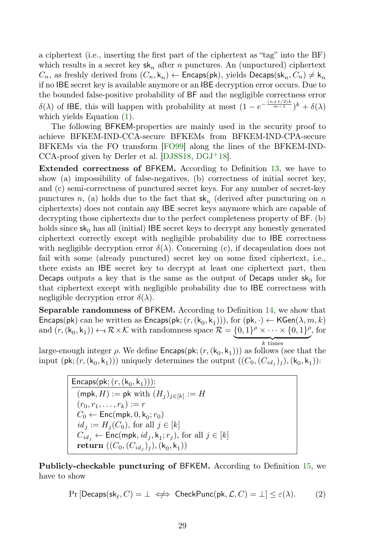a ciphertext (i.e., inserting the first part of the ciphertext as "tag" into the BF) which results in a secret key  $sk_n$  after n punctures. An (unpuctured) ciphertext  $C_n$ , as freshly derived from  $(C_n, k_n) \leftarrow$  Encaps(pk), yields Decaps(sk<sub>n</sub>,  $C_n$ )  $\neq$  k<sub>n</sub> if no IBE secret key is available anymore or an IBE decryption error occurs. Due to the bounded false-positive probability of BF and the negligible correctness error  $\delta(\lambda)$  of IBE, this will happen with probability at most  $(1 - e^{-\frac{(n+1/2)k}{m-1}})^k + \delta(\lambda)$ which yields Equation [\(1\)](#page-27-1).

The following BFKEM-properties are mainly used in the security proof to achieve BFKEM-IND-CCA-secure BFKEMs from BFKEM-IND-CPA-secure BFKEMs via the FO transform [\[FO99\]](#page-36-1) along the lines of the BFKEM-IND-CCA-proof given by Derler et al. [\[DJSS18,](#page-35-2) [DGJ](#page-35-3)<sup>+</sup>18].

Extended correctness of BFKEM. According to Definition [13,](#page-24-1) we have to show (a) impossibility of false-negatives, (b) correctness of initial secret key, and (c) semi-correctness of punctured secret keys. For any number of secret-key punctures n, (a) holds due to the fact that  $sk_n$  (derived after puncturing on n ciphertexts) does not contain any IBE secret keys anymore which are capable of decrypting those ciphertexts due to the perfect completeness property of BF. (b) holds since  $sk_0$  has all (initial) IBE secret keys to decrypt any honestly generated ciphertext correctly except with negligible probability due to IBE correctness with negligible decryption error  $\delta(\lambda)$ . Concerning (c), if decapsulation does not fail with some (already punctured) secret key on some fixed ciphertext, i.e., there exists an IBE secret key to decrypt at least one ciphertext part, then Decaps outputs a key that is the same as the output of Decaps under  $sk_0$  for that ciphertext except with negligible probability due to IBE correctness with negligible decryption error  $\delta(\lambda)$ .

Separable randomness of BFKEM. According to Definition [14,](#page-24-2) we show that Encaps(pk) can be written as Encaps(pk;  $(r, (k_0, k_1)))$ , for  $(\mathsf{pk}, \cdot) \leftarrow \mathsf{KGen}(\lambda, m, k)$ and  $(r, (k_0, k_1)) \leftarrow \mathbb{R} \times \mathcal{K}$  with randomness space  $\mathcal{R} = \{0, 1\}^{\rho} \times \cdots \times \{0, 1\}^{\rho}$ , for

 $k$  times large-enough integer  $\rho$ . We define  $\mathsf{Encaps}(\mathsf{pk};(r,(\mathsf{k}_0,\mathsf{k}_1)))$  as follows (see that the input (pk;  $(r, (k_0, k_1))$ ) uniquely determines the output  $((C_0, (C_{id_j})_j), (k_0, k_1))$ :

> $\mathsf{Encaps}(\mathsf{pk}; (r, (\mathsf{k}_0, \mathsf{k}_1)))$ :  $(\mathsf{mpk},H) := \mathsf{pk} \text{ with } (H_j)_{j \in [k]} := H$  $(r_0, r_1, \ldots, r_k) := r$  $C_0 \leftarrow \mathsf{Enc}(\mathsf{mpk}, 0, \mathsf{k}_0; r_0)$  $id_j := H_j(C_0)$ , for all  $j \in [k]$  $C_{id_j} \leftarrow {\sf Enc}({\sf mpk}, id_j, {\sf k}_1; r_j), \, {\rm for \,\, all} \,\, j \in [k]$  $\textbf{return}\,\left((C_0,(C_{id_j})_j),(\mathsf{k}_0,\mathsf{k}_1)\right)$

Publicly-checkable puncturing of BFKEM. According to Definition [15,](#page-24-3) we have to show

<span id="page-28-0"></span>
$$
\Pr\left[\mathsf{Decaps}(\mathsf{sk}_\ell,C)=\bot \iff \mathsf{CheckPunc}(\mathsf{pk},\mathcal{L},C)=\bot\right] \leq \varepsilon(\lambda). \tag{2}
$$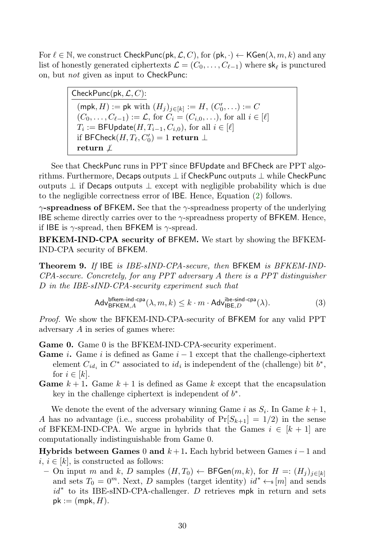For  $\ell \in \mathbb{N}$ , we construct CheckPunc(pk,  $\mathcal{L}, C$ ), for (pk,  $\cdot$ )  $\leftarrow$  KGen( $\lambda, m, k$ ) and any list of honestly generated ciphertexts  $\mathcal{L} = (C_0, \ldots, C_{\ell-1})$  where  $\mathsf{sk}_{\ell}$  is punctured on, but not given as input to CheckPunc:

> Check $\mathsf{Punc}(\mathsf{pk}, \mathcal{L}, C)$ :  $(\mathsf{mpk}, H) := \mathsf{pk} \text{ with } (H_j)_{j \in [k]} := H, (C'_0, \ldots) := C$  $(C_0, \ldots, C_{\ell-1}) := \mathcal{L}$ , for  $C_i = (C_{i,0}, \ldots)$ , for all  $i \in [\ell]$  $T_i := \mathsf{BFUpdate}(H, T_{i-1}, C_{i,0}), \text{ for all } i \in [\ell]$ if BFCheck $(H, T_{\ell}, C'_{0}) = 1$  return  $\perp$ return *⊻*

See that CheckPunc runs in PPT since BFUpdate and BFCheck are PPT algorithms. Furthermore, Decaps outputs ⊥ if CheckPunc outputs ⊥ while CheckPunc outputs  $\perp$  if Decaps outputs  $\perp$  except with negligible probability which is due to the negligible correctness error of IBE. Hence, Equation [\(2\)](#page-28-0) follows.

 $\gamma$ -spreadness of BFKEM. See that the  $\gamma$ -spreadness property of the underlying IBE scheme directly carries over to the  $\gamma$ -spreadness property of BFKEM. Hence, if IBE is  $\gamma$ -spread, then BFKEM is  $\gamma$ -spread.

BFKEM-IND-CPA security of BFKEM. We start by showing the BFKEM-IND-CPA security of BFKEM.

Theorem 9. If IBE is IBE-sIND-CPA-secure, then BFKEM is BFKEM-IND-CPA-secure. Concretely, for any PPT adversary A there is a PPT distinguisher D in the IBE-sIND-CPA-security experiment such that

<span id="page-29-0"></span>
$$
\mathsf{Adv}_{\mathsf{BFKEM},A}^{\mathsf{bfkem-ind-cpa}}(\lambda,m,k) \le k \cdot m \cdot \mathsf{Adv}_{\mathsf{IBE},D}^{\mathsf{ibe-sind-cpa}}(\lambda). \tag{3}
$$

Proof. We show the BFKEM-IND-CPA-security of BFKEM for any valid PPT adversary A in series of games where:

Game 0. Game 0 is the BFKEM-IND-CPA-security experiment.

- **Game** *i*. Game *i* is defined as Game  $i 1$  except that the challenge-ciphertext element  $C_{id_i}$  in  $C^*$  associated to  $id_i$  is independent of the (challenge) bit  $b^*$ , for  $i \in [k]$ .
- **Game**  $k + 1$ . Game  $k + 1$  is defined as Game k except that the encapsulation key in the challenge ciphertext is independent of  $b^*$ .

We denote the event of the adversary winning Game i as  $S_i$ . In Game  $k+1$ , A has no advantage (i.e., success probability of  $Pr[S_{k+1}] = 1/2$ ) in the sense of BFKEM-IND-CPA. We argue in hybrids that the Games  $i \in [k+1]$  are computationally indistinguishable from Game 0.

Hybrids between Games 0 and  $k+1$ . Each hybrid between Games  $i-1$  and  $i, i \in [k]$ , is constructed as follows:

– On input m and k, D samples  $(H, T_0)$  ← BFGen $(m, k)$ , for  $H =: (H_j)_{j \in [k]}$ and sets  $T_0 = 0^m$ . Next, D samples (target identity)  $id^* \leftarrow [m]$  and sends  $id^*$  to its IBE-sIND-CPA-challenger.  $D$  retrieves mpk in return and sets  $pk := (mpk, H).$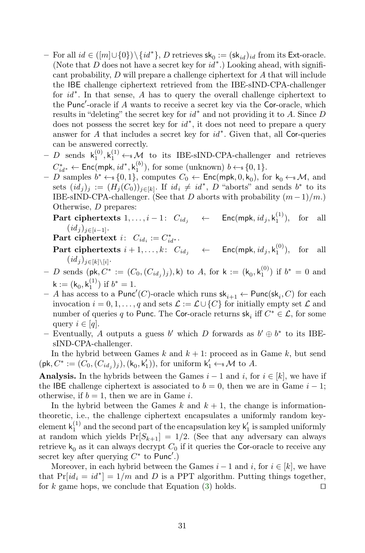- $-$  For all  $id \in ([m] \cup \{0\}) \setminus \{id^*\}, D$  retrieves  $\mathsf{sk}_0 := (\mathsf{sk}_{id})_{id}$  from its Ext-oracle. (Note that  $D$  does not have a secret key for  $id^*$ .) Looking ahead, with significant probability, D will prepare a challenge ciphertext for A that will include the IBE challenge ciphertext retrieved from the IBE-sIND-CPA-challenger for  $id^*$ . In that sense, A has to query the overall challenge ciphertext to the Punc'-oracle if  $A$  wants to receive a secret key via the Cor-oracle, which results in "deleting" the secret key for  $id^*$  and not providing it to A. Since D does not possess the secret key for  $id^*$ , it does not need to prepare a query answer for  $A$  that includes a secret key for  $id^*$ . Given that, all Cor-queries can be answered correctly.
- $-D$  sends  $\mathsf{k}_1^{(0)}, \mathsf{k}_1^{(1)} \leftarrow \mathcal{M}$  to its IBE-sIND-CPA-challenger and retrieves  $C_{id}^* \leftarrow \mathsf{Enc}(\mathsf{mpk}, \mathit{id}^*, \mathsf{k}_1^{(b)})$ , for some (unknown)  $b \leftarrow s \{0, 1\}.$
- $-$  D samples  $b^* \leftarrow \{0, 1\}$ , computes  $C_0 \leftarrow \mathsf{Enc}(\mathsf{mpk}, 0, k_0)$ , for  $k_0 \leftarrow \mathcal{M}$ , and sets  $(id_j)_j := (H_j(C_0))_{j \in [k]}$ . If  $id_i \neq id^*$ , D "aborts" and sends  $b^*$  to its IBE-sIND-CPA-challenger. (See that D aborts with probability  $(m-1)/m$ .) Otherwise, D prepares:
	- Part ciphertexts  $1, \ldots, i-1$ :  $C_{id_j} \quad \leftarrow \quad \text{Enc}(\text{mpk}, id_j, k_1^{(1)}), \text{ for all }$  $(id_j)_{j\in[i-1]}.$

Part ciphertext  $i: C_{id_i} := C_{id^*}^*$ .

- **Part ciphertexts**  $i + 1, ..., k$ :  $C_{id_j} \leftarrow \text{Enc}(\text{mpk}, id_j, k_1^{(0)}),$  for all  $(id_j)_{j\in[k]\setminus[i]}$ .
- $−$  D sends (pk, C<sup>\*</sup> := (C<sub>0</sub>, (C<sub>idj</sub>)<sub>j</sub>),k) to A, for k := (k<sub>0</sub>, k<sup>(0)</sup>) if b<sup>\*</sup> = 0 and  $k := (k_0, k_1^{(1)})$  if  $b^* = 1$ .
- A has access to a Punc'(C)-oracle which runs  $\mathsf{sk}_{i+1} \leftarrow \mathsf{Punc}(\mathsf{sk}_i, C)$  for each invocation  $i = 0, 1, \ldots, q$  and sets  $\mathcal{L} := \mathcal{L} \cup \{C\}$  for initially empty set  $\mathcal{L}$  and number of queries q to Punc. The Cor-oracle returns  $\mathsf{sk}_i$  iff  $C^* \in \mathcal{L}$ , for some query  $i \in [q]$ .
- Eventually, A outputs a guess b' which D forwards as  $b' \oplus b^*$  to its IBEsIND-CPA-challenger.

In the hybrid between Games  $k$  and  $k + 1$ : proceed as in Game  $k$ , but send  $(\mathsf{pk}, C^* := (C_0, (C_{id_j})_j), (k_0, k'_1)),$  for uniform  $k'_1 \leftarrow \mathcal{M}$  to A.

**Analysis.** In the hybrids between the Games  $i - 1$  and i, for  $i \in [k]$ , we have if the IBE challenge ciphertext is associated to  $b = 0$ , then we are in Game  $i - 1$ ; otherwise, if  $b = 1$ , then we are in Game *i*.

In the hybrid between the Games k and  $k + 1$ , the change is informationtheoretic, i.e., the challenge ciphertext encapsulates a uniformly random keyelement  $k_1^{(1)}$  and the second part of the encapsulation key  $k'_1$  is sampled uniformly at random which yields  $Pr[S_{k+1}] = 1/2$ . (See that any adversary can always retrieve  $k_0$  as it can always decrypt  $C_0$  if it queries the Cor-oracle to receive any secret key after querying  $C^*$  to Punc'.)

Moreover, in each hybrid between the Games  $i-1$  and  $i$ , for  $i \in [k]$ , we have that  $Pr(id_i = id^*] = 1/m$  and D is a PPT algorithm. Putting things together, for k game hops, we conclude that Equation [\(3\)](#page-29-0) holds.  $\Box$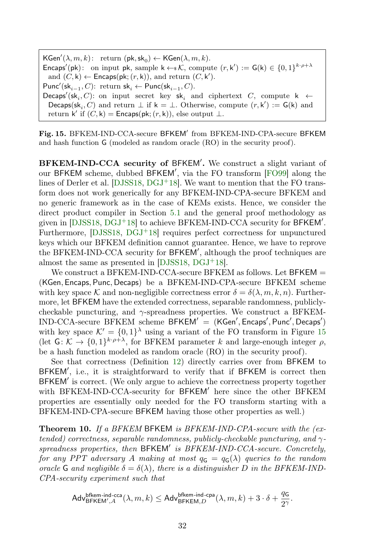$\mathsf{KGen}'(\lambda,m,k)\colon \text{ return } (\mathsf{pk},\mathsf{sk}_0) \leftarrow \mathsf{KGen}(\lambda,m,k).$ Encaps'(pk): on input pk, sample  $k \leftarrow k$ , compute  $(r, k') := G(k) \in \{0, 1\}^{k \cdot \rho + \lambda}$ and  $(C, \mathsf{k}) \leftarrow$  Encaps(pk;  $(r, \mathsf{k})$ ), and return  $(C, \mathsf{k}')$ . Punc'(s $\mathsf{k}_{i-1}, C$ ): return s $\mathsf{k}_i \leftarrow \mathsf{Punc}(\mathsf{sk}_{i-1}, C)$ .  $\mathsf{Decaps}'(\mathsf{sk}_i, C) \text{: on input secret key } \mathsf{sk}_i \text{ and ciphertext } C, \text{ compute } \mathsf{k} \; \gets \;$ Decaps( $sk_i$ , C) and return  $\perp$  if  $k = \perp$ . Otherwise, compute  $(r, k') := G(k)$  and return k' if  $(C, \mathsf{k}) = \mathsf{Encaps}(\mathsf{pk}; (r, \mathsf{k})),$  else output  $\bot$ .

<span id="page-31-0"></span>Fig. 15. BFKEM-IND-CCA-secure BFKEM' from BFKEM-IND-CPA-secure BFKEM and hash function G (modeled as random oracle (RO) in the security proof).

BFKEM-IND-CCA security of BFKEM'. We construct a slight variant of our BFKEM scheme, dubbed BFKEM', via the FO transform [\[FO99\]](#page-36-1) along the lines of Derler et al. [\[DJSS18,](#page-35-2)  $DGJ+18$  $DGJ+18$ ]. We want to mention that the FO transform does not work generically for any BFKEM-IND-CPA-secure BFKEM and no generic framework as in the case of KEMs exists. Hence, we consider the direct product compiler in Section [5.1](#page-25-0) and the general proof methodology as given in [\[DJSS18,](#page-35-2) [DGJ](#page-35-3)<sup>+</sup>18] to achieve BFKEM-IND-CCA security for BFKEM'. Furthermore,  $[DJSS18, DGJ+18]$  $[DJSS18, DGJ+18]$  $[DJSS18, DGJ+18]$  $[DJSS18, DGJ+18]$  requires perfect correctness for unpunctured keys which our BFKEM definition cannot guarantee. Hence, we have to reprove the BFKEM-IND-CCA security for BFKEM', although the proof techniques are almost the same as presented in [\[DJSS18,](#page-35-2) [DGJ](#page-35-3)<sup>+</sup>18].

We construct a BFKEM-IND-CCA-secure BFKEM as follows. Let BFKEM = (KGen, Encaps, Punc, Decaps) be a BFKEM-IND-CPA-secure BFKEM scheme with key space K and non-negligible correctness error  $\delta = \delta(\lambda, m, k, n)$ . Furthermore, let BFKEM have the extended correctness, separable randomness, publiclycheckable puncturing, and  $\gamma$ -spreadness properties. We construct a BFKEM- $IND{\text{-}}{\text{CCA-secure}}$   $BFKEM$  scheme  $BFKEM' = (KGen', Encaps', Punc', Decaps')$ with key space  $\mathcal{K}' = \{0, 1\}^{\lambda}$  using a variant of the FO transform in Figure [15](#page-31-0) (let  $G: \mathcal{K} \to \{0,1\}^{k \cdot \rho + \lambda}$ , for BFKEM parameter k and large-enough integer  $\rho$ , be a hash function modeled as random oracle (RO) in the security proof).

See that correctness (Definition [12\)](#page-24-0) directly carries over from BFKEM to BFKEM', i.e., it is straightforward to verify that if BFKEM is correct then BFKEM' is correct. (We only argue to achieve the correctness property together with BFKEM-IND-CCA-security for BFKEM' here since the other BFKEM properties are essentially only needed for the FO transform starting with a BFKEM-IND-CPA-secure BFKEM having those other properties as well.)

<span id="page-31-1"></span>**Theorem 10.** If a BFKEM BFKEM is BFKEM-IND-CPA-secure with the (extended) correctness, separable randomness, publicly-checkable puncturing, and  $\gamma$ spreadness properties, then BFKEM' is BFKEM-IND-CCA-secure. Concretely, for any PPT adversary A making at most  $q_G = q_G(\lambda)$  queries to the random oracle G and negligible  $\delta = \delta(\lambda)$ , there is a distinguisher D in the BFKEM-IND-CPA-security experiment such that

$$
\mathsf{Adv}_{\mathsf{BFKEM}^{\mathsf{bfkem-ind-cca}}_{\mathsf{AC}}(\lambda,m,k) \leq \mathsf{Adv}_{\mathsf{BFKEM},D}^{\mathsf{bfkem-ind-cpa}}(\lambda,m,k) + 3 \cdot \delta + \frac{q_\mathsf{G}}{2^\gamma}.
$$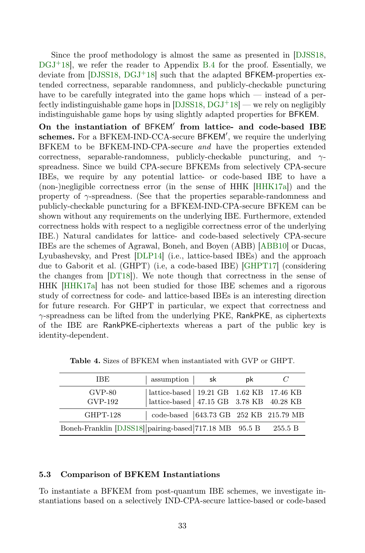Since the proof methodology is almost the same as presented in [\[DJSS18,](#page-35-2)  $DGJ+18$  $DGJ+18$ , we refer the reader to Appendix [B.4](#page-45-0) for the proof. Essentially, we deviate from  $[DJSS18, DGJ<sup>+</sup>18]$  $[DJSS18, DGJ<sup>+</sup>18]$  $[DJSS18, DGJ<sup>+</sup>18]$  $[DJSS18, DGJ<sup>+</sup>18]$  such that the adapted BFKEM-properties extended correctness, separable randomness, and publicly-checkable puncturing have to be carefully integrated into the game hops which — instead of a perfectly indistinguishable game hops in  $[DJSS18, DGJ^+18]$  $[DJSS18, DGJ^+18]$  $[DJSS18, DGJ^+18]$  $[DJSS18, DGJ^+18]$  — we rely on negligibly indistinguishable game hops by using slightly adapted properties for BFKEM.

On the instantiation of BFKEM' from lattice- and code-based IBE schemes. For a BFKEM-IND-CCA-secure BFKEM', we require the underlying BFKEM to be BFKEM-IND-CPA-secure and have the properties extended correctness, separable-randomness, publicly-checkable puncturing, and  $\gamma$ spreadness. Since we build CPA-secure BFKEMs from selectively CPA-secure IBEs, we require by any potential lattice- or code-based IBE to have a (non-)negligible correctness error (in the sense of HHK [\[HHK17a\]](#page-37-4)) and the property of  $\gamma$ -spreadness. (See that the properties separable-randomness and publicly-checkable puncturing for a BFKEM-IND-CPA-secure BFKEM can be shown without any requirements on the underlying IBE. Furthermore, extended correctness holds with respect to a negligible correctness error of the underlying IBE.) Natural candidates for lattice- and code-based selectively CPA-secure IBEs are the schemes of Agrawal, Boneh, and Boyen (ABB) [\[ABB10\]](#page-33-3) or Ducas, Lyubashevsky, and Prest [\[DLP14\]](#page-35-10) (i.e., lattice-based IBEs) and the approach due to Gaborit et al. (GHPT) (i.e, a code-based IBE) [\[GHPT17\]](#page-36-10) (considering the changes from [\[DT18\]](#page-35-11)). We note though that correctness in the sense of HHK [\[HHK17a\]](#page-37-4) has not been studied for those IBE schemes and a rigorous study of correctness for code- and lattice-based IBEs is an interesting direction for future research. For GHPT in particular, we expect that correctness and  $\gamma$ -spreadness can be lifted from the underlying PKE, RankPKE, as ciphertexts of the IBE are RankPKE-ciphertexts whereas a part of the public key is identity-dependent.

| IBE.                                                   | assumption sk                                                                                                                            | .nk |         |
|--------------------------------------------------------|------------------------------------------------------------------------------------------------------------------------------------------|-----|---------|
| $GVP-80$<br>GVP-192                                    | $\begin{tabular}{ l l } lattice-based & 19.21 GB & 1.62 KB & 17.46 KB \\ lattice-based & 47.15 GB & 3.78 KB & 40.28 KB \\ \end{tabular}$ |     |         |
| GHPT-128                                               | $\vert$ code-based $\vert$ 643.73 GB 252 KB 215.79 MB                                                                                    |     |         |
| Boneh-Franklin [DJSS18] pairing-based 717.18 MB 95.5 B |                                                                                                                                          |     | 255.5 B |

<span id="page-32-0"></span>Table 4. Sizes of BFKEM when instantiated with GVP or GHPT.

### 5.3 Comparison of BFKEM Instantiations

To instantiate a BFKEM from post-quantum IBE schemes, we investigate instantiations based on a selectively IND-CPA-secure lattice-based or code-based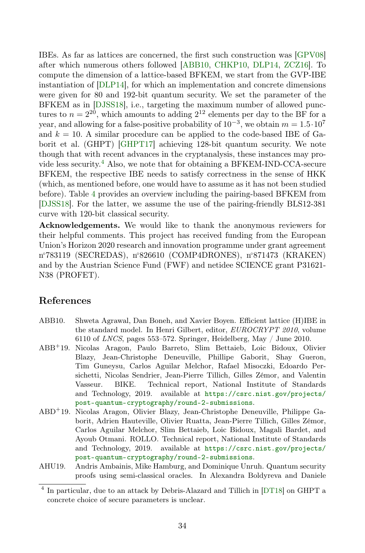IBEs. As far as lattices are concerned, the first such construction was [\[GPV08\]](#page-36-11) after which numerous others followed [\[ABB10,](#page-33-3) [CHKP10,](#page-35-12) [DLP14,](#page-35-10) [ZCZ16\]](#page-39-2). To compute the dimension of a lattice-based BFKEM, we start from the GVP-IBE instantiation of [\[DLP14\]](#page-35-10), for which an implementation and concrete dimensions were given for 80 and 192-bit quantum security. We set the parameter of the BFKEM as in [\[DJSS18\]](#page-35-2), i.e., targeting the maximum number of allowed punctures to  $n = 2^{20}$ , which amounts to adding  $2^{12}$  elements per day to the BF for a year, and allowing for a false-positive probability of  $10^{-3}$ , we obtain  $m = 1.5 \cdot 10^7$ and  $k = 10$ . A similar procedure can be applied to the code-based IBE of Gaborit et al. (GHPT) [\[GHPT17\]](#page-36-10) achieving 128-bit quantum security. We note though that with recent advances in the cryptanalysis, these instances may provide less security.[4](#page-33-4) Also, we note that for obtaining a BFKEM-IND-CCA-secure BFKEM, the respective IBE needs to satisfy correctness in the sense of HKK (which, as mentioned before, one would have to assume as it has not been studied before). Table [4](#page-32-0) provides an overview including the pairing-based BFKEM from [\[DJSS18\]](#page-35-2). For the latter, we assume the use of the pairing-friendly BLS12-381 curve with 120-bit classical security.

Acknowledgements. We would like to thank the anonymous reviewers for their helpful comments. This project has received funding from the European Union's Horizon 2020 research and innovation programme under grant agreement n ◦783119 (SECREDAS), n◦826610 (COMP4DRONES), n◦871473 (KRAKEN) and by the Austrian Science Fund (FWF) and netidee SCIENCE grant P31621- N38 (PROFET).

# References

- <span id="page-33-3"></span>ABB10. Shweta Agrawal, Dan Boneh, and Xavier Boyen. Efficient lattice (H)IBE in the standard model. In Henri Gilbert, editor, EUROCRYPT 2010, volume 6110 of LNCS, pages 553–572. Springer, Heidelberg, May / June 2010.
- <span id="page-33-1"></span>ABB<sup>+</sup>19. Nicolas Aragon, Paulo Barreto, Slim Bettaieb, Loic Bidoux, Olivier Blazy, Jean-Christophe Deneuville, Phillipe Gaborit, Shay Gueron, Tim Guneysu, Carlos Aguilar Melchor, Rafael Misoczki, Edoardo Persichetti, Nicolas Sendrier, Jean-Pierre Tillich, Gilles Zémor, and Valentin Vasseur. BIKE. Technical report, National Institute of Standards and Technology, 2019. available at [https://csrc.nist.gov/projects/](https://csrc.nist.gov/projects/post-quantum-cryptography/round-2-submissions) [post-quantum-cryptography/round-2-submissions](https://csrc.nist.gov/projects/post-quantum-cryptography/round-2-submissions).
- <span id="page-33-0"></span>ABD<sup>+</sup>19. Nicolas Aragon, Olivier Blazy, Jean-Christophe Deneuville, Philippe Gaborit, Adrien Hauteville, Olivier Ruatta, Jean-Pierre Tillich, Gilles Zémor, Carlos Aguilar Melchor, Slim Bettaieb, Loic Bidoux, Magali Bardet, and Ayoub Otmani. ROLLO. Technical report, National Institute of Standards and Technology, 2019. available at [https://csrc.nist.gov/projects/](https://csrc.nist.gov/projects/post-quantum-cryptography/round-2-submissions) [post-quantum-cryptography/round-2-submissions](https://csrc.nist.gov/projects/post-quantum-cryptography/round-2-submissions).
- <span id="page-33-2"></span>AHU19. Andris Ambainis, Mike Hamburg, and Dominique Unruh. Quantum security proofs using semi-classical oracles. In Alexandra Boldyreva and Daniele

<span id="page-33-4"></span><sup>4</sup> In particular, due to an attack by Debris-Alazard and Tillich in [\[DT18\]](#page-35-11) on GHPT a concrete choice of secure parameters is unclear.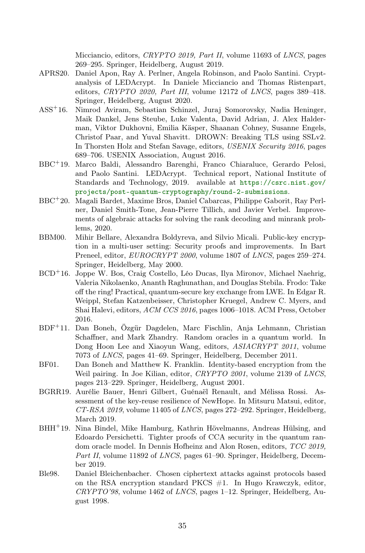Micciancio, editors, CRYPTO 2019, Part II, volume 11693 of LNCS, pages 269–295. Springer, Heidelberg, August 2019.

- <span id="page-34-6"></span>APRS20. Daniel Apon, Ray A. Perlner, Angela Robinson, and Paolo Santini. Cryptanalysis of LEDAcrypt. In Daniele Micciancio and Thomas Ristenpart, editors,  $CRYPTO$  2020, Part III, volume 12172 of LNCS, pages 389-418. Springer, Heidelberg, August 2020.
- <span id="page-34-1"></span>ASS<sup>+</sup>16. Nimrod Aviram, Sebastian Schinzel, Juraj Somorovsky, Nadia Heninger, Maik Dankel, Jens Steube, Luke Valenta, David Adrian, J. Alex Halderman, Viktor Dukhovni, Emilia Käsper, Shaanan Cohney, Susanne Engels, Christof Paar, and Yuval Shavitt. DROWN: Breaking TLS using SSLv2. In Thorsten Holz and Stefan Savage, editors, USENIX Security 2016, pages 689–706. USENIX Association, August 2016.
- <span id="page-34-9"></span>BBC<sup>+</sup>19. Marco Baldi, Alessandro Barenghi, Franco Chiaraluce, Gerardo Pelosi, and Paolo Santini. LEDAcrypt. Technical report, National Institute of Standards and Technology, 2019. available at [https://csrc.nist.gov/](https://csrc.nist.gov/projects/post-quantum-cryptography/round-2-submissions) [projects/post-quantum-cryptography/round-2-submissions](https://csrc.nist.gov/projects/post-quantum-cryptography/round-2-submissions).
- <span id="page-34-5"></span>BBC<sup>+</sup>20. Magali Bardet, Maxime Bros, Daniel Cabarcas, Philippe Gaborit, Ray Perlner, Daniel Smith-Tone, Jean-Pierre Tillich, and Javier Verbel. Improvements of algebraic attacks for solving the rank decoding and minrank problems, 2020.
- <span id="page-34-7"></span>BBM00. Mihir Bellare, Alexandra Boldyreva, and Silvio Micali. Public-key encryption in a multi-user setting: Security proofs and improvements. In Bart Preneel, editor, *EUROCRYPT* 2000, volume 1807 of *LNCS*, pages 259–274. Springer, Heidelberg, May 2000.
- <span id="page-34-10"></span>BCD<sup>+</sup>16. Joppe W. Bos, Craig Costello, Léo Ducas, Ilya Mironov, Michael Naehrig, Valeria Nikolaenko, Ananth Raghunathan, and Douglas Stebila. Frodo: Take off the ring! Practical, quantum-secure key exchange from LWE. In Edgar R. Weippl, Stefan Katzenbeisser, Christopher Kruegel, Andrew C. Myers, and Shai Halevi, editors, ACM CCS 2016, pages 1006–1018. ACM Press, October 2016.
- <span id="page-34-3"></span>BDF<sup>+</sup>11. Dan Boneh, Özgür Dagdelen, Marc Fischlin, Anja Lehmann, Christian Schaffner, and Mark Zhandry. Random oracles in a quantum world. In Dong Hoon Lee and Xiaoyun Wang, editors, ASIACRYPT 2011, volume 7073 of LNCS, pages 41–69. Springer, Heidelberg, December 2011.
- <span id="page-34-4"></span>BF01. Dan Boneh and Matthew K. Franklin. Identity-based encryption from the Weil pairing. In Joe Kilian, editor, CRYPTO 2001, volume 2139 of LNCS, pages 213–229. Springer, Heidelberg, August 2001.
- <span id="page-34-8"></span>BGRR19. Aurélie Bauer, Henri Gilbert, Guénaël Renault, and Mélissa Rossi. Assessment of the key-reuse resilience of NewHope. In Mitsuru Matsui, editor, CT-RSA 2019, volume 11405 of LNCS, pages 272–292. Springer, Heidelberg, March 2019.
- <span id="page-34-2"></span>BHH<sup>+</sup>19. Nina Bindel, Mike Hamburg, Kathrin Hövelmanns, Andreas Hülsing, and Edoardo Persichetti. Tighter proofs of CCA security in the quantum random oracle model. In Dennis Hofheinz and Alon Rosen, editors, TCC 2019, Part II, volume 11892 of LNCS, pages 61–90. Springer, Heidelberg, December 2019.
- <span id="page-34-0"></span>Ble98. Daniel Bleichenbacher. Chosen ciphertext attacks against protocols based on the RSA encryption standard PKCS #1. In Hugo Krawczyk, editor, CRYPTO'98, volume 1462 of LNCS, pages 1–12. Springer, Heidelberg, August 1998.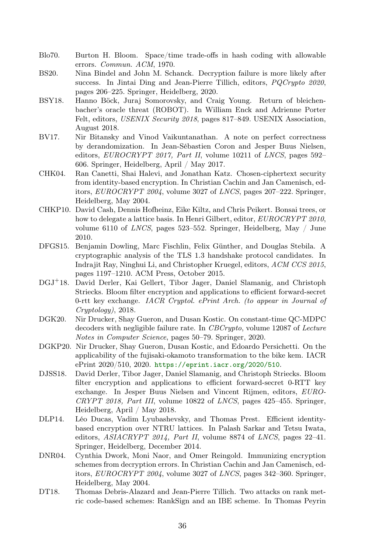- <span id="page-35-9"></span>Blo70. Burton H. Bloom. Space/time trade-offs in hash coding with allowable errors. Commun. ACM, 1970.
- <span id="page-35-5"></span>BS20. Nina Bindel and John M. Schanck. Decryption failure is more likely after success. In Jintai Ding and Jean-Pierre Tillich, editors, PQCrypto 2020, pages 206–225. Springer, Heidelberg, 2020.
- <span id="page-35-0"></span>BSY18. Hanno Böck, Juraj Somorovsky, and Craig Young. Return of bleichenbacher's oracle threat (ROBOT). In William Enck and Adrienne Porter Felt, editors, USENIX Security 2018, pages 817-849. USENIX Association, August 2018.
- <span id="page-35-7"></span>BV17. Nir Bitansky and Vinod Vaikuntanathan. A note on perfect correctness by derandomization. In Jean-Sébastien Coron and Jesper Buus Nielsen, editors,  $EUROCRYPT 2017$ , Part II, volume 10211 of LNCS, pages 592– 606. Springer, Heidelberg, April / May 2017.
- <span id="page-35-4"></span>CHK04. Ran Canetti, Shai Halevi, and Jonathan Katz. Chosen-ciphertext security from identity-based encryption. In Christian Cachin and Jan Camenisch, editors, EUROCRYPT 2004, volume 3027 of LNCS, pages 207–222. Springer, Heidelberg, May 2004.
- <span id="page-35-12"></span>CHKP10. David Cash, Dennis Hofheinz, Eike Kiltz, and Chris Peikert. Bonsai trees, or how to delegate a lattice basis. In Henri Gilbert, editor, EUROCRYPT 2010, volume 6110 of LNCS, pages 523–552. Springer, Heidelberg, May / June 2010.
- <span id="page-35-1"></span>DFGS15. Benjamin Dowling, Marc Fischlin, Felix Günther, and Douglas Stebila. A cryptographic analysis of the TLS 1.3 handshake protocol candidates. In Indrajit Ray, Ninghui Li, and Christopher Kruegel, editors, ACM CCS 2015, pages 1197–1210. ACM Press, October 2015.
- <span id="page-35-3"></span>DGJ<sup>+</sup>18. David Derler, Kai Gellert, Tibor Jager, Daniel Slamanig, and Christoph Striecks. Bloom filter encryption and applications to efficient forward-secret 0-rtt key exchange. IACR Cryptol. ePrint Arch. (to appear in Journal of Cryptology), 2018.
- <span id="page-35-13"></span>DGK20. Nir Drucker, Shay Gueron, and Dusan Kostic. On constant-time QC-MDPC decoders with negligible failure rate. In CBCrypto, volume 12087 of Lecture Notes in Computer Science, pages 50–79. Springer, 2020.
- <span id="page-35-8"></span>DGKP20. Nir Drucker, Shay Gueron, Dusan Kostic, and Edoardo Persichetti. On the applicability of the fujisaki-okamoto transformation to the bike kem. IACR ePrint 2020/510, 2020. <https://eprint.iacr.org/2020/510>.
- <span id="page-35-2"></span>DJSS18. David Derler, Tibor Jager, Daniel Slamanig, and Christoph Striecks. Bloom filter encryption and applications to efficient forward-secret 0-RTT key exchange. In Jesper Buus Nielsen and Vincent Rijmen, editors, EURO-CRYPT 2018, Part III, volume 10822 of LNCS, pages 425–455. Springer, Heidelberg, April / May 2018.
- <span id="page-35-10"></span>DLP14. Léo Ducas, Vadim Lyubashevsky, and Thomas Prest. Efficient identitybased encryption over NTRU lattices. In Palash Sarkar and Tetsu Iwata, editors,  $ASIACRYPT 2014$ , Part II, volume 8874 of LNCS, pages  $22-41$ . Springer, Heidelberg, December 2014.
- <span id="page-35-6"></span>DNR04. Cynthia Dwork, Moni Naor, and Omer Reingold. Immunizing encryption schemes from decryption errors. In Christian Cachin and Jan Camenisch, editors, EUROCRYPT 2004, volume 3027 of LNCS, pages 342–360. Springer, Heidelberg, May 2004.
- <span id="page-35-11"></span>DT18. Thomas Debris-Alazard and Jean-Pierre Tillich. Two attacks on rank metric code-based schemes: RankSign and an IBE scheme. In Thomas Peyrin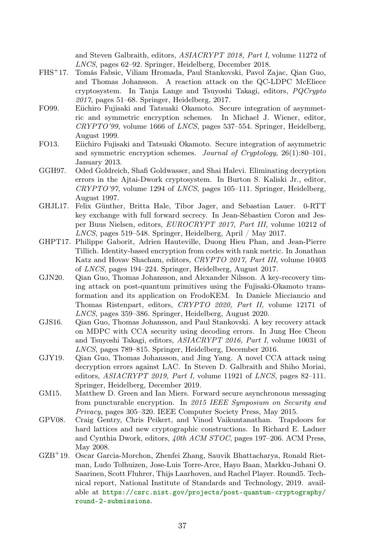and Steven Galbraith, editors, ASIACRYPT 2018, Part I, volume 11272 of LNCS, pages 62–92. Springer, Heidelberg, December 2018.

- <span id="page-36-5"></span>FHS<sup>+</sup>17. Tomás Fabsic, Viliam Hromada, Paul Stankovski, Pavol Zajac, Qian Guo, and Thomas Johansson. A reaction attack on the QC-LDPC McEliece cryptosystem. In Tanja Lange and Tsuyoshi Takagi, editors, PQCrypto 2017, pages 51–68. Springer, Heidelberg, 2017.
- <span id="page-36-1"></span>FO99. Eiichiro Fujisaki and Tatsuaki Okamoto. Secure integration of asymmetric and symmetric encryption schemes. In Michael J. Wiener, editor,  $CRYPTO'99$ , volume 1666 of *LNCS*, pages 537–554. Springer, Heidelberg, August 1999.
- <span id="page-36-2"></span>FO13. Eiichiro Fujisaki and Tatsuaki Okamoto. Secure integration of asymmetric and symmetric encryption schemes. Journal of Cryptology,  $26(1):80-101$ , January 2013.
- <span id="page-36-6"></span>GGH97. Oded Goldreich, Shafi Goldwasser, and Shai Halevi. Eliminating decryption errors in the Ajtai-Dwork cryptosystem. In Burton S. Kaliski Jr., editor,  $CRYPTO'$ , volume 1294 of *LNCS*, pages 105–111. Springer, Heidelberg, August 1997.
- <span id="page-36-0"></span>GHJL17. Felix Günther, Britta Hale, Tibor Jager, and Sebastian Lauer. 0-RTT key exchange with full forward secrecy. In Jean-Sébastien Coron and Jesper Buus Nielsen, editors, EUROCRYPT 2017, Part III, volume 10212 of LNCS, pages 519–548. Springer, Heidelberg, April / May 2017.
- <span id="page-36-10"></span>GHPT17. Philippe Gaborit, Adrien Hauteville, Duong Hieu Phan, and Jean-Pierre Tillich. Identity-based encryption from codes with rank metric. In Jonathan Katz and Hovav Shacham, editors, CRYPTO 2017, Part III, volume 10403 of LNCS, pages 194–224. Springer, Heidelberg, August 2017.
- <span id="page-36-9"></span>GJN20. Qian Guo, Thomas Johansson, and Alexander Nilsson. A key-recovery timing attack on post-quantum primitives using the Fujisaki-Okamoto transformation and its application on FrodoKEM. In Daniele Micciancio and Thomas Ristenpart, editors, CRYPTO 2020, Part II, volume 12171 of LNCS, pages 359–386. Springer, Heidelberg, August 2020.
- <span id="page-36-4"></span>GJS16. Qian Guo, Thomas Johansson, and Paul Stankovski. A key recovery attack on MDPC with CCA security using decoding errors. In Jung Hee Cheon and Tsuyoshi Takagi, editors, ASIACRYPT 2016, Part I, volume 10031 of LNCS, pages 789–815. Springer, Heidelberg, December 2016.
- <span id="page-36-3"></span>GJY19. Qian Guo, Thomas Johansson, and Jing Yang. A novel CCA attack using decryption errors against LAC. In Steven D. Galbraith and Shiho Moriai, editors,  $ASIACRYPT 2019$ , Part I, volume 11921 of LNCS, pages  $82-111$ . Springer, Heidelberg, December 2019.
- <span id="page-36-7"></span>GM15. Matthew D. Green and Ian Miers. Forward secure asynchronous messaging from puncturable encryption. In 2015 IEEE Symposium on Security and Privacy, pages 305–320. IEEE Computer Society Press, May 2015.
- <span id="page-36-11"></span>GPV08. Craig Gentry, Chris Peikert, and Vinod Vaikuntanathan. Trapdoors for hard lattices and new cryptographic constructions. In Richard E. Ladner and Cynthia Dwork, editors,  $40th$  ACM STOC, pages 197-206. ACM Press, May 2008.
- <span id="page-36-8"></span>GZB<sup>+</sup>19. Oscar Garcia-Morchon, Zhenfei Zhang, Sauvik Bhattacharya, Ronald Rietman, Ludo Tolhuizen, Jose-Luis Torre-Arce, Hayo Baan, Markku-Juhani O. Saarinen, Scott Fluhrer, Thijs Laarhoven, and Rachel Player. Round5. Technical report, National Institute of Standards and Technology, 2019. available at [https://csrc.nist.gov/projects/post-quantum-cryptography/](https://csrc.nist.gov/projects/post-quantum-cryptography/round-2-submissions) [round-2-submissions](https://csrc.nist.gov/projects/post-quantum-cryptography/round-2-submissions).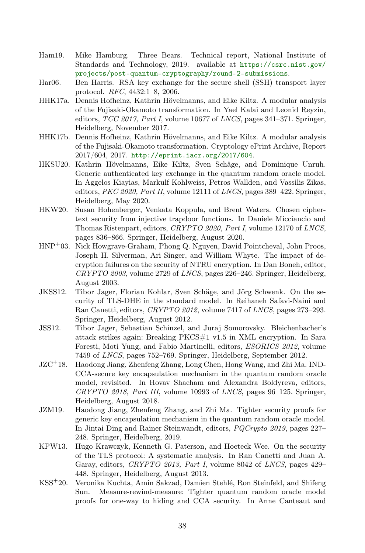- <span id="page-37-12"></span>Ham19. Mike Hamburg. Three Bears. Technical report, National Institute of Standards and Technology, 2019. available at [https://csrc.nist.gov/](https://csrc.nist.gov/projects/post-quantum-cryptography/round-2-submissions) [projects/post-quantum-cryptography/round-2-submissions](https://csrc.nist.gov/projects/post-quantum-cryptography/round-2-submissions).
- <span id="page-37-11"></span>Har06. Ben Harris. RSA key exchange for the secure shell (SSH) transport layer protocol. RFC, 4432:1–8, 2006.
- <span id="page-37-4"></span>HHK17a. Dennis Hofheinz, Kathrin Hövelmanns, and Eike Kiltz. A modular analysis of the Fujisaki-Okamoto transformation. In Yael Kalai and Leonid Reyzin, editors,  $TCC$  2017, Part I, volume 10677 of LNCS, pages 341–371. Springer, Heidelberg, November 2017.
- <span id="page-37-9"></span>HHK17b. Dennis Hofheinz, Kathrin Hövelmanns, and Eike Kiltz. A modular analysis of the Fujisaki-Okamoto transformation. Cryptology ePrint Archive, Report 2017/604, 2017. <http://eprint.iacr.org/2017/604>.
- <span id="page-37-7"></span>HKSU20. Kathrin Hövelmanns, Eike Kiltz, Sven Schäge, and Dominique Unruh. Generic authenticated key exchange in the quantum random oracle model. In Aggelos Kiayias, Markulf Kohlweiss, Petros Wallden, and Vassilis Zikas, editors,  $PKC 2020$ , Part II, volume 12111 of LNCS, pages 389-422. Springer, Heidelberg, May 2020.
- <span id="page-37-3"></span>HKW20. Susan Hohenberger, Venkata Koppula, and Brent Waters. Chosen ciphertext security from injective trapdoor functions. In Daniele Micciancio and Thomas Ristenpart, editors, CRYPTO 2020, Part I, volume 12170 of LNCS, pages 836–866. Springer, Heidelberg, August 2020.
- <span id="page-37-5"></span>HNP<sup>+</sup>03. Nick Howgrave-Graham, Phong Q. Nguyen, David Pointcheval, John Proos, Joseph H. Silverman, Ari Singer, and William Whyte. The impact of decryption failures on the security of NTRU encryption. In Dan Boneh, editor, CRYPTO 2003, volume 2729 of LNCS, pages 226–246. Springer, Heidelberg, August 2003.
- <span id="page-37-1"></span>JKSS12. Tibor Jager, Florian Kohlar, Sven Schäge, and Jörg Schwenk. On the security of TLS-DHE in the standard model. In Reihaneh Safavi-Naini and Ran Canetti, editors, CRYPTO 2012, volume 7417 of LNCS, pages 273-293. Springer, Heidelberg, August 2012.
- <span id="page-37-0"></span>JSS12. Tibor Jager, Sebastian Schinzel, and Juraj Somorovsky. Bleichenbacher's attack strikes again: Breaking PKCS#1 v1.5 in XML encryption. In Sara Foresti, Moti Yung, and Fabio Martinelli, editors, ESORICS 2012, volume 7459 of LNCS, pages 752–769. Springer, Heidelberg, September 2012.
- <span id="page-37-10"></span>JZC<sup>+</sup>18. Haodong Jiang, Zhenfeng Zhang, Long Chen, Hong Wang, and Zhi Ma. IND-CCA-secure key encapsulation mechanism in the quantum random oracle model, revisited. In Hovav Shacham and Alexandra Boldyreva, editors, CRYPTO 2018, Part III, volume 10993 of LNCS, pages 96–125. Springer, Heidelberg, August 2018.
- <span id="page-37-6"></span>JZM19. Haodong Jiang, Zhenfeng Zhang, and Zhi Ma. Tighter security proofs for generic key encapsulation mechanism in the quantum random oracle model. In Jintai Ding and Rainer Steinwandt, editors, PQCrypto 2019, pages 227– 248. Springer, Heidelberg, 2019.
- <span id="page-37-2"></span>KPW13. Hugo Krawczyk, Kenneth G. Paterson, and Hoeteck Wee. On the security of the TLS protocol: A systematic analysis. In Ran Canetti and Juan A. Garay, editors, CRYPTO 2013, Part I, volume 8042 of LNCS, pages 429– 448. Springer, Heidelberg, August 2013.
- <span id="page-37-8"></span>KSS<sup>+</sup>20. Veronika Kuchta, Amin Sakzad, Damien Stehlé, Ron Steinfeld, and Shifeng Sun. Measure-rewind-measure: Tighter quantum random oracle model proofs for one-way to hiding and CCA security. In Anne Canteaut and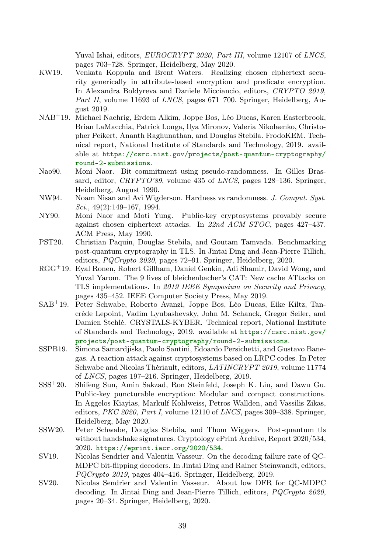Yuval Ishai, editors, EUROCRYPT 2020, Part III, volume 12107 of LNCS, pages 703–728. Springer, Heidelberg, May 2020.

- <span id="page-38-4"></span>KW19. Venkata Koppula and Brent Waters. Realizing chosen ciphertext security generically in attribute-based encryption and predicate encryption. In Alexandra Boldyreva and Daniele Micciancio, editors, CRYPTO 2019, Part II, volume 11693 of LNCS, pages 671–700. Springer, Heidelberg, August 2019.
- <span id="page-38-10"></span>NAB<sup>+</sup>19. Michael Naehrig, Erdem Alkim, Joppe Bos, Léo Ducas, Karen Easterbrook, Brian LaMacchia, Patrick Longa, Ilya Mironov, Valeria Nikolaenko, Christopher Peikert, Ananth Raghunathan, and Douglas Stebila. FrodoKEM. Technical report, National Institute of Standards and Technology, 2019. available at [https://csrc.nist.gov/projects/post-quantum-cryptography/](https://csrc.nist.gov/projects/post-quantum-cryptography/round-2-submissions) [round-2-submissions](https://csrc.nist.gov/projects/post-quantum-cryptography/round-2-submissions).
- <span id="page-38-7"></span>Nao90. Moni Naor. Bit commitment using pseudo-randomness. In Gilles Brassard, editor,  $CRYPTO'89$ , volume 435 of *LNCS*, pages 128–136. Springer, Heidelberg, August 1990.
- <span id="page-38-8"></span>NW94. Noam Nisan and Avi Wigderson. Hardness vs randomness. J. Comput. Syst.  $Sci., 49(2):149-167, 1994.$
- <span id="page-38-3"></span>NY90. Moni Naor and Moti Yung. Public-key cryptosystems provably secure against chosen ciphertext attacks. In 22nd ACM STOC, pages 427–437. ACM Press, May 1990.
- <span id="page-38-1"></span>PST20. Christian Paquin, Douglas Stebila, and Goutam Tamvada. Benchmarking post-quantum cryptography in TLS. In Jintai Ding and Jean-Pierre Tillich, editors, PQCrypto 2020, pages 72–91. Springer, Heidelberg, 2020.
- <span id="page-38-0"></span>RGG<sup>+</sup>19. Eyal Ronen, Robert Gillham, Daniel Genkin, Adi Shamir, David Wong, and Yuval Yarom. The 9 lives of bleichenbacher's CAT: New cache ATtacks on TLS implementations. In 2019 IEEE Symposium on Security and Privacy, pages 435–452. IEEE Computer Society Press, May 2019.
- <span id="page-38-11"></span>SAB<sup>+</sup>19. Peter Schwabe, Roberto Avanzi, Joppe Bos, Léo Ducas, Eike Kiltz, Tancrède Lepoint, Vadim Lyubashevsky, John M. Schanck, Gregor Seiler, and Damien Stehlé. CRYSTALS-KYBER. Technical report, National Institute of Standards and Technology, 2019. available at [https://csrc.nist.gov/](https://csrc.nist.gov/projects/post-quantum-cryptography/round-2-submissions) [projects/post-quantum-cryptography/round-2-submissions](https://csrc.nist.gov/projects/post-quantum-cryptography/round-2-submissions).
- <span id="page-38-5"></span>SSPB19. Simona Samardjiska, Paolo Santini, Edoardo Persichetti, and Gustavo Banegas. A reaction attack against cryptosystems based on LRPC codes. In Peter Schwabe and Nicolas Thériault, editors, LATINCRYPT 2019, volume 11774 of LNCS, pages 197–216. Springer, Heidelberg, 2019.
- <span id="page-38-9"></span>SSS<sup>+</sup>20. Shifeng Sun, Amin Sakzad, Ron Steinfeld, Joseph K. Liu, and Dawu Gu. Public-key puncturable encryption: Modular and compact constructions. In Aggelos Kiayias, Markulf Kohlweiss, Petros Wallden, and Vassilis Zikas, editors,  $PKC 2020$ , Part I, volume 12110 of LNCS, pages 309–338. Springer, Heidelberg, May 2020.
- <span id="page-38-2"></span>SSW20. Peter Schwabe, Douglas Stebila, and Thom Wiggers. Post-quantum tls without handshake signatures. Cryptology ePrint Archive, Report 2020/534, 2020. <https://eprint.iacr.org/2020/534>.
- <span id="page-38-6"></span>SV19. Nicolas Sendrier and Valentin Vasseur. On the decoding failure rate of QC-MDPC bit-flipping decoders. In Jintai Ding and Rainer Steinwandt, editors, PQCrypto 2019, pages 404–416. Springer, Heidelberg, 2019.
- <span id="page-38-12"></span>SV20. Nicolas Sendrier and Valentin Vasseur. About low DFR for QC-MDPC decoding. In Jintai Ding and Jean-Pierre Tillich, editors, PQCrypto 2020, pages 20–34. Springer, Heidelberg, 2020.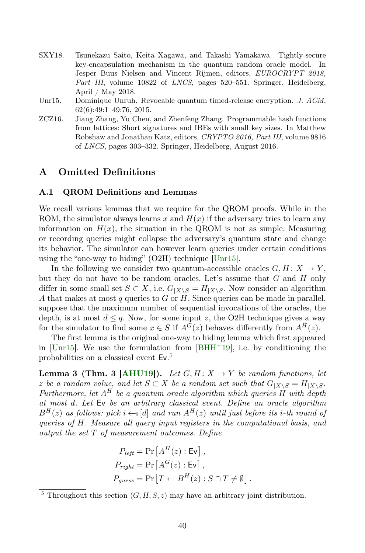- <span id="page-39-0"></span>SXY18. Tsunekazu Saito, Keita Xagawa, and Takashi Yamakawa. Tightly-secure key-encapsulation mechanism in the quantum random oracle model. In Jesper Buus Nielsen and Vincent Rijmen, editors, EUROCRYPT 2018, Part III, volume 10822 of LNCS, pages 520–551. Springer, Heidelberg, April / May 2018.
- <span id="page-39-3"></span>Unr15. Dominique Unruh. Revocable quantum timed-release encryption. J. ACM, 62(6):49:1–49:76, 2015.
- <span id="page-39-2"></span>ZCZ16. Jiang Zhang, Yu Chen, and Zhenfeng Zhang. Programmable hash functions from lattices: Short signatures and IBEs with small key sizes. In Matthew Robshaw and Jonathan Katz, editors, CRYPTO 2016, Part III, volume 9816 of LNCS, pages 303–332. Springer, Heidelberg, August 2016.

### A Omitted Definitions

### <span id="page-39-1"></span>A.1 QROM Definitions and Lemmas

We recall various lemmas that we require for the QROM proofs. While in the ROM, the simulator always learns x and  $H(x)$  if the adversary tries to learn any information on  $H(x)$ , the situation in the QROM is not as simple. Measuring or recording queries might collapse the adversary's quantum state and change its behavior. The simulator can however learn queries under certain conditions using the "one-way to hiding" (O2H) technique [\[Unr15\]](#page-39-3).

In the following we consider two quantum-accessible oracles  $G, H: X \to Y$ , but they do not have to be random oracles. Let's assume that  $G$  and  $H$  only differ in some small set  $S \subset X$ , i.e.  $G_{|X \setminus S} = H_{|X \setminus S}$ . Now consider an algorithm A that makes at most q queries to G or  $H$ . Since queries can be made in parallel, suppose that the maximum number of sequential invocations of the oracles, the depth, is at most  $d \leq q$ . Now, for some input z, the O2H technique gives a way for the simulator to find some  $x \in S$  if  $A^G(z)$  behaves differently from  $A^H(z)$ .

The first lemma is the original one-way to hiding lemma which first appeared in [\[Unr15\]](#page-39-3). We use the formulation from  $[BHH+19]$  $[BHH+19]$ , i.e. by conditioning the probabilities on a classical event Ev. [5](#page-39-4)

**Lemma 3 (Thm. 3 [\[AHU19\]](#page-33-2)).** Let  $G, H: X \rightarrow Y$  be random functions, let z be a random value, and let  $S \subset X$  be a random set such that  $G_{|X\setminus S} = H_{|X\setminus S}$ . Furthermore, let  $A^H$  be a quantum oracle algorithm which queries  $H$  with depth at most d. Let Ev be an arbitrary classical event. Define an oracle algorithm  $B^{H}(z)$  as follows: pick  $i \leftarrow s[d]$  and run  $A^{H}(z)$  until just before its i-th round of queries of H. Measure all query input registers in the computational basis, and output the set T of measurement outcomes. Define

<span id="page-39-5"></span>
$$
P_{left} = \Pr\left[A^H(z) : \text{Ev}\right],
$$
  
\n
$$
P_{right} = \Pr\left[A^G(z) : \text{Ev}\right],
$$
  
\n
$$
P_{guess} = \Pr\left[T \leftarrow B^H(z) : S \cap T \neq \emptyset\right].
$$

<span id="page-39-4"></span><sup>&</sup>lt;sup>5</sup> Throughout this section  $(G, H, S, z)$  may have an arbitrary joint distribution.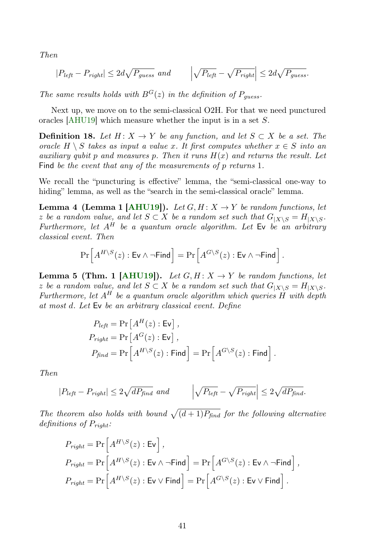Then

<span id="page-40-0"></span>
$$
|P_{left} - P_{right}| \le 2d\sqrt{P_{guess}} \text{ and } \left|\sqrt{P_{left}} - \sqrt{P_{right}|} \le 2d\sqrt{P_{guess}}.
$$

The same results holds with  $B^{G}(z)$  in the definition of  $P_{guess}$ .

Next up, we move on to the semi-classical O2H. For that we need punctured oracles [\[AHU19\]](#page-33-2) which measure whether the input is in a set S.

**Definition 18.** Let  $H: X \to Y$  be any function, and let  $S \subset X$  be a set. The oracle  $H \setminus S$  takes as input a value x. It first computes whether  $x \in S$  into an auxiliary qubit p and measures p. Then it runs  $H(x)$  and returns the result. Let Find be the event that any of the measurements of p returns 1.

We recall the "puncturing is effective" lemma, the "semi-classical one-way to hiding" lemma, as well as the "search in the semi-classical oracle" lemma.

**Lemma 4 (Lemma 1 [\[AHU19\]](#page-33-2)).** Let  $G, H: X \rightarrow Y$  be random functions, let z be a random value, and let  $S \subset X$  be a random set such that  $G_{|X \setminus S} = H_{|X \setminus S}$ . Furthermore, let  $A^H$  be a quantum oracle algorithm. Let  $\mathsf{Ev}$  be an arbitrary classical event. Then

<span id="page-40-2"></span>
$$
\Pr\left[A^{H \setminus S}(z) : \textsf{Ev} \land \neg \textsf{Find}\right] = \Pr\left[A^{G \setminus S}(z) : \textsf{Ev} \land \neg \textsf{Find}\right].
$$

<span id="page-40-1"></span>**Lemma 5 (Thm. 1 [\[AHU19\]](#page-33-2)).** Let  $G, H: X \rightarrow Y$  be random functions, let z be a random value, and let  $S \subset X$  be a random set such that  $G_{|X\setminus S} = H_{|X\setminus S}$ . Furthermore, let  $A^H$  be a quantum oracle algorithm which queries H with depth at most d. Let Ev be an arbitrary classical event. Define

$$
P_{left} = \Pr\left[A^H(z) : \text{Ev}\right],
$$
  
\n
$$
P_{right} = \Pr\left[A^G(z) : \text{Ev}\right],
$$
  
\n
$$
P_{find} = \Pr\left[A^{H \setminus S}(z) : \text{Find}\right] = \Pr\left[A^{G \setminus S}(z) : \text{Find}\right].
$$

Then

$$
|P_{left} - P_{right}| \le 2\sqrt{dP_{find}} \ and \qquad \left| \sqrt{P_{left}} - \sqrt{P_{right}} \right| \le 2\sqrt{dP_{find}}.
$$

The theorem also holds with bound  $\sqrt{(d+1)P_{\text{find}}}$  for the following alternative definitions of  $P_{right}:$ 

<span id="page-40-3"></span>
$$
P_{right} = \Pr\left[A^{H \setminus S}(z) : \text{Ev}\right],
$$
  
\n
$$
P_{right} = \Pr\left[A^{H \setminus S}(z) : \text{Ev} \land \neg \text{Find}\right] = \Pr\left[A^{G \setminus S}(z) : \text{Ev} \land \neg \text{Find}\right],
$$
  
\n
$$
P_{right} = \Pr\left[A^{H \setminus S}(z) : \text{Ev} \lor \text{Find}\right] = \Pr\left[A^{G \setminus S}(z) : \text{Ev} \lor \text{Find}\right].
$$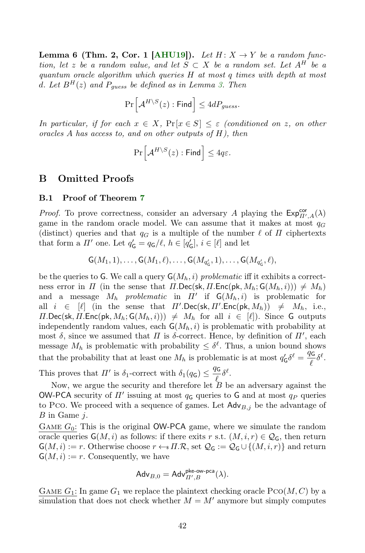**Lemma 6 (Thm. 2, Cor. 1 [\[AHU19\]](#page-33-2)).** Let  $H: X \rightarrow Y$  be a random function, let z be a random value, and let  $S \subset X$  be a random set. Let  $A^H$  be a quantum oracle algorithm which queries H at most q times with depth at most d. Let  $B^H(z)$  and  $P_{guess}$  be defined as in Lemma [3.](#page-39-5) Then

$$
\Pr\Big[\mathcal{A}^{H\setminus S}(z):\mathsf{Find}\Big]\leq 4dP_{guess}.
$$

In particular, if for each  $x \in X$ ,  $Pr[x \in S] \leq \varepsilon$  (conditioned on z, on other oracles A has access to, and on other outputs of  $H$ ), then

$$
\Pr\left[\mathcal{A}^{H\setminus S}(z):\mathsf{Find}\right]\leq 4q\varepsilon.
$$

### B Omitted Proofs

### <span id="page-41-0"></span>B.1 Proof of Theorem [7](#page-17-0)

*Proof.* To prove correctness, consider an adversary A playing the  $Exp_{\Pi',A}^{cor}(\lambda)$ game in the random oracle model. We can assume that it makes at most  $q_G$ (distinct) queries and that  $q_G$  is a multiple of the number  $\ell$  of  $\Pi$  ciphertexts that form a  $\Pi'$  one. Let  $q'_{\mathsf{G}} = q_{\mathsf{G}}/\ell, h \in [q'_{\mathsf{G}}], i \in [\ell]$  and let

$$
G(M_1, 1), \ldots, G(M_1, \ell), \ldots, G(M_{q'_G}, 1), \ldots, G(M_{q'_G}, \ell),
$$

be the queries to G. We call a query  $\mathsf{G}(M_h, i)$  problematic iff it exhibits a correctness error in  $\Pi$  (in the sense that  $\Pi$ .Dec(sk,  $\Pi$ .Enc(pk,  $M_h$ ;  $G(M_h, i)$ ))  $\neq M_h$ ) and a message  $M_h$  problematic in  $\Pi'$  if  $\mathsf{G}(M_h, i)$  is problematic for all  $i \in [\ell]$  (in the sense that  $\Pi'.\mathsf{Dec}(\mathsf{sk}, \Pi'.\mathsf{Enc}(\mathsf{pk}, M_h)) \neq M_h$ , i.e.,  $\Pi$ .Dec(sk,  $\Pi$ .Enc(pk,  $M_h$ ;  $G(M_h, i))$ )  $\neq M_h$  for all  $i \in [\ell]$ ). Since G outputs independently random values, each  $\mathsf{G}(M_h, i)$  is problematic with probability at most  $\delta$ , since we assumed that  $\Pi$  is  $\delta$ -correct. Hence, by definition of  $\Pi'$ , each message  $M_h$  is problematic with probability  $\leq \delta^{\ell}$ . Thus, a union bound shows that the probability that at least one  $M_h$  is problematic is at most  $q'_G \delta^\ell = \frac{q_G}{\ell}$  $\frac{\mu}{\ell} \delta^{\ell}$ .

This proves that  $\Pi'$  is  $\delta_1$ -correct with  $\delta_1(q_{\mathsf{G}}) \leq \frac{q_{\mathsf{G}}}{q}$  $\frac{\pi}{6} \delta^{\ell}$ .

Now, we argue the security and therefore let  $\overline{B}$  be an adversary against the OW-PCA security of  $\Pi'$  issuing at most  $q_{\mathsf{G}}$  queries to G and at most  $q_P$  queries to Pco. We proceed with a sequence of games. Let  $\mathsf{Adv}_{B,j}$  be the advantage of B in Game j.

GAME  $G_0$ : This is the original **OW-PCA** game, where we simulate the random oracle queries  $\mathsf{G}(M, i)$  as follows: if there exits r s.t.  $(M, i, r) \in \mathcal{Q}_{\mathsf{G}}$ , then return  $\mathsf{G}(M,i) := r$ . Otherwise choose  $r \leftarrow s \Pi \mathcal{R}$ , set  $\mathcal{Q}_{\mathsf{G}} := \mathcal{Q}_{\mathsf{G}} \cup \{(M,i,r)\}\$  and return  $\mathsf{G}(M,i) := r$ . Consequently, we have

$$
\mathsf{Adv}_{B,0} = \mathsf{Adv}_{\varPi',B}^{\mathsf{pke-ow-pca}}(\lambda).
$$

GAME  $G_1$ : In game  $G_1$  we replace the plaintext checking oracle  $PCO(M, C)$  by a simulation that does not check whether  $M = M'$  anymore but simply computes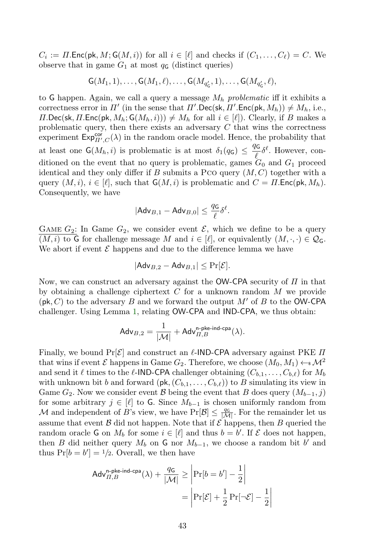$C_i := \Pi$ . Enc(pk,  $M$ ; G( $M$ , i)) for all  $i \in [\ell]$  and checks if  $(C_1, \ldots, C_\ell) = C$ . We observe that in game  $G_1$  at most  $q_{\mathsf{G}}$  (distinct queries)

 $\mathsf{G}(M_1,1),\ldots,\mathsf{G}(M_1,\ell),\ldots,\mathsf{G}(M_{q'_{\mathsf{G}}},1),\ldots,\mathsf{G}(M_{q'_{\mathsf{G}}},\ell),$ 

to G happen. Again, we call a query a message  $M_h$  problematic iff it exhibits a correctness error in  $\Pi'$  (in the sense that  $\Pi'.\mathsf{Dec}(\mathsf{sk}, \Pi'.\mathsf{Enc}(\mathsf{pk}, M_h)) \neq M_h$ , i.e.,  $\Pi$ .Dec(sk,  $\Pi$ .Enc(pk,  $M_h$ ;  $G(M_h, i)$ ))  $\neq M_h$  for all  $i \in [\ell]$ ). Clearly, if B makes a problematic query, then there exists an adversary  $C$  that wins the correctness experiment  $\mathsf{Exp}_{\Pi',C}^{\mathsf{cor}}(\lambda)$  in the random oracle model. Hence, the probability that at least one  $G(M_h, i)$  is problematic is at most  $\delta_1(q_G) \leq \frac{q_G}{q(G)}$  $\frac{\partial G}{\partial \zeta} \delta^{\ell}$ . However, conditioned on the event that no query is problematic, games  $G_0$  and  $G_1$  proceed identical and they only differ if B submits a Pco query  $(M, C)$  together with a query  $(M, i), i \in [\ell],$  such that  $\mathsf{G}(M, i)$  is problematic and  $C = \Pi$ . Enc(pk,  $M_h$ ). Consequently, we have

$$
|\mathsf{Adv}_{B,1} - \mathsf{Adv}_{B,0}| \leq \frac{q_{\mathsf{G}}}{\ell} \delta^{\ell}.
$$

GAME  $G_2$ : In Game  $G_2$ , we consider event  $\mathcal{E}$ , which we define to be a query  $(M, i)$  to G for challenge message M and  $i \in [\ell]$ , or equivalently  $(M, \cdot, \cdot) \in \mathcal{Q}_G$ . We abort if event  $\mathcal E$  happens and due to the difference lemma we have

$$
|\mathsf{Adv}_{B,2} - \mathsf{Adv}_{B,1}| \le \Pr[\mathcal{E}].
$$

Now, we can construct an adversary against the OW-CPA security of  $\Pi$  in that by obtaining a challenge ciphertext  $C$  for a unknown random  $M$  we provide  $(\mathsf{pk}, C)$  to the adversary B and we forward the output M' of B to the OW-CPA challenger. Using Lemma [1,](#page-6-1) relating OW-CPA and IND-CPA, we thus obtain:

$$
\mathsf{Adv}_{B,2} = \frac{1}{|\mathcal{M}|} + \mathsf{Adv}_{\varPi,B}^{\mathsf{n-pke-ind-cpa}}(\lambda).
$$

Finally, we bound  $Pr[\mathcal{E}]$  and construct an  $\ell$ -IND-CPA adversary against PKE  $\Pi$ that wins if event  $\mathcal E$  happens in Game  $G_2$ . Therefore, we choose  $(M_0, M_1) \leftarrow \mathcal M^2$ and send it  $\ell$  times to the  $\ell$ -IND-CPA challenger obtaining  $(C_{b,1}, \ldots, C_{b,\ell})$  for  $M_b$ with unknown bit b and forward  $(\mathsf{pk},(C_{b,1},\ldots,C_{b,\ell}))$  to B simulating its view in Game  $G_2$ . Now we consider event B being the event that B does query  $(M_{b-1}, j)$ for some arbitrary  $j \in [\ell]$  to G. Since  $M_{b-1}$  is chosen uniformly random from M and independent of B's view, we have  $Pr[\mathcal{B}] \leq \frac{q_G}{|\mathcal{M}|}$ . For the remainder let us assume that event  $\beta$  did not happen. Note that if  $\mathcal E$  happens, then  $B$  queried the random oracle G on  $M_b$  for some  $i \in [\ell]$  and thus  $b = b'$ . If E does not happen, then B did neither query  $M_b$  on G nor  $M_{b-1}$ , we choose a random bit b' and thus  $Pr[b = b'] = \frac{1}{2}$ . Overall, we then have

$$
\begin{aligned} \mathsf{Adv}_{II,B}^{\mathsf{n-pke-ind-cpa}}(\lambda) + \frac{q\mathsf{G}}{|\mathcal{M}|} &\geq \left| \Pr[b = b'] - \frac{1}{2} \right| \\ &= \left| \Pr[\mathcal{E}] + \frac{1}{2} \Pr[\neg \mathcal{E}] - \frac{1}{2} \right| \end{aligned}
$$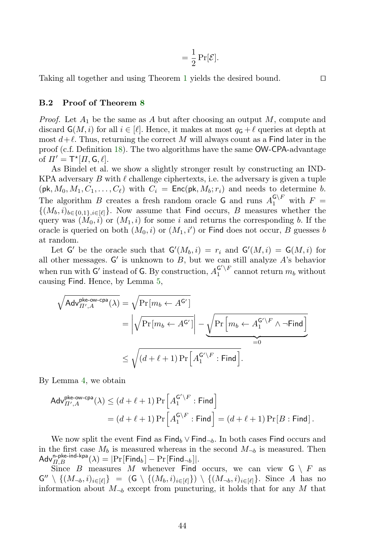$$
= \frac{1}{2}\Pr[\mathcal{E}].
$$

Taking all together and using Theorem [1](#page-7-0) yields the desired bound.  $\Box$ 

### <span id="page-43-0"></span>B.2 Proof of Theorem [8](#page-18-1)

*Proof.* Let  $A_1$  be the same as A but after choosing an output M, compute and discard  $\mathsf{G}(M, i)$  for all  $i \in [\ell]$ . Hence, it makes at most  $q_{\mathsf{G}} + \ell$  queries at depth at most  $d+\ell$ . Thus, returning the correct M will always count as a Find later in the proof (c.f. Definition [18\)](#page-40-0). The two algorithms have the same OW-CPA-advantage of  $\Pi' = \mathsf{T}^* [H, \mathsf{G}, \ell].$ 

As Bindel et al. we show a slightly stronger result by constructing an IND-KPA adversary B with  $\ell$  challenge ciphertexts, i.e. the adversary is given a tuple  $(\mathsf{pk}, M_0, M_1, C_1, \ldots, C_\ell)$  with  $C_i = \mathsf{Enc}(\mathsf{pk}, M_b; r_i)$  and needs to determine b. The algorithm B creates a fresh random oracle G and runs  $A_1^{\mathsf{G}\setminus F}$  with  $F =$  $\{(M_b, i)_{b \in \{0,1\}, i \in [\ell]\}}.$  Now assume that Find occurs, B measures whether the query was  $(M_0, i)$  or  $(M_1, i)$  for some i and returns the corresponding b. If the oracle is queried on both  $(M_0, i)$  or  $(M_1, i')$  or Find does not occur, B guesses b at random.

Let G' be the oracle such that  $G'(M_b, i) = r_i$  and  $G'(M, i) = G(M, i)$  for all other messages.  $G'$  is unknown to  $B$ , but we can still analyze  $A$ 's behavior when run with G' instead of G. By construction,  $A_1^{G' \setminus F}$  cannot return  $m_b$  without causing Find. Hence, by Lemma [5,](#page-40-1)

$$
\begin{aligned}\sqrt{\mathsf{Adv}^{\mathsf{pke-ow-cpa}}_{\varPi',A}(\lambda)} &= \sqrt{\Pr\left[m_b \leftarrow A^{\mathsf{G}'}\right]} \\ &= \left|\sqrt{\Pr\left[m_b \leftarrow A^{\mathsf{G}'}\right]}\right| - \underbrace{\sqrt{\Pr\left[m_b \leftarrow A^{\mathsf{G}'\backslash F} \wedge \neg \mathsf{Find}\right]}}_{=0}\right. \\ & \leq \sqrt{\left(d + \ell + 1\right)\Pr\left[A^{\mathsf{G}'\backslash F} _{1} : \mathsf{Find}\right]}. \end{aligned}
$$

By Lemma [4,](#page-40-2) we obtain

$$
Adv_{\Pi',A}^{\mathsf{pke-ow-cpa}}(\lambda) \leq (d+\ell+1) \Pr\left[A_1^{\mathsf{G}'\backslash F} : \mathsf{Find}\right]
$$

$$
= (d+\ell+1) \Pr\left[A_1^{\mathsf{G}\backslash F} : \mathsf{Find}\right] = (d+\ell+1) \Pr[B : \mathsf{Find}].
$$

We now split the event Find as Find<sub>b</sub> ∨ Find<sub>¬b</sub>. In both cases Find occurs and in the first case  $M_b$  is measured whereas in the second  $M_{\neg b}$  is measured. Then  $\mathsf{Adv}_{\Pi,B}^{\mathsf{n}\text{-}\mathsf{p}\mathsf{k}\mathsf{e}\text{-}\mathsf{ind}\text{-}\mathsf{k}\mathsf{p}\mathsf{a}}(\lambda) = |\mathrm{Pr}[\mathsf{Find}_b] - \mathrm{Pr}[\mathsf{Find}_\neg b]|.$ 

Since B measures M whenever Find occurs, we can view  $G \setminus F$  as  $\mathsf{G}'' \setminus \{ (M_{\neg b}, i)_{i \in [\ell]} \} = (\mathsf{G} \setminus \{ (M_b, i)_{i \in [\ell]} \}) \setminus \{ (M_{\neg b}, i)_{i \in [\ell]} \}.$  Since A has no information about  $M_{\neg b}$  except from puncturing, it holds that for any M that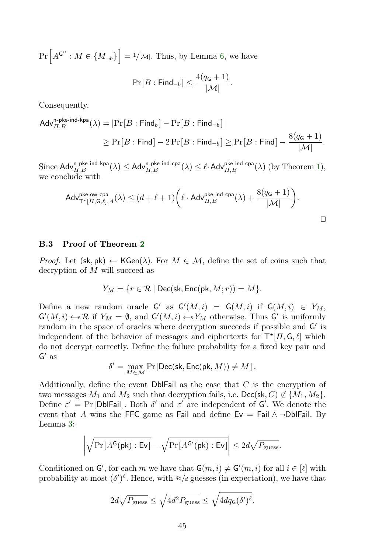$Pr\left[A^{G''}: M \in \{M_{\neg b}\}\right] = \frac{1}{|\mathcal{M}|}.$  Thus, by Lemma [6,](#page-40-3) we have

$$
\Pr[B:\mathsf{Find}_{\neg b}] \le \frac{4(q_{\mathsf{G}}+1)}{|\mathcal{M}|}.
$$

Consequently,

$$
\begin{aligned} \mathsf{Adv}_{\Pi,B}^{\mathsf{n}\text{-}\mathsf{pke-ind}\text{-}\mathsf{kpa}}(\lambda) &= \left|\Pr[B:\mathsf{Find}_b] - \Pr[B:\mathsf{Find}_{\neg b}]\right| \\ &\geq \Pr[B:\mathsf{Find}] - 2\Pr[B:\mathsf{Find}_{\neg b}] \geq \Pr[B:\mathsf{Find}] - \frac{8(q_\mathsf{G}+1)}{|\mathcal{M}|}. \end{aligned}
$$

Since  $\mathsf{Adv}_{\Pi,B}^{\mathsf{n}\text{-}\mathsf{p}\mathsf{ke}\text{-}\mathsf{ind}}(\lambda) \leq \mathsf{Adv}_{\Pi,B}^{\mathsf{n}\text{-}\mathsf{p}\mathsf{ke}\text{-}\mathsf{ind}}(\lambda) \leq \ell \cdot \mathsf{Adv}_{\Pi,B}^{\mathsf{p}\mathsf{ke}\text{-}\mathsf{ind}}(\lambda) \text{ (by Theorem 1)},$  $\mathsf{Adv}_{\Pi,B}^{\mathsf{n}\text{-}\mathsf{p}\mathsf{ke}\text{-}\mathsf{ind}}(\lambda) \leq \mathsf{Adv}_{\Pi,B}^{\mathsf{n}\text{-}\mathsf{p}\mathsf{ke}\text{-}\mathsf{ind}}(\lambda) \leq \ell \cdot \mathsf{Adv}_{\Pi,B}^{\mathsf{p}\mathsf{ke}\text{-}\mathsf{ind}}(\lambda) \text{ (by Theorem 1)},$  $\mathsf{Adv}_{\Pi,B}^{\mathsf{n}\text{-}\mathsf{p}\mathsf{ke}\text{-}\mathsf{ind}}(\lambda) \leq \mathsf{Adv}_{\Pi,B}^{\mathsf{n}\text{-}\mathsf{p}\mathsf{ke}\text{-}\mathsf{ind}}(\lambda) \leq \ell \cdot \mathsf{Adv}_{\Pi,B}^{\mathsf{p}\mathsf{ke}\text{-}\mathsf{ind}}(\lambda) \text{ (by Theorem 1)},$ we conclude with

$$
\mathsf{Adv}_{\mathsf{T}^{\star}[H,\mathsf{G},\ell],A}^{\mathsf{pk}\text{-}\mathsf{ow}\text{-}\mathsf{cpa}}(\lambda) \leq (d+\ell+1)\bigg(\ell\cdot\mathsf{Adv}_{H,B}^{\mathsf{pk}\text{-}\mathsf{ind}\text{-}\mathsf{cpa}}(\lambda) + \frac{8(q_{\mathsf{G}}+1)}{|\mathcal{M}|}\bigg).
$$

#### <span id="page-44-0"></span>B.3 Proof of Theorem [2](#page-18-0)

*Proof.* Let  $(\mathsf{sk}, \mathsf{pk}) \leftarrow \mathsf{KGen}(\lambda)$ . For  $M \in \mathcal{M}$ , define the set of coins such that decryption of M will succeed as

$$
Y_M=\{r\in \mathcal{R}\mid \mathsf{Dec}(\mathsf{sk},\mathsf{Enc}(\mathsf{pk},M;r))=M\}.
$$

Define a new random oracle  $G'$  as  $G'(M, i) = G(M, i)$  if  $G(M, i) \in Y_M$ ,  $\mathsf{G}'(M,i) \leftarrow \mathbb{R}$  if  $Y_M = \emptyset$ , and  $\mathsf{G}'(M,i) \leftarrow \mathbb{R}Y_M$  otherwise. Thus  $\mathsf{G}'$  is uniformly random in the space of oracles where decryption succeeds if possible and G' is independent of the behavior of messages and ciphertexts for  $\mathsf{T}^{\star}[\Pi,\mathsf{G},\ell]$  which do not decrypt correctly. Define the failure probability for a fixed key pair and  $G'$  as

$$
\delta' = \max_{M \in \mathcal{M}} \Pr\left[ \mathsf{Dec}(\mathsf{sk}, \mathsf{Enc}(\mathsf{pk}, M)) \neq M \right].
$$

Additionally, define the event  $\mathsf{Dbl}$  Fail as the case that C is the encryption of two messages  $M_1$  and  $M_2$  such that decryption fails, i.e. Dec(sk, C)  $\notin \{M_1, M_2\}$ . Define  $\varepsilon' = \Pr[\text{Db}|\text{Tail}]$ . Both  $\delta'$  and  $\varepsilon'$  are independent of G'. We denote the event that A wins the FFC game as Fail and define  $E_v = Fail \wedge \neg DblFail$ . By Lemma [3:](#page-39-5)

$$
\left| \sqrt{\Pr[A^{\mathsf{G}}(\mathsf{pk}) : \mathsf{Ev}]} - \sqrt{\Pr[A^{\mathsf{G}'}(\mathsf{pk}) : \mathsf{Ev}]} \right| \leq 2d\sqrt{P_{\text{guess}}}.
$$

Conditioned on  $\mathsf{G}'$ , for each m we have that  $\mathsf{G}(m,i) \neq \mathsf{G}'(m,i)$  for all  $i \in [\ell]$  with probability at most  $(\delta')^{\ell}$ . Hence, with  $q\epsilon/d$  guesses (in expectation), we have that

$$
2d\sqrt{P_{\text{guess}}}\leq \sqrt{4d^2P_{\text{guess}}}\leq \sqrt{4dq_{\text{G}}(\delta')^{\ell}}.
$$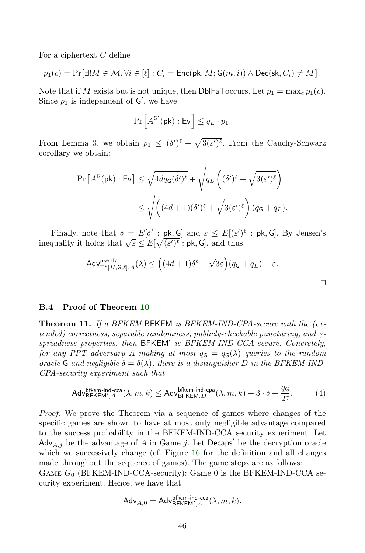For a ciphertext C define

$$
p_1(c) = \Pr[\exists! M \in \mathcal{M}, \forall i \in [\ell] : C_i = \mathsf{Enc}(\mathsf{pk}, M; \mathsf{G}(m, i)) \land \mathsf{Dec}(\mathsf{sk}, C_i) \neq M].
$$

Note that if M exists but is not unique, then DbIFail occurs. Let  $p_1 = \max_c p_1(c)$ . Since  $p_1$  is independent of  $\mathsf{G}'$ , we have

$$
\Pr\left[A^{\mathsf{G}'}(\mathsf{pk}): \mathsf{Ev}\right] \leq q_L \cdot p_1.
$$

From Lemma [3,](#page-39-5) we obtain  $p_1 \leq (\delta')^{\ell} + \sqrt{3(\varepsilon')^{\ell}}$ . From the Cauchy-Schwarz corollary we obtain:

$$
\Pr\left[A^{\mathsf{G}}(\mathsf{pk}) : \mathsf{Ev}\right] \leq \sqrt{4dq_{\mathsf{G}}(\delta')^{\ell}} + \sqrt{q_{L}\left((\delta')^{\ell} + \sqrt{3(\varepsilon')^{\ell}}\right)} \leq \sqrt{\left((4d+1)(\delta')^{\ell} + \sqrt{3(\varepsilon')^{\ell}}\right)(q_{\mathsf{G}} + q_{L})}.
$$

Finally, note that  $\delta = E[\delta' : \mathsf{pk}, \mathsf{G}]$  and  $\varepsilon \leq E[(\varepsilon')^{\ell} : \mathsf{pk}, \mathsf{G}]$ . By Jensen's inequality it holds that  $\sqrt{\varepsilon} \leq E[\sqrt{(\varepsilon')^{\ell}} : \mathsf{pk}, \mathsf{G}]$ , and thus

$$
\mathsf{Adv}^{\mathsf{pkeffc}}_{\mathsf{T}^{\star}[H,\mathsf{G},\ell],A}(\lambda) \leq \Big((4d+1)\delta^{\ell} + \sqrt{3\varepsilon}\Big)(q_{\mathsf{G}} + q_{L}) + \varepsilon.
$$

 $\Box$ 

### <span id="page-45-0"></span>B.4 Proof of Theorem [10](#page-31-1)

**Theorem 11.** If a BFKEM BFKEM is BFKEM-IND-CPA-secure with the (extended) correctness, separable randomness, publicly-checkable puncturing, and  $\gamma$ spreadness properties, then BFKEM' is BFKEM-IND-CCA-secure. Concretely, for any PPT adversary A making at most  $q_{\mathsf{G}} = q_{\mathsf{G}}(\lambda)$  queries to the random oracle G and negligible  $\delta = \delta(\lambda)$ , there is a distinguisher D in the BFKEM-IND-CPA-security experiment such that

$$
\mathsf{Adv}_{\mathsf{BFKEM}^{\mathsf{bfkm-ind-cca}}_{\mathsf{A}}(\lambda,m,k) \leq \mathsf{Adv}_{\mathsf{BFKEM},D}^{\mathsf{bfkm-ind-cpa}}(\lambda,m,k) + 3 \cdot \delta + \frac{q_{\mathsf{G}}}{2^\gamma}. \tag{4}
$$

Proof. We prove the Theorem via a sequence of games where changes of the specific games are shown to have at most only negligible advantage compared to the success probability in the BFKEM-IND-CCA security experiment. Let  $\mathsf{Adv}_{A,j}$  be the advantage of A in Game j. Let Decaps' be the decryption oracle which we successively change (cf. Figure [16](#page-46-0) for the definition and all changes made throughout the sequence of games). The game steps are as follows:

GAME  $G_0$  (BFKEM-IND-CCA-security): Game 0 is the BFKEM-IND-CCA security experiment. Hence, we have that

$$
\mathsf{Adv}_{A,0} = \mathsf{Adv}_{\mathsf{BFKEM}^{\mathsf{bfkem-ind-cca}}( \lambda, m, k).
$$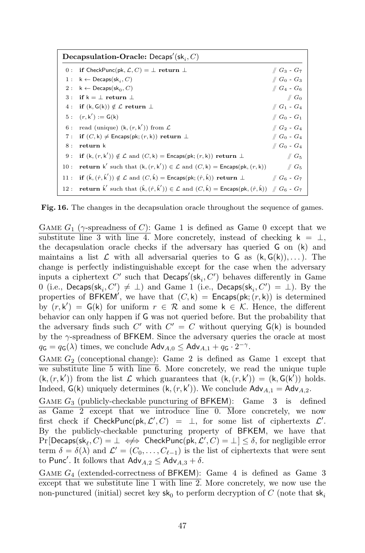|     | Decapsulation-Oracle: Decaps'(sk, C)                                                                                                                                     |                                               |
|-----|--------------------------------------------------------------------------------------------------------------------------------------------------------------------------|-----------------------------------------------|
|     | 0: if CheckPunc(pk, $\mathcal{L}, C$ ) = $\perp$ return $\perp$                                                                                                          | $\sqrt{G_3 - G_7}$                            |
|     | 1 : $k \leftarrow$ Decaps(sk <sub>i</sub> , C)                                                                                                                           | $\mathscr{C}$ G <sub>0</sub> - G <sub>3</sub> |
|     | 2 : $k \leftarrow$ Decaps(sk <sub>0</sub> , C)                                                                                                                           | $\#G_4 - G_6$                                 |
|     | 3: if $k = \perp$ return $\perp$                                                                                                                                         | $\mathscr{C} G_0$                             |
|     | 4: if $(k, G(k)) \notin \mathcal{L}$ return $\perp$                                                                                                                      | $\#G_1$ - $G_4$                               |
|     | 5: $(r, k') := G(k)$                                                                                                                                                     | $\#G_0 - G_1$                                 |
|     | 6: read (unique) $(k, (r, k'))$ from $\mathcal L$                                                                                                                        | $\parallel G_2 - G_4 \parallel$               |
| 7:  | if $(C, k) \neq$ Encaps(pk; $(r, k)$ ) return $\perp$                                                                                                                    | $\#G_0$ - $G_4$                               |
| 8 : | return k                                                                                                                                                                 | $\mathcal{G}_0$ - $G_4$                       |
|     | 9: if $(k, (r, k')) \notin \mathcal{L}$ and $(C, k) =$ Encaps(pk; $(r, k)$ ) return $\perp$                                                                              | $\#G_5$                                       |
|     | 10: <b>return</b> k' such that $(k, (r, k')) \in \mathcal{L}$ and $(C, k) =$ Encaps $(\mathsf{pk}, (r, k))$                                                              | $\#G_5$                                       |
|     | 11: if $(\hat{k}, (\hat{r}, \hat{k}')) \notin \mathcal{L}$ and $(C, \hat{k})$ = Encaps(pk; $(\hat{r}, \hat{k})$ ) return $\perp$                                         | $\#G_6 - G_7$                                 |
|     | 12: <b>return</b> $\hat{k}'$ such that $(\hat{k}, (\hat{r}, \hat{k}')) \in \mathcal{L}$ and $(C, \hat{k}) =$ Encaps $(\mathsf{pk}, (\hat{r}, \hat{k}))$ // $G_6$ - $G_7$ |                                               |

<span id="page-46-0"></span>Fig. 16. The changes in the decapsulation oracle throughout the sequence of games.

GAME  $G_1$  ( $\gamma$ -spreadness of C): Game 1 is defined as Game 0 except that we substitute line 3 with line 4. More concretely, instead of checking  $k = \perp$ , the decapsulation oracle checks if the adversary has queried G on (k) and maintains a list  $\mathcal L$  with all adversarial queries to G as  $(k, G(k)), \ldots$ . The change is perfectly indistinguishable except for the case when the adversary inputs a ciphertext  $C'$  such that  $\mathsf{Decaps}'(\mathsf{sk}_i, C')$  behaves differently in Game 0 (i.e.,  $\mathsf{Decaps}(\mathsf{sk}_i, C') \neq \bot$ ) and Game 1 (i.e.,  $\mathsf{Decaps}(\mathsf{sk}_i, C') = \bot$ ). By the properties of BFKEM', we have that  $(C, k)$  = Encaps(pk;  $(r, k)$ ) is determined by  $(r, k') = G(k)$  for uniform  $r \in \mathcal{R}$  and some  $k \in \mathcal{K}$ . Hence, the different behavior can only happen if G was not queried before. But the probability that the adversary finds such  $C'$  with  $C' = C$  without querying  $G(k)$  is bounded by the  $\gamma$ -spreadness of BFKEM. Since the adversary queries the oracle at most  $q_{\mathsf{G}} = q_{\mathsf{G}}(\lambda)$  times, we conclude  $\mathsf{Adv}_{A,0} \leq \mathsf{Adv}_{A,1} + q_{\mathsf{G}} \cdot 2^{-\gamma}$ .

GAME  $G_2$  (conceptional change): Game 2 is defined as Game 1 except that we substitute line 5 with line 6. More concretely, we read the unique tuple  $(k, (r, k'))$  from the list  $\mathcal L$  which guarantees that  $(k, (r, k')) = (k, G(k'))$  holds. Indeed,  $G(k)$  uniquely determines  $(k, (r, k'))$ . We conclude  $Adv_{A,1} = Adv_{A,2}$ .

GAME  $G_3$  (publicly-checkable puncturing of BFKEM): Game 3 is defined as Game 2 except that we introduce line 0. More concretely, we now first check if CheckPunc(pk,  $\mathcal{L}', C$ ) =  $\bot$ , for some list of ciphertexts  $\mathcal{L}'$ . By the publicly-checkable puncturing property of BFKEM, we have that  $\Pr[\mathsf{Decaps}(\mathsf{sk}_\ell, C) = \bot \iff \mathsf{CheckPunc}(\mathsf{pk}, \mathcal{L}', C) = \bot] \leq \delta$ , for negligible error term  $\delta = \delta(\lambda)$  and  $\mathcal{L}' = (C_0, \ldots, C_{\ell-1})$  is the list of ciphertexts that were sent to Punc'. It follows that  $\mathsf{Adv}_{A,2} \leq \mathsf{Adv}_{A,3} + \delta$ .

GAME  $G_4$  (extended-correctness of BFKEM): Game 4 is defined as Game 3 except that we substitute line  $1$  with line  $2$ . More concretely, we now use the non-punctured (initial) secret key $\mathsf{sk}_0$  to perform decryption of  $C$  (note that  $\mathsf{sk}_i$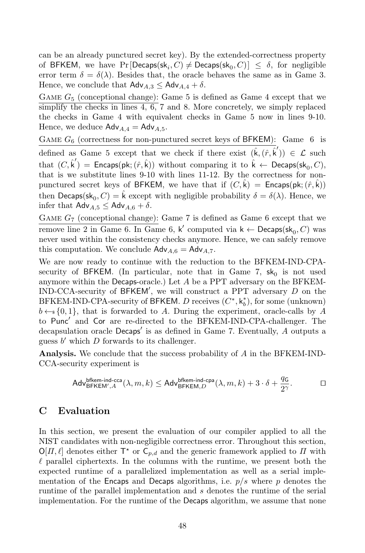can be an already punctured secret key). By the extended-correctness property of BFKEM, we have  $Pr[Decaps(s k_i, C) \neq Decaps(s k_0, C)] \leq \delta$ , for negligible error term  $\delta = \delta(\lambda)$ . Besides that, the oracle behaves the same as in Game 3. Hence, we conclude that  $\mathsf{Adv}_{A,3} \leq \mathsf{Adv}_{A,4} + \delta$ .

GAME  $G_5$  (conceptional change): Game 5 is defined as Game 4 except that we simplify the checks in lines  $4, 6, 7$  and 8. More concretely, we simply replaced the checks in Game 4 with equivalent checks in Game 5 now in lines 9-10. Hence, we deduce  $\mathsf{Adv}_{A,4} = \mathsf{Adv}_{A,5}$ .

GAME  $G_6$  (correctness for non-punctured secret keys of BFKEM): Game 6 is defined as Game 5 except that we check if there exist  $(\hat{k},(\hat{r},\hat{k}')) \in \mathcal{L}$  such that  $(C, \hat{\mathsf{k}}')$  = Encaps(pk;  $(\hat{r}, \hat{\mathsf{k}})$ ) without comparing it to  $\hat{\mathsf{k}} \leftarrow \mathsf{Decaps}(\mathsf{sk}_0, C),$ that is we substitute lines 9-10 with lines 11-12. By the correctness for nonpunctured secret keys of BFKEM, we have that if  $(C, \hat{k}) =$  Encaps(pk;  $(\hat{r}, \hat{k})$ ) then  $\mathsf{Decaps}(\mathsf{sk}_0, C) = \hat{\mathsf{k}}$  except with negligible probability  $\delta = \delta(\lambda)$ . Hence, we infer that  $\mathsf{Adv}_{A.5} \leq \mathsf{Adv}_{A.6} + \delta$ .

GAME  $G<sub>7</sub>$  (conceptional change): Game 7 is defined as Game 6 except that we remove line 2 in Game 6. In Game 6,  $\mathsf{k}'$  computed via  $\mathsf{k} \leftarrow \mathsf{Decaps}(\mathsf{sk}_0, C)$  was never used within the consistency checks anymore. Hence, we can safely remove this computation. We conclude  $\mathsf{Adv}_{A,6} = \mathsf{Adv}_{A,7}.$ 

We are now ready to continue with the reduction to the BFKEM-IND-CPAsecurity of BFKEM. (In particular, note that in Game 7,  $sk_0$  is not used anymore within the Decaps-oracle.) Let A be a PPT adversary on the BFKEM-IND-CCA-security of BFKEM', we will construct a PPT adversary  $D$  on the BFKEM-IND-CPA-security of BFKEM. D receives  $(C^*, k_b^*)$ , for some (unknown)  $b \leftarrow s \{0, 1\}$ , that is forwarded to A. During the experiment, oracle-calls by A to Punc' and Cor are re-directed to the BFKEM-IND-CPA-challenger. The decapsulation oracle Decaps' is as defined in Game 7. Eventually, A outputs a guess  $b'$  which  $D$  forwards to its challenger.

Analysis. We conclude that the success probability of A in the BFKEM-IND-CCA-security experiment is

$$
\mathsf{Adv}_{\mathsf{BFKEM}',A}^{\mathsf{bfkm-ind-cca}}(\lambda,m,k) \leq \mathsf{Adv}_{\mathsf{BFKEM},D}^{\mathsf{bfkm-ind-cpa}}(\lambda,m,k) + 3 \cdot \delta + \frac{q_{\mathsf{G}}}{2^{\gamma}}.\hspace*{1cm} \Box
$$

# <span id="page-47-0"></span>C Evaluation

In this section, we present the evaluation of our compiler applied to all the NIST candidates with non-negligible correctness error. Throughout this section,  $\mathsf{O}[H,\ell]$  denotes either  $\mathsf{T}^*$  or  $\mathsf{C}_{p,d}$  and the generic framework applied to  $H$  with  $\ell$  parallel ciphertexts. In the columns with the runtime, we present both the expected runtime of a parallelized implementation as well as a serial implementation of the Encaps and Decaps algorithms, i.e.  $p/s$  where p denotes the runtime of the parallel implementation and s denotes the runtime of the serial implementation. For the runtime of the Decaps algorithm, we assume that none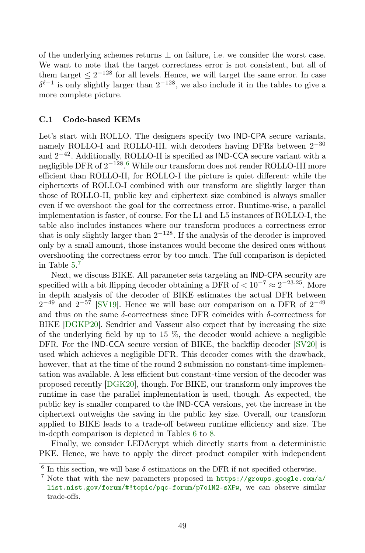of the underlying schemes returns  $\perp$  on failure, i.e. we consider the worst case. We want to note that the target correctness error is not consistent, but all of them target  $\leq 2^{-128}$  for all levels. Hence, we will target the same error. In case  $\delta^{\ell-1}$  is only slightly larger than  $2^{-128}$ , we also include it in the tables to give a more complete picture.

### C.1 Code-based KEMs

Let's start with ROLLO. The designers specify two **IND-CPA** secure variants, namely ROLLO-I and ROLLO-III, with decoders having DFRs between  $2^{-30}$ and  $2^{-42}$ . Additionally, ROLLO-II is specified as IND-CCA secure variant with a negligible DFR of 2<sup>–128</sup>.<sup>[6](#page-48-0)</sup> While our transform does not render ROLLO-III more efficient than ROLLO-II, for ROLLO-I the picture is quiet different: while the ciphertexts of ROLLO-I combined with our transform are slightly larger than those of ROLLO-II, public key and ciphertext size combined is always smaller even if we overshoot the goal for the correctness error. Runtime-wise, a parallel implementation is faster, of course. For the L1 and L5 instances of ROLLO-I, the table also includes instances where our transform produces a correctness error that is only slightly larger than  $2^{-128}$ . If the analysis of the decoder is improved only by a small amount, those instances would become the desired ones without overshooting the correctness error by too much. The full comparison is depicted in Table [5.](#page-50-0) [7](#page-48-1)

Next, we discuss BIKE. All parameter sets targeting an IND-CPA security are specified with a bit flipping decoder obtaining a DFR of  $< 10^{-7} \approx 2^{-23.25}$ . More in depth analysis of the decoder of BIKE estimates the actual DFR between  $2^{-49}$  and  $2^{-57}$  [\[SV19\]](#page-38-6). Hence we will base our comparison on a DFR of  $2^{-49}$ and thus on the same  $\delta$ -correctness since DFR coincides with  $\delta$ -correctness for BIKE [\[DGKP20\]](#page-35-8). Sendrier and Vasseur also expect that by increasing the size of the underlying field by up to 15  $\%$ , the decoder would achieve a negligible DFR. For the IND-CCA secure version of BIKE, the backflip decoder [\[SV20\]](#page-38-12) is used which achieves a negligible DFR. This decoder comes with the drawback, however, that at the time of the round 2 submission no constant-time implementation was available. A less efficient but constant-time version of the decoder was proposed recently [\[DGK20\]](#page-35-13), though. For BIKE, our transform only improves the runtime in case the parallel implementation is used, though. As expected, the public key is smaller compared to the IND-CCA versions, yet the increase in the ciphertext outweighs the saving in the public key size. Overall, our transform applied to BIKE leads to a trade-off between runtime efficiency and size. The in-depth comparison is depicted in Tables [6](#page-51-0) to [8.](#page-53-0)

Finally, we consider LEDAcrypt which directly starts from a deterministic PKE. Hence, we have to apply the direct product compiler with independent

<span id="page-48-0"></span> $6$  In this section, we will base  $\delta$  estimations on the DFR if not specified otherwise.

<span id="page-48-1"></span><sup>&</sup>lt;sup>7</sup> Note that with the new parameters proposed in  $\frac{https://groups.google.com/a/})$  $\frac{https://groups.google.com/a/})$  $\frac{https://groups.google.com/a/})$ [list.nist.gov/forum/#!topic/pqc-forum/p7o1N2-sXFw](https://groups.google.com/a/list.nist.gov/forum/#!topic/pqc-forum/p7o1N2-sXFw), we can observe similar trade-offs.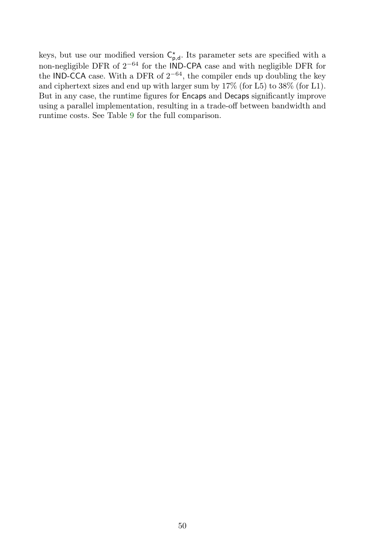keys, but use our modified version  $C^{\star}_{p,d}$ . Its parameter sets are specified with a non-negligible DFR of  $2^{-64}$  for the IND-CPA case and with negligible DFR for the IND-CCA case. With a DFR of  $2^{-64}$ , the compiler ends up doubling the key and ciphertext sizes and end up with larger sum by 17% (for L5) to 38% (for L1). But in any case, the runtime figures for Encaps and Decaps significantly improve using a parallel implementation, resulting in a trade-off between bandwidth and runtime costs. See Table [9](#page-53-1) for the full comparison.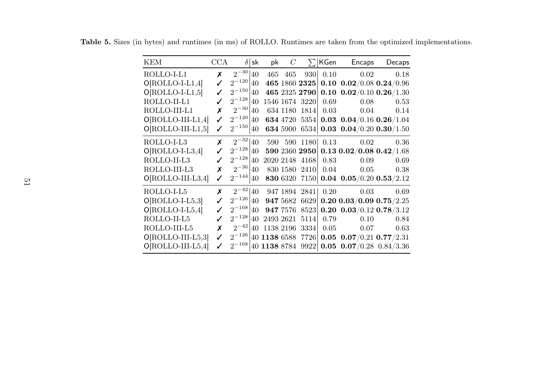| <b>KEM</b>          | $_{\rm CCA}$ | $\delta$   | sk | pk           | C         | $\sum$         | KGen | Encaps                         | Decaps |
|---------------------|--------------|------------|----|--------------|-----------|----------------|------|--------------------------------|--------|
| ROLLO-I-L1          | X            | $2^{-30}$  | 40 | 465          | 465       | 930            | 0.10 | 0.02                           | 0.18   |
| $O[ROLLO-I-L1,4]$   |              | $2^{-120}$ | 40 |              |           | 465 1860 2325  |      | 0.10 $0.02/0.08$ 0.24/0.96     |        |
| $O[ROLLO-I-L1,5]$   |              | $2^{-150}$ | 40 |              |           | 465 2325 2790  |      | 0.10 $0.02/0.10$ 0.26/1.30     |        |
| ROLLO-II-L1         |              | $2^{-128}$ | 40 |              |           | 1546 1674 3220 | 0.69 | 0.08                           | 0.53   |
| ROLLO-III-L1        | X            | $2^{-30}$  | 40 |              | 634 1180  | <b>1814</b>    | 0.03 | 0.04                           | 0.14   |
| $O[ROLLO-III-L1,4]$ | ✓            | $2^{-120}$ | 40 |              | 634 4720  | 5354           |      | 0.03 $0.04/0.16$ 0.26/1.04     |        |
| $O[ROLLO-III-L1,5]$ |              | $2^{-150}$ | 40 |              | 634 5900  | 6534           |      | 0.03 0.04/0.20 0.30/1.50       |        |
| ROLLO-I-L3          | X            | $2^{-32}$  | 40 |              |           | 590 590 1180   | 0.13 | 0.02                           | 0.36   |
| $O[ROLLO-I-L3,4]$   | ℐ            | $2^{-128}$ | 40 |              |           | 590 2360 2950  |      | $0.13$ $0.02/0.08$ $0.42/1.68$ |        |
| ROLLO-II-L3         |              | $2^{-128}$ | 40 |              |           | 2020 2148 4168 | 0.83 | 0.09                           | 0.69   |
| ROLLO-III-L3        | X            | $2^{-36}$  | 40 |              |           | 830 1580 2410  | 0.04 | 0.05                           | 0.38   |
| $O[ROLLO-III-L3,4]$ | ✓            | $2^{-144}$ | 40 |              | 830 6320  | 7150           |      | 0.04 $0.05/0.20$ 0.53/2.12     |        |
| ROLLO-I-L5          | X            | $2^{-42}$  | 40 |              |           | 947 1894 2841  | 0.20 | 0.03                           | 0.69   |
| $O[ROLLO-I-L5,3]$   | ✓            | $2^{-126}$ | 40 |              | 947 5682  | 6629           |      | 0.20 0.03/0.09 0.75/2.25       |        |
| $O[ROLLO-I-L5,4]$   |              | $2^{-168}$ | 40 |              | 947 7576  | 8523           |      | 0.20 $0.03/0.12$ 0.78/3.12     |        |
| ROLLO-II-L5         | ℐ            | $2^{-128}$ | 40 | 2493 2621    |           | 5114           | 0.79 | 0.10                           | 0.84   |
| ROLLO-III-L5        | X            | $2^{-42}$  | 40 |              | 1138 2196 | 3334           | 0.05 | 0.07                           | 0.63   |
| $O[ROLLO-III-L5,3]$ | ✓            | $2^{-126}$ | 40 | 1138 6588    |           | 7726           |      | 0.05 $0.07/0.21$ 0.77/2.31     |        |
| $O[ROLLO-III-L5,4]$ | ✓            | $2^{-168}$ |    | 40 1138 8784 |           | 9922           |      | 0.05 $0.07/0.28$ 0.84/3.36     |        |

<span id="page-50-0"></span>Table 5. Sizes (in bytes) and runtimes (in ms) of ROLLO. Runtimes are taken from the optimized implementations.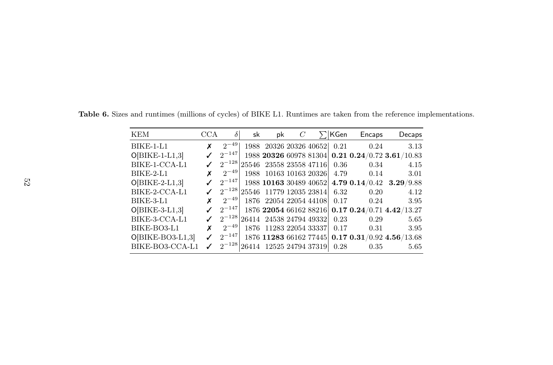| <b>KEM</b>         | <b>CCA</b> | δ          | sk | pk                                 |  | KGen | Encaps         | Decaps                                           |
|--------------------|------------|------------|----|------------------------------------|--|------|----------------|--------------------------------------------------|
| <b>BIKE-1-L1</b>   | x          | $2^{-49}$  |    | 1988 20326 20326 40652             |  | 0.21 | 0.24           | 3.13                                             |
| $O[BIKE-1-L1,3]$   |            | $2^{-147}$ |    |                                    |  |      |                | 1988 20326 60978 81304 0.21 0.24/0.72 3.61/10.83 |
| BIKE-1-CCA-L1      |            | $2^{-128}$ |    | 25546 23558 23558 47116            |  | 0.36 | 0.34           | 4.15                                             |
| BIKE-2-L1          | x          | $2^{-49}$  |    | 1988 10163 10163 20326             |  | 4.79 | 0.14           | 3.01                                             |
| $O[BIKE-2-L1,3]$   |            | $2^{-147}$ |    | 1988 10163 30489 40652             |  |      | 4.79 0.14/0.42 | 3.29/9.88                                        |
| BIKE-2-CCA-L1      |            |            |    | $2^{-128}$ 25546 11779 12035 23814 |  | 6.32 | 0.20           | 4.12                                             |
| BIKE-3-L1          | X          | $2^{-49}$  |    | 1876 22054 22054 44108             |  | 0.17 | 0.24           | 3.95                                             |
| $O[BIKE-3-L1,3]$   |            | $2^{-147}$ |    | 1876 22054 66162 88216             |  |      |                | 0.17 0.24/0.71 4.42/13.27                        |
| BIKE-3-CCA-L1      |            | $2^{-128}$ |    | 26414 24538 24794 49332            |  | 0.23 | 0.29           | 5.65                                             |
| BIKE-BO3-L1        | x          | $2^{-49}$  |    | 1876 11283 22054 33337             |  | 0.17 | 0.31           | 3.95                                             |
| $O[BIKE-BO3-L1,3]$ |            | $2^{-147}$ |    | 1876 11283 66162 77445             |  |      |                | 0.17 0.31 / 0.92 4.56 / 13.68                    |
| BIKE-BO3-CCA-L1    | ✓          |            |    | $2^{-128}$ 26414 12525 24794 37319 |  | 0.28 | 0.35           | 5.65                                             |

<span id="page-51-0"></span>Table 6. Sizes and runtimes (millions of cycles) of BIKE L1. Runtimes are taken from the reference implementations.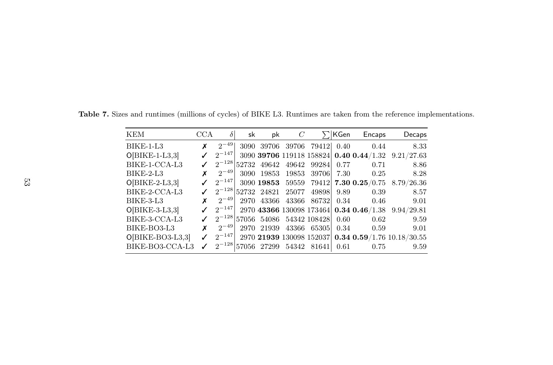| KEM                | <b>CCA</b> | $\delta$   | sk   | pk          | C     |              | ∣KGen | Encaps                                  | Decaps                                              |
|--------------------|------------|------------|------|-------------|-------|--------------|-------|-----------------------------------------|-----------------------------------------------------|
| $BIKE-1-L3$        | x          | $2^{-49}$  |      | 3090 39706  | 39706 | 79412        | 0.40  | 0.44                                    | 8.33                                                |
| $O[BIKE-1-L3,3]$   |            | $2^{-147}$ |      |             |       |              |       | 3090 39706 119118 158824 0.40 0.44/1.32 | 9.21/27.63                                          |
| BIKE-1-CCA-L3      |            | $2^{-128}$ |      | 52732 49642 | 49642 | 99284        | 0.77  | 0.71                                    | 8.86                                                |
| BIKE-2-L3          | x          | $2^{-49}$  | 3090 | 19853       | 19853 | 39706        | 7.30  | 0.25                                    | 8.28                                                |
| $O[BIKE-2-L3,3]$   |            | $2^{-147}$ |      | 3090 19853  | 59559 |              |       | $79412$ 7.30 0.25/0.75                  | 8.79/26.36                                          |
| BIKE-2-CCA-L3      |            | $2^{-128}$ |      | 52732 24821 | 25077 | 49898        | 9.89  | 0.39                                    | 8.57                                                |
| BIKE-3-L3          | x          | $2^{-49}$  | 2970 | 43366       | 43366 | 867321       | 0.34  | 0.46                                    | 9.01                                                |
| $O[BIKE-3-L3,3]$   |            | $2^{-147}$ |      |             |       |              |       | 2970 43366 130098 173464 0.34 0.46/1.38 | 9.94/29.81                                          |
| BIKE-3-CCA-L3      |            | $2^{-128}$ |      | 57056 54086 |       | 54342 108428 | 0.60  | 0.62                                    | 9.59                                                |
| BIKE-BO3-L3        | x          | $2^{-49}$  | 2970 | 21939       | 43366 | 65305        | 0.34  | 0.59                                    | 9.01                                                |
| $O[BIKE-BO3-L3,3]$ |            | $2^{-147}$ |      |             |       |              |       |                                         | 2970 21939 130098 152037 0.34 0.59/1.76 10.18/30.55 |
| BIKE-BO3-CCA-L3    | ℐ          | $2^{-128}$ |      | 57056 27299 | 54342 | 81641        | 0.61  | 0.75                                    | 9.59                                                |

Table 7. Sizes and runtimes (millions of cycles) of BIKE L3. Runtimes are taken from the reference implementations.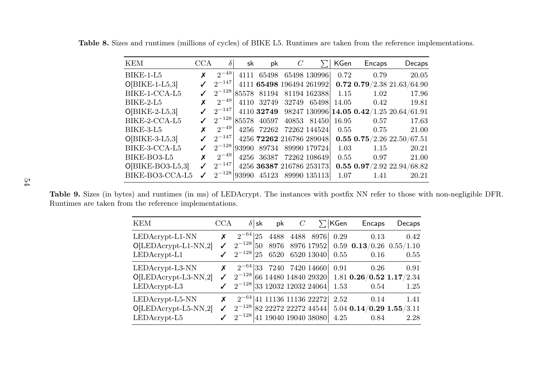<span id="page-53-1"></span>Table 8. Sizes and runtimes (millions of cycles) of BIKE L5. Runtimes are taken from the reference implementations.

| KEM                | CCA | $\delta$   | sk   | pk                     |                                          | KGen  | Encaps | Decaps                                              |
|--------------------|-----|------------|------|------------------------|------------------------------------------|-------|--------|-----------------------------------------------------|
| BIKE-1-L5          |     | $2^{-49}$  | 4111 |                        | 65498 65498 130996                       | 0.72  | 0.79   | 20.05                                               |
| $O[BIKE-1-L5,3]$   |     | $2^{-147}$ |      |                        | 4111 65498 196494 261992                 |       |        | 0.72 0.79/2.38 21.63/64.90                          |
| BIKE-1-CCA-L5      |     |            |      | $2^{-128}$ 85578 81194 | 81194 162388                             | 1.15  | 1.02   | 17.96                                               |
| BIKE-2-L5          |     | $2^{-49}$  | 4110 |                        | 32749 32749 65498                        | 14.05 | 0.42   | 19.81                                               |
| $O[BIKE-2-L5,3]$   |     | $2^{-147}$ |      |                        |                                          |       |        | 4110 32749 98247 130996 14.05 0.42/1.25 20.64/61.91 |
| BIKE-2-CCA-L5      |     |            |      |                        | $2^{-128}$ 85578 40597 40853 81450 16.95 |       | 0.57   | 17.63                                               |
| BIKE-3-L5          | x   | $2^{-49}$  |      |                        | 4256 72262 72262 144524                  | 0.55  | 0.75   | 21.00                                               |
| $O[BIKE-3-L5,3]$   |     | $2^{-147}$ |      |                        | 4256 72262 216786 289048                 |       |        | 0.55 0.75/2.26 22.50/67.51                          |
| BIKE-3-CCA-L5      |     |            |      |                        | $2^{-128} 93990$ 89734 89990 179724      | 1.03  | 1.15   | 20.21                                               |
| BIKE-BO3-L5        |     | $2^{-49}$  | 4256 |                        | 36387 72262 108649                       | 0.55  | 0.97   | 21.00                                               |
| $O[BIKE-BO3-L5,3]$ |     | $2^{-147}$ |      |                        | 4256 36387 216786 253173                 |       |        | 0.55 $0.97/2.92$ 22.94/68.82                        |
| BIKE-BO3-CCA-L5    | ✓   |            |      |                        | $2^{-128}$ 93990 45123 89990 135113      | 1.07  | 1.41   | 20.21                                               |

Table 9. Sizes (in bytes) and runtimes (in ms) of LEDAcrypt. The instances with postfix NN refer to those with non-negligible DFR. Runtimes are taken from the reference implementations.

<span id="page-53-0"></span>

| KEM                                                           | CCA | $\delta$ sk                                                                          | pk           | $\mathcal{C}$ |                                            | $\Sigma$ KGen | Encaps                                                                   | Decaps       |
|---------------------------------------------------------------|-----|--------------------------------------------------------------------------------------|--------------|---------------|--------------------------------------------|---------------|--------------------------------------------------------------------------|--------------|
| $LEDAcrypt-L1-NN$<br>$O[LEDAcrypt-L1-NN,2]$<br>LEDAcrypt-L1   | Х   | $2^{-64}$  25<br>$2^{-128}$ 50<br>$2^{-128}$ 25                                      | 4488<br>8976 |               | 4488 8976<br>8976 17952<br>6520 6520 13040 | 0.29<br>0.55  | 0.13<br>$0.59$ $0.13/0.26$ $0.55/1.10$<br>0.16                           | 0.42<br>0.55 |
| $LEDAcrypt-L3-NN$<br>$O[LEDAcrypt-L3-NN,2]$<br>LEDAcrypt-L3   | Х   | $2^{-64}$ 33 7240 7420 14660<br>$2^{-128}$ 33 12032 12032 24064                      |              |               |                                            | 0.91<br>1.53  | 0.26<br>$2^{-128}$ 66 14480 14840 29320 1.81 0.26/0.52 1.17/2.34<br>0.54 | 0.91<br>1.25 |
| $LEDAcrypt-L5-NN$<br>$O[LEDAcrypt-L5-NN,2]$<br>$LEDAcrypt-L5$ | Х   | $2^{-64}$ 41 11136 11136 22272 2.52<br>$2^{-128}$ 82 22272 22272 44544<br>$2^{-128}$ |              |               | 41 19040 19040 38080                       | 4.25          | 0.14<br>$5.04$ 0.14/0.29 1.55/3.11<br>0.84                               | 1.41<br>2.28 |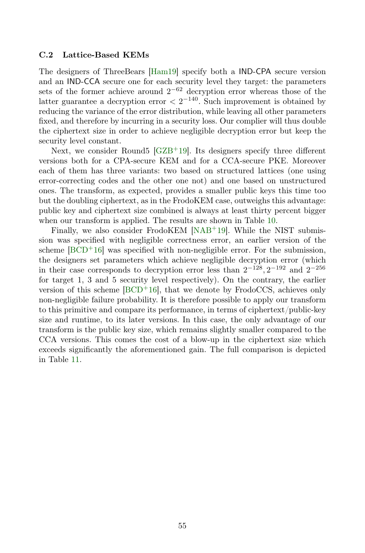#### C.2 Lattice-Based KEMs

The designers of ThreeBears [\[Ham19\]](#page-37-12) specify both a IND-CPA secure version and an IND-CCA secure one for each security level they target: the parameters sets of the former achieve around  $2^{-62}$  decryption error whereas those of the latter guarantee a decryption error  $\langle 2^{-140} \rangle$ . Such improvement is obtained by reducing the variance of the error distribution, while leaving all other parameters fixed, and therefore by incurring in a security loss. Our complier will thus double the ciphertext size in order to achieve negligible decryption error but keep the security level constant.

Next, we consider Round5  $[GZB<sup>+</sup>19]$  $[GZB<sup>+</sup>19]$ . Its designers specify three different versions both for a CPA-secure KEM and for a CCA-secure PKE. Moreover each of them has three variants: two based on structured lattices (one using error-correcting codes and the other one not) and one based on unstructured ones. The transform, as expected, provides a smaller public keys this time too but the doubling ciphertext, as in the FrodoKEM case, outweighs this advantage: public key and ciphertext size combined is always at least thirty percent bigger when our transform is applied. The results are shown in Table [10.](#page-55-0)

Finally, we also consider FrodoKEM [\[NAB](#page-38-10)<sup>+</sup>19]. While the NIST submission was specified with negligible correctness error, an earlier version of the scheme  $[BCD^+16]$  $[BCD^+16]$  was specified with non-negligible error. For the submission, the designers set parameters which achieve negligible decryption error (which in their case corresponds to decryption error less than  $2^{-128}$ ,  $2^{-192}$  and  $2^{-256}$ for target 1, 3 and 5 security level respectively). On the contrary, the earlier version of this scheme  $[BCD^+16]$  $[BCD^+16]$ , that we denote by FrodoCCS, achieves only non-negligible failure probability. It is therefore possible to apply our transform to this primitive and compare its performance, in terms of ciphertext/public-key size and runtime, to its later versions. In this case, the only advantage of our transform is the public key size, which remains slightly smaller compared to the CCA versions. This comes the cost of a blow-up in the ciphertext size which exceeds significantly the aforementioned gain. The full comparison is depicted in Table [11.](#page-56-0)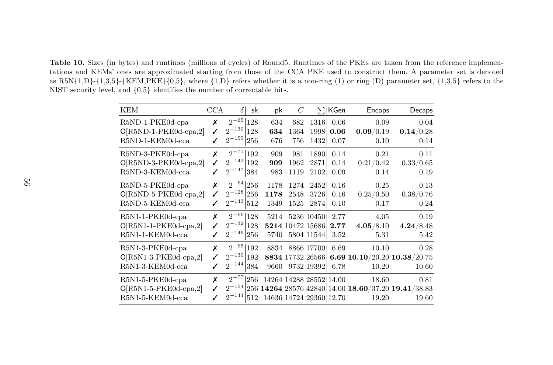<span id="page-55-0"></span>Table 10. Sizes (in bytes) and runtimes (millions of cycles) of Round5. Runtimes of the PKEs are taken from the reference implementations and KEMs' ones are approximated starting from those of the CCA PKE used to construct them. A parameter set is denotedas  $R5N\{1,D\}$ - $\{1,3,5\}$ - $\{KEM, PKE\{0,5\}$ , where  $\{1,D\}$  refers whether it is a non-ring (1) or ring (D) parameter set,  $\{1,3,5\}$  refers to the NIST security level, and {0,5} identifies the number of correctable bits.

| <b>KEM</b>                                                      | CCA    | $\delta$<br>sk                                               | pk                   | $\,C$                |                                                    | KGen                 | Encaps                                                                            | Decaps                    |
|-----------------------------------------------------------------|--------|--------------------------------------------------------------|----------------------|----------------------|----------------------------------------------------|----------------------|-----------------------------------------------------------------------------------|---------------------------|
| R5ND-1-PKE0d-cpa<br>O[R5ND-1-PKE0d-cpa,2]<br>R5ND-1-KEM0d-cca   | х<br>✓ | $2^{-65}$<br>128<br>$2^{-130}$<br>128<br>$2^{-155}\,$<br>256 | 634<br>634<br>676    | 682<br>1364<br>756   | 1316<br>1998<br>1432                               | 0.06<br>0.06<br>0.07 | 0.09<br>0.09/0.19<br>0.10                                                         | 0.04<br>0.14/0.28<br>0.14 |
| R5ND-3-PKE0d-cpa<br>O[R5ND-3-PKE0d-cpa,2]<br>R5ND-3-KEM0d-cca   | х      | $2^{-71}$<br>192<br>$2^{-142}$<br>192<br>$2^{-147}$<br>384   | 909<br>909<br>983    | 981<br>1962<br>1119  | 1890<br>2871<br>2102                               | 0.14<br>0.14<br>0.09 | 0.21<br>0.21/0.42<br>0.14                                                         | 0.11<br>0.33/0.65<br>0.19 |
| R5ND-5-PKE0d-cpa<br>$O[R5ND-5-PKE0d-cpa,2]$<br>R5ND-5-KEM0d-cca | Х      | $2^{-64}$<br>256<br>$2^{-128}$<br>256<br>$2^{-143}$<br>512   | 1178<br>1178<br>1349 | 1274<br>2548<br>1525 | 2452<br>3726<br>2874                               | 0.16<br>0.16<br>0.10 | 0.25<br>0.25/0.50<br>0.17                                                         | 0.13<br>0.38/0.76<br>0.24 |
| R5N1-1-PKE0d-cpa<br>$O[R5N1-1-PKE0d-cpa,2]$<br>R5N1-1-KEM0d-cca | X      | $2^{-66}$<br>128<br>$2^{-132}$<br>128<br>$2^{-146}$<br>256   | 5214<br>5740         |                      | 5236 10450<br>5214 10472 15686<br>5804 11544       | 2.77<br>2.77<br>3.52 | 4.05<br>4.05/8.10<br>5.31                                                         | 0.19<br>4.24/8.48<br>5.42 |
| R5N1-3-PKE0d-cpa<br>$O[R5N1-3-PKE0d-cpa,2]$<br>R5N1-3-KEM0d-cca | х      | $2^{-65}$<br>192<br>$2^{-130}$<br>192<br>$2^{-144}$<br>384   | 8834<br>9660         |                      | 8866 17700<br>8834 17732 26566<br>9732 19392       | 6.69<br>6.78         | 10.10<br>6.69 10.10/20.20 10.38/20.75<br>10.20                                    | 0.28<br>10.60             |
| R5N1-5-PKE0d-cpa<br>$O[R5N1-5-PKE0d-cpa,2]$<br>R5N1-5-KEM0d-cca | X      | $2^{-77}$<br>256<br>$2^{-144}$<br>512                        |                      |                      | 14264 14288 28552 14.00<br>14636 14724 29360 12.70 |                      | 18.60<br>$2^{-154}$  256 14264 28576 42840 14.00 18.60/37.20 19.41/38.83<br>19.20 | 0.81<br>19.60             |